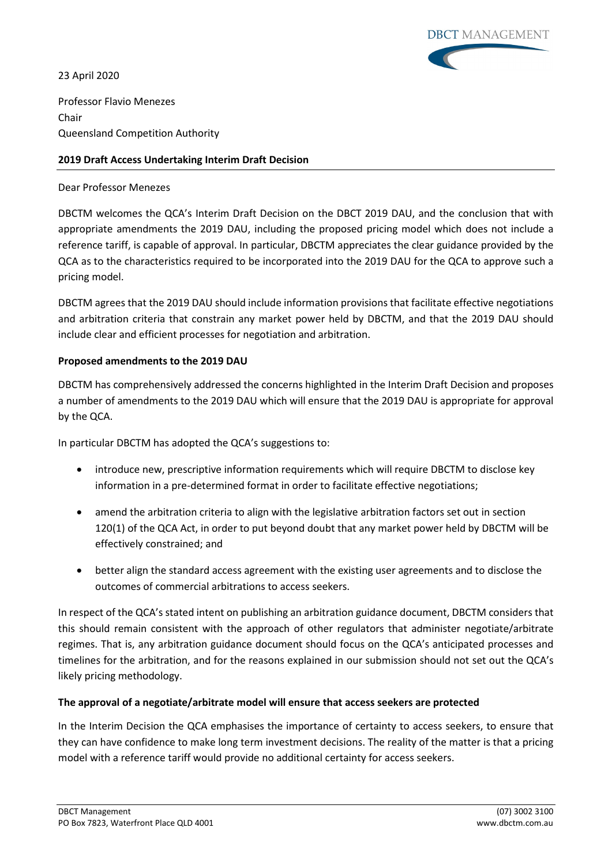23 April 2020



Professor Flavio Menezes Chair Queensland Competition Authority

## **2019 Draft Access Undertaking Interim Draft Decision**

## Dear Professor Menezes

DBCTM welcomes the QCA's Interim Draft Decision on the DBCT 2019 DAU, and the conclusion that with appropriate amendments the 2019 DAU, including the proposed pricing model which does not include a reference tariff, is capable of approval. In particular, DBCTM appreciates the clear guidance provided by the QCA as to the characteristics required to be incorporated into the 2019 DAU for the QCA to approve such a pricing model.

DBCTM agrees that the 2019 DAU should include information provisions that facilitate effective negotiations and arbitration criteria that constrain any market power held by DBCTM, and that the 2019 DAU should include clear and efficient processes for negotiation and arbitration.

## **Proposed amendments to the 2019 DAU**

DBCTM has comprehensively addressed the concerns highlighted in the Interim Draft Decision and proposes a number of amendments to the 2019 DAU which will ensure that the 2019 DAU is appropriate for approval by the QCA.

In particular DBCTM has adopted the QCA's suggestions to:

- introduce new, prescriptive information requirements which will require DBCTM to disclose key information in a pre-determined format in order to facilitate effective negotiations;
- amend the arbitration criteria to align with the legislative arbitration factors set out in section 120(1) of the QCA Act, in order to put beyond doubt that any market power held by DBCTM will be effectively constrained; and
- better align the standard access agreement with the existing user agreements and to disclose the outcomes of commercial arbitrations to access seekers.

In respect of the QCA's stated intent on publishing an arbitration guidance document, DBCTM considers that this should remain consistent with the approach of other regulators that administer negotiate/arbitrate regimes. That is, any arbitration guidance document should focus on the QCA's anticipated processes and timelines for the arbitration, and for the reasons explained in our submission should not set out the QCA's likely pricing methodology.

## **The approval of a negotiate/arbitrate model will ensure that access seekers are protected**

In the Interim Decision the QCA emphasises the importance of certainty to access seekers, to ensure that they can have confidence to make long term investment decisions. The reality of the matter is that a pricing model with a reference tariff would provide no additional certainty for access seekers.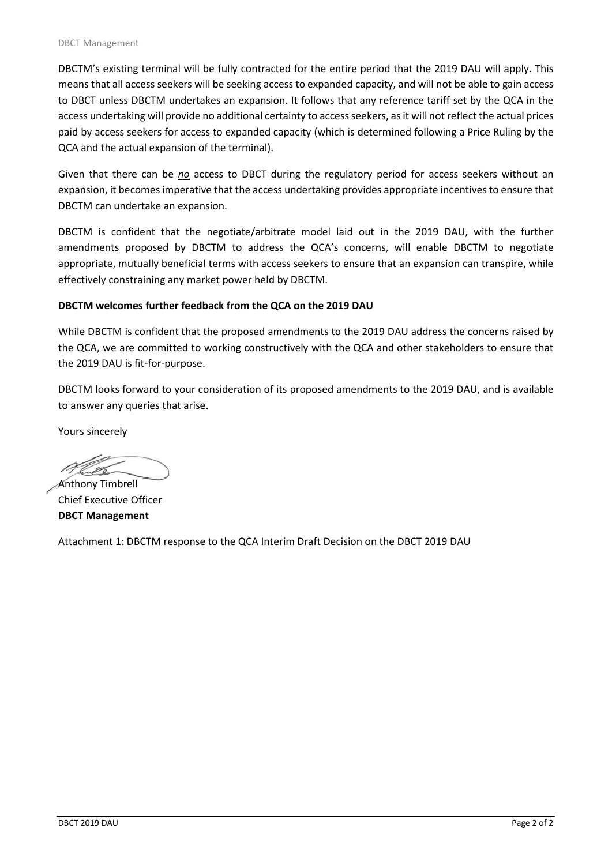DBCTM's existing terminal will be fully contracted for the entire period that the 2019 DAU will apply. This means that all access seekers will be seeking access to expanded capacity, and will not be able to gain access to DBCT unless DBCTM undertakes an expansion. It follows that any reference tariff set by the QCA in the access undertaking will provide no additional certainty to access seekers, as it will not reflect the actual prices paid by access seekers for access to expanded capacity (which is determined following a Price Ruling by the QCA and the actual expansion of the terminal).

Given that there can be *no* access to DBCT during the regulatory period for access seekers without an expansion, it becomes imperative that the access undertaking provides appropriate incentives to ensure that DBCTM can undertake an expansion.

DBCTM is confident that the negotiate/arbitrate model laid out in the 2019 DAU, with the further amendments proposed by DBCTM to address the QCA's concerns, will enable DBCTM to negotiate appropriate, mutually beneficial terms with access seekers to ensure that an expansion can transpire, while effectively constraining any market power held by DBCTM.

## **DBCTM welcomes further feedback from the QCA on the 2019 DAU**

While DBCTM is confident that the proposed amendments to the 2019 DAU address the concerns raised by the QCA, we are committed to working constructively with the QCA and other stakeholders to ensure that the 2019 DAU is fit-for-purpose.

DBCTM looks forward to your consideration of its proposed amendments to the 2019 DAU, and is available to answer any queries that arise.

Yours sincerely

Anthony Timbrell

Chief Executive Officer **DBCT Management**

Attachment 1: DBCTM response to the QCA Interim Draft Decision on the DBCT 2019 DAU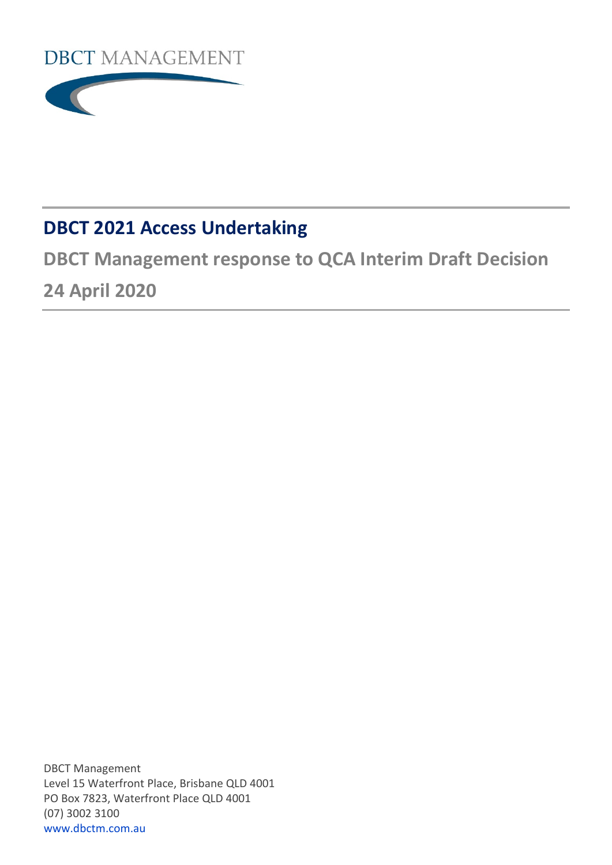



# **DBCT 2021 Access Undertaking**

**DBCT Management response to QCA Interim Draft Decision 24 April 2020**

DBCT Management Level 15 Waterfront Place, Brisbane QLD 4001 PO Box 7823, Waterfront Place QLD 4001 (07) 3002 3100 [www.dbctm.com.au](http://www.dbctm.com.au/)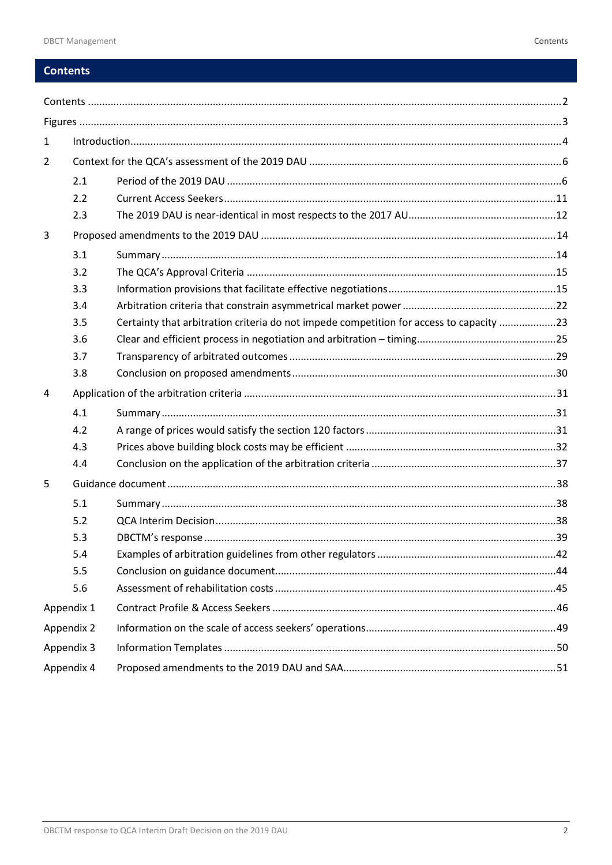## <span id="page-3-0"></span>**Contents**

| $\mathbf{1}$ |            |                                                                                         |  |  |
|--------------|------------|-----------------------------------------------------------------------------------------|--|--|
| 2            |            |                                                                                         |  |  |
|              | 2.1        |                                                                                         |  |  |
|              | 2.2        |                                                                                         |  |  |
|              | 2.3        |                                                                                         |  |  |
| 3            |            |                                                                                         |  |  |
|              | 3.1        |                                                                                         |  |  |
|              | 3.2        |                                                                                         |  |  |
|              | 3.3        |                                                                                         |  |  |
|              | 3.4        |                                                                                         |  |  |
|              | 3.5        | Certainty that arbitration criteria do not impede competition for access to capacity 23 |  |  |
|              | 3.6        |                                                                                         |  |  |
|              | 3.7        |                                                                                         |  |  |
|              | 3.8        |                                                                                         |  |  |
| 4            |            |                                                                                         |  |  |
|              | 4.1        |                                                                                         |  |  |
|              | 4.2        |                                                                                         |  |  |
|              | 4.3        |                                                                                         |  |  |
|              | 4.4        |                                                                                         |  |  |
| 5            |            |                                                                                         |  |  |
|              | 5.1        |                                                                                         |  |  |
|              | 5.2        |                                                                                         |  |  |
|              | 5.3        |                                                                                         |  |  |
|              | 5.4        |                                                                                         |  |  |
|              | 5.5        |                                                                                         |  |  |
|              | 5.6        |                                                                                         |  |  |
|              | Appendix 1 |                                                                                         |  |  |
|              | Appendix 2 |                                                                                         |  |  |
|              | Appendix 3 |                                                                                         |  |  |
|              | Appendix 4 |                                                                                         |  |  |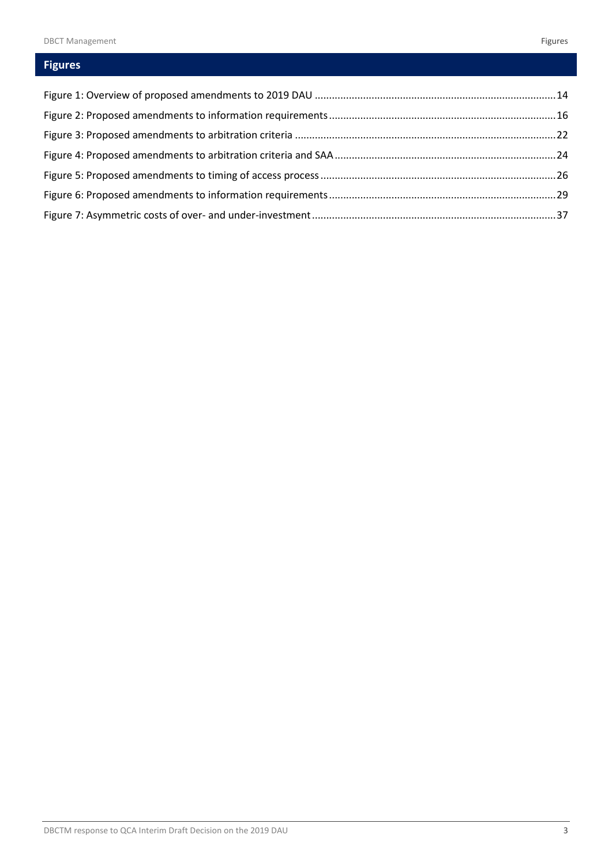## <span id="page-4-0"></span>**Figures**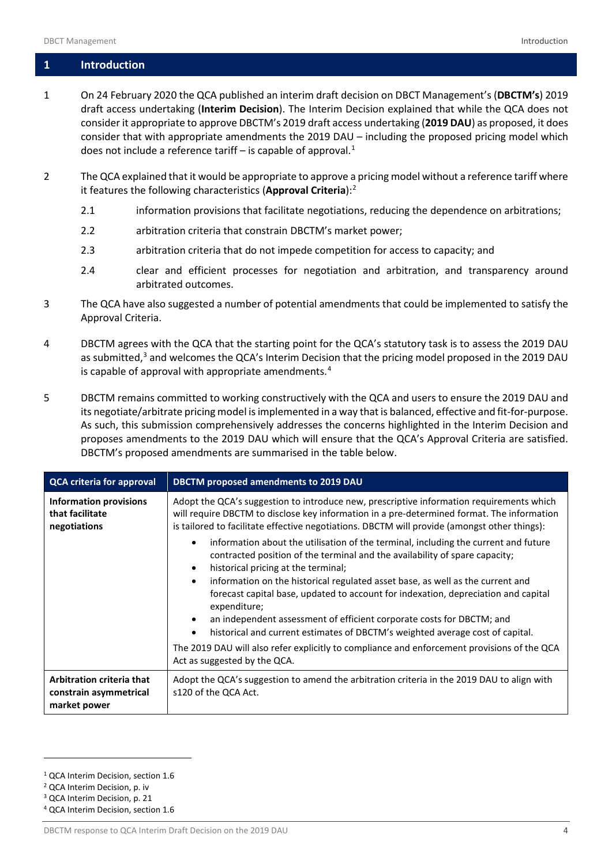## <span id="page-5-0"></span>**1 Introduction**

- 1 On 24 February 2020 the QCA published an interim draft decision on DBCT Management's (**DBCTM's**) 2019 draft access undertaking (**Interim Decision**). The Interim Decision explained that while the QCA does not consider it appropriate to approve DBCTM's 2019 draft access undertaking (**2019 DAU**) as proposed, it does consider that with appropriate amendments the 2019 DAU – including the proposed pricing model which does not include a reference tariff – is capable of approval. $1$
- 2 The QCA explained that it would be appropriate to approve a pricing model without a reference tariff where it features the following characteristics (**Approval Criteria**): [2](#page-5-2)
	- 2.1 information provisions that facilitate negotiations, reducing the dependence on arbitrations;
	- 2.2 arbitration criteria that constrain DBCTM's market power;
	- 2.3 arbitration criteria that do not impede competition for access to capacity; and
	- 2.4 clear and efficient processes for negotiation and arbitration, and transparency around arbitrated outcomes.
- 3 The QCA have also suggested a number of potential amendments that could be implemented to satisfy the Approval Criteria.
- 4 DBCTM agrees with the QCA that the starting point for the QCA's statutory task is to assess the 2019 DAU as submitted,<sup>[3](#page-5-3)</sup> and welcomes the QCA's Interim Decision that the pricing model proposed in the 2019 DAU is capable of approval with appropriate amendments. $4$
- 5 DBCTM remains committed to working constructively with the QCA and users to ensure the 2019 DAU and its negotiate/arbitrate pricing model is implemented in a way that is balanced, effective and fit-for-purpose. As such, this submission comprehensively addresses the concerns highlighted in the Interim Decision and proposes amendments to the 2019 DAU which will ensure that the QCA's Approval Criteria are satisfied. DBCTM's proposed amendments are summarised in the table below.

| <b>QCA criteria for approval</b>                                    | DBCTM proposed amendments to 2019 DAU                                                                                                                                                                                                                                                  |  |  |  |
|---------------------------------------------------------------------|----------------------------------------------------------------------------------------------------------------------------------------------------------------------------------------------------------------------------------------------------------------------------------------|--|--|--|
| <b>Information provisions</b><br>that facilitate<br>negotiations    | Adopt the QCA's suggestion to introduce new, prescriptive information requirements which<br>will require DBCTM to disclose key information in a pre-determined format. The information<br>is tailored to facilitate effective negotiations. DBCTM will provide (amongst other things): |  |  |  |
|                                                                     | information about the utilisation of the terminal, including the current and future<br>$\bullet$<br>contracted position of the terminal and the availability of spare capacity;<br>historical pricing at the terminal;<br>$\bullet$                                                    |  |  |  |
|                                                                     | information on the historical regulated asset base, as well as the current and<br>$\bullet$<br>forecast capital base, updated to account for indexation, depreciation and capital<br>expenditure;                                                                                      |  |  |  |
|                                                                     | an independent assessment of efficient corporate costs for DBCTM; and<br>$\bullet$<br>historical and current estimates of DBCTM's weighted average cost of capital.<br>$\bullet$                                                                                                       |  |  |  |
|                                                                     | The 2019 DAU will also refer explicitly to compliance and enforcement provisions of the QCA<br>Act as suggested by the QCA.                                                                                                                                                            |  |  |  |
| Arbitration criteria that<br>constrain asymmetrical<br>market power | Adopt the QCA's suggestion to amend the arbitration criteria in the 2019 DAU to align with<br>s120 of the QCA Act.                                                                                                                                                                     |  |  |  |

<span id="page-5-2"></span><sup>2</sup> QCA Interim Decision, p. iv

<span id="page-5-1"></span><sup>1</sup> QCA Interim Decision, section 1.6

<span id="page-5-3"></span><sup>3</sup> QCA Interim Decision, p. 21

<span id="page-5-4"></span><sup>4</sup> QCA Interim Decision, section 1.6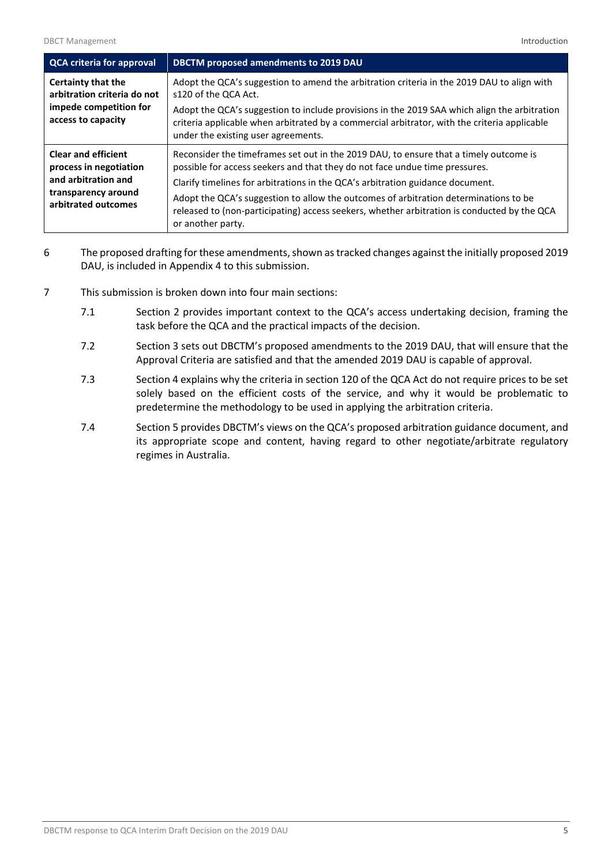| <b>QCA criteria for approval</b>                     | <b>DBCTM</b> proposed amendments to 2019 DAU                                                                                                                                                                                        |
|------------------------------------------------------|-------------------------------------------------------------------------------------------------------------------------------------------------------------------------------------------------------------------------------------|
| Certainty that the<br>arbitration criteria do not    | Adopt the QCA's suggestion to amend the arbitration criteria in the 2019 DAU to align with<br>s120 of the QCA Act.                                                                                                                  |
| impede competition for<br>access to capacity         | Adopt the QCA's suggestion to include provisions in the 2019 SAA which align the arbitration<br>criteria applicable when arbitrated by a commercial arbitrator, with the criteria applicable<br>under the existing user agreements. |
| <b>Clear and efficient</b><br>process in negotiation | Reconsider the timeframes set out in the 2019 DAU, to ensure that a timely outcome is<br>possible for access seekers and that they do not face undue time pressures.                                                                |
| and arbitration and                                  | Clarify timelines for arbitrations in the QCA's arbitration guidance document.                                                                                                                                                      |
| transparency around<br>arbitrated outcomes           | Adopt the QCA's suggestion to allow the outcomes of arbitration determinations to be<br>released to (non-participating) access seekers, whether arbitration is conducted by the QCA<br>or another party.                            |

- 6 The proposed drafting for these amendments, shown as tracked changes against the initially proposed 2019 DAU, is included in Appendix 4 to this submission.
- 7 This submission is broken down into four main sections:
	- 7.1 Section 2 provides important context to the QCA's access undertaking decision, framing the task before the QCA and the practical impacts of the decision.
	- 7.2 Section 3 sets out DBCTM's proposed amendments to the 2019 DAU, that will ensure that the Approval Criteria are satisfied and that the amended 2019 DAU is capable of approval.
	- 7.3 Section 4 explains why the criteria in section 120 of the QCA Act do not require prices to be set solely based on the efficient costs of the service, and why it would be problematic to predetermine the methodology to be used in applying the arbitration criteria.
	- 7.4 Section 5 provides DBCTM's views on the QCA's proposed arbitration guidance document, and its appropriate scope and content, having regard to other negotiate/arbitrate regulatory regimes in Australia.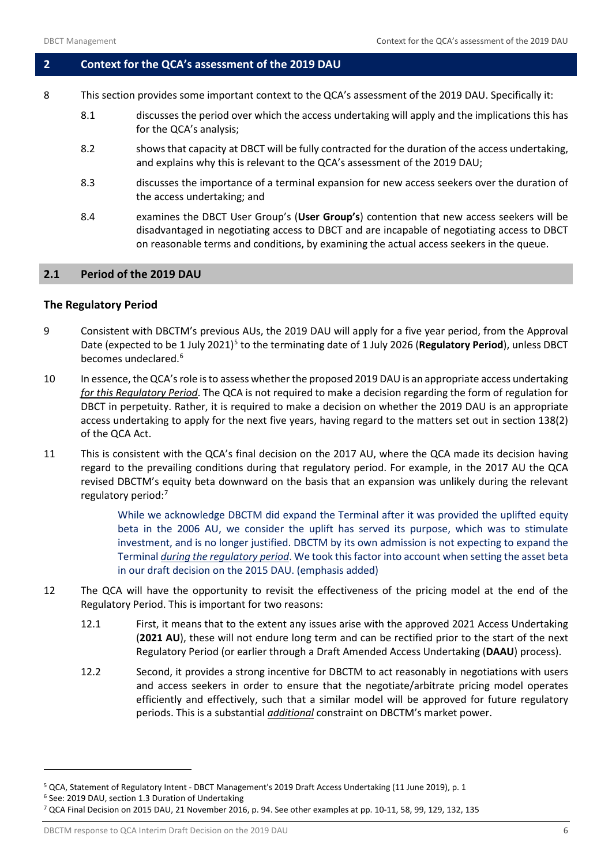## <span id="page-7-0"></span>**2 Context for the QCA's assessment of the 2019 DAU**

- 8 This section provides some important context to the QCA's assessment of the 2019 DAU. Specifically it:
	- 8.1 discusses the period over which the access undertaking will apply and the implications this has for the QCA's analysis;
	- 8.2 shows that capacity at DBCT will be fully contracted for the duration of the access undertaking, and explains why this is relevant to the QCA's assessment of the 2019 DAU;
	- 8.3 discusses the importance of a terminal expansion for new access seekers over the duration of the access undertaking; and
	- 8.4 examines the DBCT User Group's (**User Group's**) contention that new access seekers will be disadvantaged in negotiating access to DBCT and are incapable of negotiating access to DBCT on reasonable terms and conditions, by examining the actual access seekers in the queue.

## <span id="page-7-1"></span>**2.1 Period of the 2019 DAU**

## **The Regulatory Period**

- 9 Consistent with DBCTM's previous AUs, the 2019 DAU will apply for a five year period, from the Approval Date (expected to be 1 July 2021)<sup>[5](#page-7-2)</sup> to the terminating date of 1 July 2026 (Regulatory Period), unless DBCT becomes undeclared.<sup>[6](#page-7-3)</sup>
- 10 In essence, the QCA's role is to assess whether the proposed 2019 DAU is an appropriate access undertaking *for this Regulatory Period*. The QCA is not required to make a decision regarding the form of regulation for DBCT in perpetuity. Rather, it is required to make a decision on whether the 2019 DAU is an appropriate access undertaking to apply for the next five years, having regard to the matters set out in section 138(2) of the QCA Act.
- 11 This is consistent with the QCA's final decision on the 2017 AU, where the QCA made its decision having regard to the prevailing conditions during that regulatory period. For example, in the 2017 AU the QCA revised DBCTM's equity beta downward on the basis that an expansion was unlikely during the relevant regulatory period: [7](#page-7-4)

While we acknowledge DBCTM did expand the Terminal after it was provided the uplifted equity beta in the 2006 AU, we consider the uplift has served its purpose, which was to stimulate investment, and is no longer justified. DBCTM by its own admission is not expecting to expand the Terminal *during the regulatory period*. We took this factor into account when setting the asset beta in our draft decision on the 2015 DAU. (emphasis added)

- 12 The QCA will have the opportunity to revisit the effectiveness of the pricing model at the end of the Regulatory Period. This is important for two reasons:
	- 12.1 First, it means that to the extent any issues arise with the approved 2021 Access Undertaking (**2021 AU**), these will not endure long term and can be rectified prior to the start of the next Regulatory Period (or earlier through a Draft Amended Access Undertaking (**DAAU**) process).
	- 12.2 Second, it provides a strong incentive for DBCTM to act reasonably in negotiations with users and access seekers in order to ensure that the negotiate/arbitrate pricing model operates efficiently and effectively, such that a similar model will be approved for future regulatory periods. This is a substantial *additional* constraint on DBCTM's market power.

<span id="page-7-3"></span>

 $\overline{a}$ 

DBCTM response to QCA Interim Draft Decision on the 2019 DAU 6

<span id="page-7-2"></span><sup>&</sup>lt;sup>5</sup> QCA, Statement of Regulatory Intent - DBCT Management's 2019 Draft Access Undertaking (11 June 2019), p. 1<br><sup>6</sup> See: 2019 DAU, section 1.3 Duration of Undertaking

<span id="page-7-4"></span><sup>7</sup> QCA Final Decision on 2015 DAU, 21 November 2016, p. 94. See other examples at pp. 10-11, 58, 99, 129, 132, 135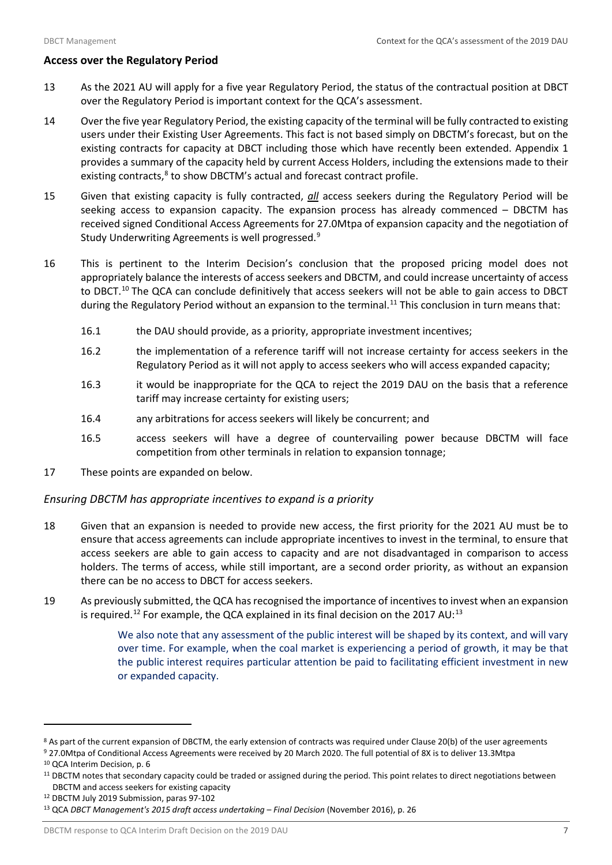## **Access over the Regulatory Period**

- 13 As the 2021 AU will apply for a five year Regulatory Period, the status of the contractual position at DBCT over the Regulatory Period is important context for the QCA's assessment.
- 14 Over the five year Regulatory Period, the existing capacity of the terminal will be fully contracted to existing users under their Existing User Agreements. This fact is not based simply on DBCTM's forecast, but on the existing contracts for capacity at DBCT including those which have recently been extended. Appendix 1 provides a summary of the capacity held by current Access Holders, including the extensions made to their existing contracts,<sup>[8](#page-8-0)</sup> to show DBCTM's actual and forecast contract profile.
- 15 Given that existing capacity is fully contracted, *all* access seekers during the Regulatory Period will be seeking access to expansion capacity. The expansion process has already commenced – DBCTM has received signed Conditional Access Agreements for 27.0Mtpa of expansion capacity and the negotiation of Study Underwriting Agreements is well progressed.<sup>[9](#page-8-1)</sup>
- 16 This is pertinent to the Interim Decision's conclusion that the proposed pricing model does not appropriately balance the interests of access seekers and DBCTM, and could increase uncertainty of access to DBCT.<sup>[10](#page-8-2)</sup> The QCA can conclude definitively that access seekers will not be able to gain access to DBCT during the Regulatory Period without an expansion to the terminal.<sup>[11](#page-8-3)</sup> This conclusion in turn means that:
	- 16.1 the DAU should provide, as a priority, appropriate investment incentives;
	- 16.2 the implementation of a reference tariff will not increase certainty for access seekers in the Regulatory Period as it will not apply to access seekers who will access expanded capacity;
	- 16.3 it would be inappropriate for the QCA to reject the 2019 DAU on the basis that a reference tariff may increase certainty for existing users;
	- 16.4 any arbitrations for access seekers will likely be concurrent; and
	- 16.5 access seekers will have a degree of countervailing power because DBCTM will face competition from other terminals in relation to expansion tonnage;
- 17 These points are expanded on below.

## *Ensuring DBCTM has appropriate incentives to expand is a priority*

- 18 Given that an expansion is needed to provide new access, the first priority for the 2021 AU must be to ensure that access agreements can include appropriate incentives to invest in the terminal, to ensure that access seekers are able to gain access to capacity and are not disadvantaged in comparison to access holders. The terms of access, while still important, are a second order priority, as without an expansion there can be no access to DBCT for access seekers.
- 19 As previously submitted, the QCA has recognised the importance of incentives to invest when an expansion is required.<sup>[12](#page-8-4)</sup> For example, the QCA explained in its final decision on the 2017 AU:<sup>[13](#page-8-5)</sup>

We also note that any assessment of the public interest will be shaped by its context, and will vary over time. For example, when the coal market is experiencing a period of growth, it may be that the public interest requires particular attention be paid to facilitating efficient investment in new or expanded capacity.

 $\overline{a}$ 

<span id="page-8-4"></span><sup>12</sup> DBCTM July 2019 Submission, paras 97-102

<span id="page-8-0"></span><sup>&</sup>lt;sup>8</sup> As part of the current expansion of DBCTM, the early extension of contracts was required under Clause 20(b) of the user agreements

<span id="page-8-1"></span><sup>9</sup> 27.0Mtpa of Conditional Access Agreements were received by 20 March 2020. The full potential of 8X is to deliver 13.3Mtpa <sup>10</sup> QCA Interim Decision, p. 6

<span id="page-8-3"></span><span id="page-8-2"></span><sup>&</sup>lt;sup>11</sup> DBCTM notes that secondary capacity could be traded or assigned during the period. This point relates to direct negotiations between DBCTM and access seekers for existing capacity

<span id="page-8-5"></span><sup>13</sup> QCA *DBCT Management's 2015 draft access undertaking* – *Final Decision* (November 2016), p. 26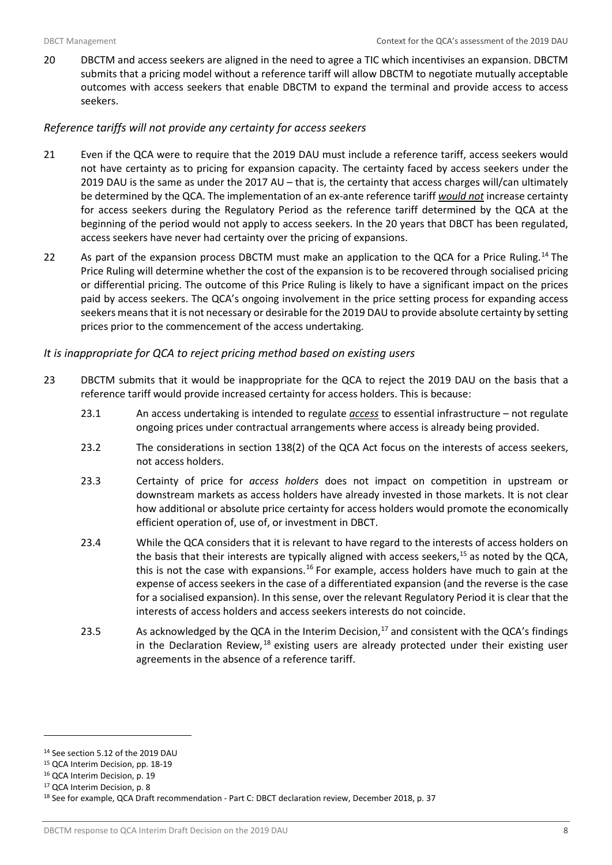20 DBCTM and access seekers are aligned in the need to agree a TIC which incentivises an expansion. DBCTM submits that a pricing model without a reference tariff will allow DBCTM to negotiate mutually acceptable outcomes with access seekers that enable DBCTM to expand the terminal and provide access to access seekers.

## *Reference tariffs will not provide any certainty for access seekers*

- 21 Even if the QCA were to require that the 2019 DAU must include a reference tariff, access seekers would not have certainty as to pricing for expansion capacity. The certainty faced by access seekers under the 2019 DAU is the same as under the 2017 AU – that is, the certainty that access charges will/can ultimately be determined by the QCA. The implementation of an ex-ante reference tariff *would not* increase certainty for access seekers during the Regulatory Period as the reference tariff determined by the QCA at the beginning of the period would not apply to access seekers. In the 20 years that DBCT has been regulated, access seekers have never had certainty over the pricing of expansions.
- 22 As part of the expansion process DBCTM must make an application to the QCA for a Price Ruling.<sup>[14](#page-9-0)</sup> The Price Ruling will determine whether the cost of the expansion is to be recovered through socialised pricing or differential pricing. The outcome of this Price Ruling is likely to have a significant impact on the prices paid by access seekers. The QCA's ongoing involvement in the price setting process for expanding access seekers means that it is not necessary or desirable for the 2019 DAU to provide absolute certainty by setting prices prior to the commencement of the access undertaking.

## *It is inappropriate for QCA to reject pricing method based on existing users*

- 23 DBCTM submits that it would be inappropriate for the QCA to reject the 2019 DAU on the basis that a reference tariff would provide increased certainty for access holders. This is because:
	- 23.1 An access undertaking is intended to regulate *access* to essential infrastructure not regulate ongoing prices under contractual arrangements where access is already being provided.
	- 23.2 The considerations in section 138(2) of the QCA Act focus on the interests of access seekers, not access holders.
	- 23.3 Certainty of price for *access holders* does not impact on competition in upstream or downstream markets as access holders have already invested in those markets. It is not clear how additional or absolute price certainty for access holders would promote the economically efficient operation of, use of, or investment in DBCT.
	- 23.4 While the QCA considers that it is relevant to have regard to the interests of access holders on the basis that their interests are typically aligned with access seekers, $15$  as noted by the QCA, this is not the case with expansions.<sup>[16](#page-9-2)</sup> For example, access holders have much to gain at the expense of access seekers in the case of a differentiated expansion (and the reverse is the case for a socialised expansion). In this sense, over the relevant Regulatory Period it is clear that the interests of access holders and access seekers interests do not coincide.
	- 23.5 As acknowledged by the QCA in the Interim Decision,  $^{17}$  $^{17}$  $^{17}$  and consistent with the QCA's findings in the Declaration Review,<sup>[18](#page-9-4)</sup> existing users are already protected under their existing user agreements in the absence of a reference tariff.

<span id="page-9-0"></span><sup>14</sup> See section 5.12 of the 2019 DAU

<span id="page-9-1"></span><sup>15</sup> QCA Interim Decision, pp. 18-19

<span id="page-9-2"></span><sup>16</sup> QCA Interim Decision, p. 19

<span id="page-9-3"></span><sup>17</sup> QCA Interim Decision, p. 8

<span id="page-9-4"></span><sup>18</sup> See for example, QCA Draft recommendation - Part C: DBCT declaration review, December 2018, p. 37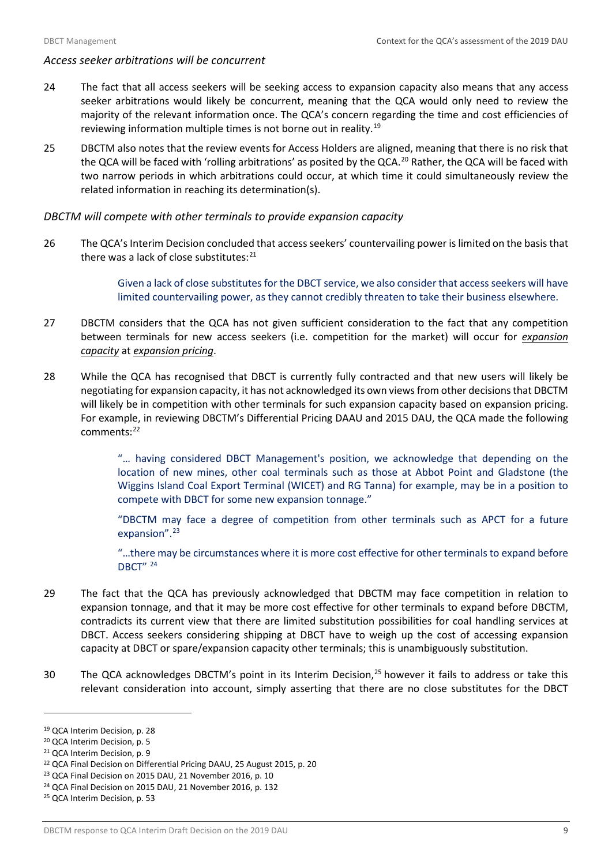## *Access seeker arbitrations will be concurrent*

- 24 The fact that all access seekers will be seeking access to expansion capacity also means that any access seeker arbitrations would likely be concurrent, meaning that the QCA would only need to review the majority of the relevant information once. The QCA's concern regarding the time and cost efficiencies of reviewing information multiple times is not borne out in reality[.19](#page-10-0)
- 25 DBCTM also notes that the review events for Access Holders are aligned, meaning that there is no risk that the QCA will be faced with 'rolling arbitrations' as posited by the QCA.<sup>[20](#page-10-1)</sup> Rather, the QCA will be faced with two narrow periods in which arbitrations could occur, at which time it could simultaneously review the related information in reaching its determination(s).

## *DBCTM will compete with other terminals to provide expansion capacity*

26 The QCA's Interim Decision concluded that access seekers' countervailing power is limited on the basis that there was a lack of close substitutes:<sup>[21](#page-10-2)</sup>

> Given a lack of close substitutes for the DBCT service, we also consider that access seekers will have limited countervailing power, as they cannot credibly threaten to take their business elsewhere.

- 27 DBCTM considers that the QCA has not given sufficient consideration to the fact that any competition between terminals for new access seekers (i.e. competition for the market) will occur for *expansion capacity* at *expansion pricing*.
- 28 While the QCA has recognised that DBCT is currently fully contracted and that new users will likely be negotiating for expansion capacity, it has not acknowledged its own views from other decisions that DBCTM will likely be in competition with other terminals for such expansion capacity based on expansion pricing. For example, in reviewing DBCTM's Differential Pricing DAAU and 2015 DAU, the QCA made the following comments:<sup>[22](#page-10-3)</sup>

"… having considered DBCT Management's position, we acknowledge that depending on the location of new mines, other coal terminals such as those at Abbot Point and Gladstone (the Wiggins Island Coal Export Terminal (WICET) and RG Tanna) for example, may be in a position to compete with DBCT for some new expansion tonnage."

"DBCTM may face a degree of competition from other terminals such as APCT for a future expansion".<sup>[23](#page-10-4)</sup>

"…there may be circumstances where it is more cost effective for other terminals to expand before DBCT" [24](#page-10-5)

- 29 The fact that the QCA has previously acknowledged that DBCTM may face competition in relation to expansion tonnage, and that it may be more cost effective for other terminals to expand before DBCTM, contradicts its current view that there are limited substitution possibilities for coal handling services at DBCT. Access seekers considering shipping at DBCT have to weigh up the cost of accessing expansion capacity at DBCT or spare/expansion capacity other terminals; this is unambiguously substitution.
- 30 The QCA acknowledges DBCTM's point in its Interim Decision,<sup>[25](#page-10-6)</sup> however it fails to address or take this relevant consideration into account, simply asserting that there are no close substitutes for the DBCT

l

<span id="page-10-0"></span><sup>19</sup> QCA Interim Decision, p. 28

<span id="page-10-1"></span><sup>20</sup> QCA Interim Decision, p. 5

<span id="page-10-3"></span><span id="page-10-2"></span><sup>&</sup>lt;sup>21</sup> QCA Interim Decision, p. 9<br><sup>22</sup> QCA Final Decision on Differential Pricing DAAU, 25 August 2015, p. 20

<span id="page-10-4"></span><sup>23</sup> QCA Final Decision on 2015 DAU, 21 November 2016, p. 10

<span id="page-10-5"></span><sup>24</sup> QCA Final Decision on 2015 DAU, 21 November 2016, p. 132

<span id="page-10-6"></span><sup>25</sup> QCA Interim Decision, p. 53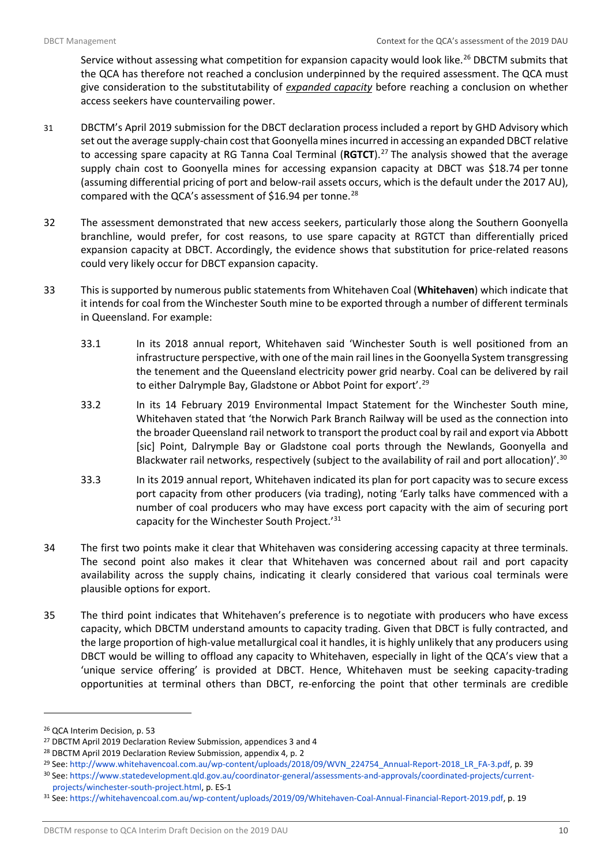Service without assessing what competition for expansion capacity would look like.<sup>[26](#page-11-0)</sup> DBCTM submits that the QCA has therefore not reached a conclusion underpinned by the required assessment. The QCA must give consideration to the substitutability of *expanded capacity* before reaching a conclusion on whether access seekers have countervailing power.

- 31 DBCTM's April 2019 submission for the DBCT declaration process included a report by GHD Advisory which set out the average supply-chain cost that Goonyella mines incurred in accessing an expanded DBCT relative to accessing spare capacity at RG Tanna Coal Terminal (**RGTCT**). [27](#page-11-1) The analysis showed that the average supply chain cost to Goonyella mines for accessing expansion capacity at DBCT was \$18.74 per tonne (assuming differential pricing of port and below-rail assets occurs, which is the default under the 2017 AU), compared with the QCA's assessment of \$16.94 per tonne.<sup>[28](#page-11-2)</sup>
- 32 The assessment demonstrated that new access seekers, particularly those along the Southern Goonyella branchline, would prefer, for cost reasons, to use spare capacity at RGTCT than differentially priced expansion capacity at DBCT. Accordingly, the evidence shows that substitution for price-related reasons could very likely occur for DBCT expansion capacity.
- 33 This is supported by numerous public statements from Whitehaven Coal (**Whitehaven**) which indicate that it intends for coal from the Winchester South mine to be exported through a number of different terminals in Queensland. For example:
	- 33.1 In its 2018 annual report, Whitehaven said 'Winchester South is well positioned from an infrastructure perspective, with one of the main rail lines in the Goonyella System transgressing the tenement and the Queensland electricity power grid nearby. Coal can be delivered by rail to either Dalrymple Bay, Gladstone or Abbot Point for export'.<sup>[29](#page-11-3)</sup>
	- 33.2 In its 14 February 2019 Environmental Impact Statement for the Winchester South mine, Whitehaven stated that 'the Norwich Park Branch Railway will be used as the connection into the broader Queensland rail network to transport the product coal by rail and export via Abbott [sic] Point, Dalrymple Bay or Gladstone coal ports through the Newlands, Goonyella and Blackwater rail networks, respectively (subject to the availability of rail and port allocation)'.<sup>[30](#page-11-4)</sup>
	- 33.3 In its 2019 annual report, Whitehaven indicated its plan for port capacity was to secure excess port capacity from other producers (via trading), noting 'Early talks have commenced with a number of coal producers who may have excess port capacity with the aim of securing port capacity for the Winchester South Project.<sup>'[31](#page-11-5)</sup>
- 34 The first two points make it clear that Whitehaven was considering accessing capacity at three terminals. The second point also makes it clear that Whitehaven was concerned about rail and port capacity availability across the supply chains, indicating it clearly considered that various coal terminals were plausible options for export.
- 35 The third point indicates that Whitehaven's preference is to negotiate with producers who have excess capacity, which DBCTM understand amounts to capacity trading. Given that DBCT is fully contracted, and the large proportion of high-value metallurgical coal it handles, it is highly unlikely that any producers using DBCT would be willing to offload any capacity to Whitehaven, especially in light of the QCA's view that a 'unique service offering' is provided at DBCT. Hence, Whitehaven must be seeking capacity-trading opportunities at terminal others than DBCT, re-enforcing the point that other terminals are credible

l

<span id="page-11-0"></span><sup>26</sup> QCA Interim Decision, p. 53

<span id="page-11-1"></span><sup>27</sup> DBCTM April 2019 Declaration Review Submission, appendices 3 and 4

<span id="page-11-2"></span><sup>28</sup> DBCTM April 2019 Declaration Review Submission, appendix 4, p. 2

<span id="page-11-3"></span><sup>&</sup>lt;sup>29</sup> See: [http://www.whitehavencoal.com.au/wp-content/uploads/2018/09/WVN\\_224754\\_Annual-Report-2018\\_LR\\_FA-3.pdf,](http://www.whitehavencoal.com.au/wp-content/uploads/2018/09/WVN_224754_Annual-Report-2018_LR_FA-3.pdf) p. 39

<span id="page-11-4"></span><sup>30</sup> See[: https://www.statedevelopment.qld.gov.au/coordinator-general/assessments-and-approvals/coordinated-projects/current](https://www.statedevelopment.qld.gov.au/coordinator-general/assessments-and-approvals/coordinated-projects/current-projects/winchester-south-project.html)[projects/winchester-south-project.html,](https://www.statedevelopment.qld.gov.au/coordinator-general/assessments-and-approvals/coordinated-projects/current-projects/winchester-south-project.html) p. ES-1

<span id="page-11-5"></span><sup>31</sup> See[: https://whitehavencoal.com.au/wp-content/uploads/2019/09/Whitehaven-Coal-Annual-Financial-Report-2019.pdf,](https://whitehavencoal.com.au/wp-content/uploads/2019/09/Whitehaven-Coal-Annual-Financial-Report-2019.pdf) p. 19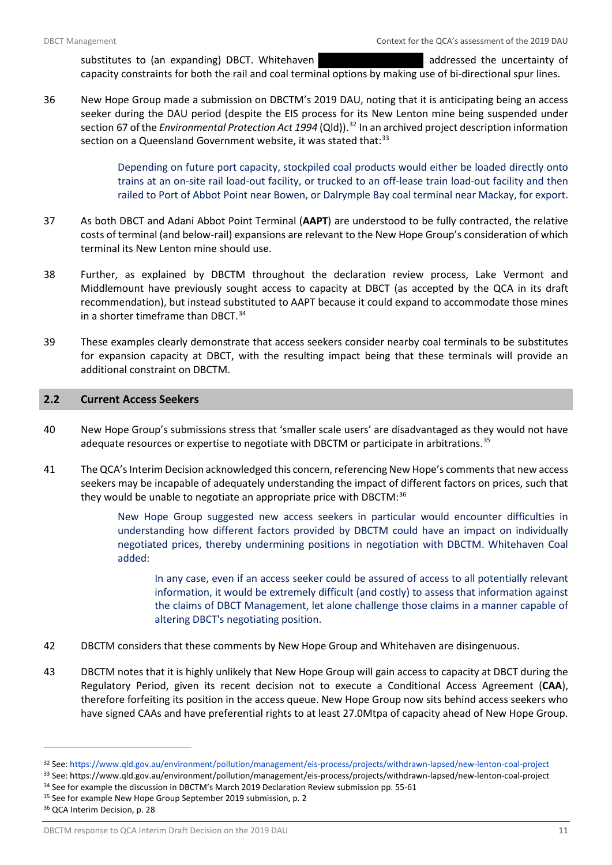substitutes to (an expanding) DBCT. Whitehaven and addressed the uncertainty of

capacity constraints for both the rail and coal terminal options by making use of bi-directional spur lines.

36 New Hope Group made a submission on DBCTM's 2019 DAU, noting that it is anticipating being an access seeker during the DAU period (despite the EIS process for its New Lenton mine being suspended under section 67 of the *Environmental Protection Act 1994* (Qld)).<sup>[32](#page-12-1)</sup> In an archived project description information section on a Queensland Government website, it was stated that:<sup>[33](#page-12-2)</sup>

> Depending on future port capacity, stockpiled coal products would either be loaded directly onto trains at an on-site rail load-out facility, or trucked to an off-lease train load-out facility and then railed to Port of Abbot Point near Bowen, or Dalrymple Bay coal terminal near Mackay, for export.

- 37 As both DBCT and Adani Abbot Point Terminal (**AAPT**) are understood to be fully contracted, the relative costs of terminal (and below-rail) expansions are relevant to the New Hope Group's consideration of which terminal its New Lenton mine should use.
- 38 Further, as explained by DBCTM throughout the declaration review process, Lake Vermont and Middlemount have previously sought access to capacity at DBCT (as accepted by the QCA in its draft recommendation), but instead substituted to AAPT because it could expand to accommodate those mines in a shorter timeframe than DBCT.<sup>[34](#page-12-3)</sup>
- 39 These examples clearly demonstrate that access seekers consider nearby coal terminals to be substitutes for expansion capacity at DBCT, with the resulting impact being that these terminals will provide an additional constraint on DBCTM.

## <span id="page-12-0"></span>**2.2 Current Access Seekers**

- 40 New Hope Group's submissions stress that 'smaller scale users' are disadvantaged as they would not have adequate resources or expertise to negotiate with DBCTM or participate in arbitrations.<sup>[35](#page-12-4)</sup>
- 41 The QCA's Interim Decision acknowledged this concern, referencing New Hope's comments that new access seekers may be incapable of adequately understanding the impact of different factors on prices, such that they would be unable to negotiate an appropriate price with DBCTM:<sup>[36](#page-12-5)</sup>

New Hope Group suggested new access seekers in particular would encounter difficulties in understanding how different factors provided by DBCTM could have an impact on individually negotiated prices, thereby undermining positions in negotiation with DBCTM. Whitehaven Coal added:

In any case, even if an access seeker could be assured of access to all potentially relevant information, it would be extremely difficult (and costly) to assess that information against the claims of DBCT Management, let alone challenge those claims in a manner capable of altering DBCT's negotiating position.

- 42 DBCTM considers that these comments by New Hope Group and Whitehaven are disingenuous.
- 43 DBCTM notes that it is highly unlikely that New Hope Group will gain access to capacity at DBCT during the Regulatory Period, given its recent decision not to execute a Conditional Access Agreement (**CAA**), therefore forfeiting its position in the access queue. New Hope Group now sits behind access seekers who have signed CAAs and have preferential rights to at least 27.0Mtpa of capacity ahead of New Hope Group.

<span id="page-12-1"></span><sup>&</sup>lt;sup>32</sup> See: https://www.qld.gov.au/environment/pollution/management/eis-process/projects/withdrawn-lapsed/new-lenton-coal-project<br><sup>33</sup> See: https://www.qld.gov.au/environment/pollution/management/eis-process/projects/withdra

<span id="page-12-3"></span><span id="page-12-2"></span> $34$  See for example the discussion in DBCTM's March 2019 Declaration Review submission pp. 55-61  $35$  See for example New Hope Group September 2019 submission, p. 2

<span id="page-12-4"></span>

<span id="page-12-5"></span><sup>36</sup> QCA Interim Decision, p. 28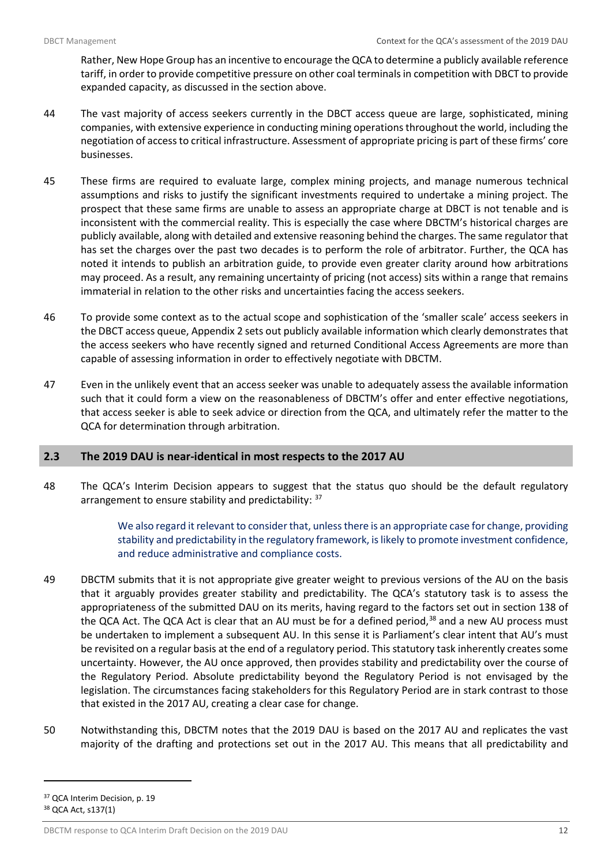Rather, New Hope Group has an incentive to encourage the QCA to determine a publicly available reference tariff, in order to provide competitive pressure on other coal terminals in competition with DBCT to provide expanded capacity, as discussed in the section above.

- 44 The vast majority of access seekers currently in the DBCT access queue are large, sophisticated, mining companies, with extensive experience in conducting mining operationsthroughout the world, including the negotiation of access to critical infrastructure. Assessment of appropriate pricing is part of these firms' core businesses.
- 45 These firms are required to evaluate large, complex mining projects, and manage numerous technical assumptions and risks to justify the significant investments required to undertake a mining project. The prospect that these same firms are unable to assess an appropriate charge at DBCT is not tenable and is inconsistent with the commercial reality. This is especially the case where DBCTM's historical charges are publicly available, along with detailed and extensive reasoning behind the charges. The same regulator that has set the charges over the past two decades is to perform the role of arbitrator. Further, the QCA has noted it intends to publish an arbitration guide, to provide even greater clarity around how arbitrations may proceed. As a result, any remaining uncertainty of pricing (not access) sits within a range that remains immaterial in relation to the other risks and uncertainties facing the access seekers.
- 46 To provide some context as to the actual scope and sophistication of the 'smaller scale' access seekers in the DBCT access queue, Appendix 2 sets out publicly available information which clearly demonstrates that the access seekers who have recently signed and returned Conditional Access Agreements are more than capable of assessing information in order to effectively negotiate with DBCTM.
- 47 Even in the unlikely event that an access seeker was unable to adequately assess the available information such that it could form a view on the reasonableness of DBCTM's offer and enter effective negotiations, that access seeker is able to seek advice or direction from the QCA, and ultimately refer the matter to the QCA for determination through arbitration.

## <span id="page-13-0"></span>**2.3 The 2019 DAU is near-identical in most respects to the 2017 AU**

48 The QCA's Interim Decision appears to suggest that the status quo should be the default regulatory arrangement to ensure stability and predictability: <sup>37</sup>

> We also regard it relevant to consider that, unless there is an appropriate case for change, providing stability and predictability in the regulatory framework, is likely to promote investment confidence, and reduce administrative and compliance costs.

- 49 DBCTM submits that it is not appropriate give greater weight to previous versions of the AU on the basis that it arguably provides greater stability and predictability. The QCA's statutory task is to assess the appropriateness of the submitted DAU on its merits, having regard to the factors set out in section 138 of the QCA Act. The QCA Act is clear that an AU must be for a defined period,<sup>[38](#page-13-2)</sup> and a new AU process must be undertaken to implement a subsequent AU. In this sense it is Parliament's clear intent that AU's must be revisited on a regular basis at the end of a regulatory period. This statutory task inherently creates some uncertainty. However, the AU once approved, then provides stability and predictability over the course of the Regulatory Period. Absolute predictability beyond the Regulatory Period is not envisaged by the legislation. The circumstances facing stakeholders for this Regulatory Period are in stark contrast to those that existed in the 2017 AU, creating a clear case for change.
- 50 Notwithstanding this, DBCTM notes that the 2019 DAU is based on the 2017 AU and replicates the vast majority of the drafting and protections set out in the 2017 AU. This means that all predictability and

<span id="page-13-2"></span><span id="page-13-1"></span><sup>&</sup>lt;sup>37</sup> QCA Interim Decision, p. 19 <sup>38</sup> QCA Act, s137(1)

DBCTM response to QCA Interim Draft Decision on the 2019 DAU 12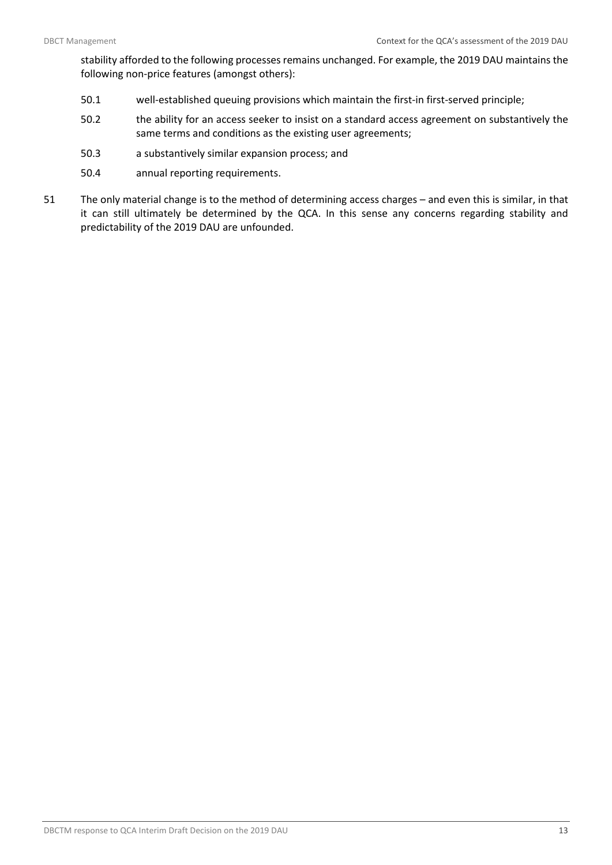stability afforded to the following processes remains unchanged. For example, the 2019 DAU maintains the following non-price features (amongst others):

- 50.1 well-established queuing provisions which maintain the first-in first-served principle;
- 50.2 the ability for an access seeker to insist on a standard access agreement on substantively the same terms and conditions as the existing user agreements;
- 50.3 a substantively similar expansion process; and
- 50.4 annual reporting requirements.
- 51 The only material change is to the method of determining access charges and even this is similar, in that it can still ultimately be determined by the QCA. In this sense any concerns regarding stability and predictability of the 2019 DAU are unfounded.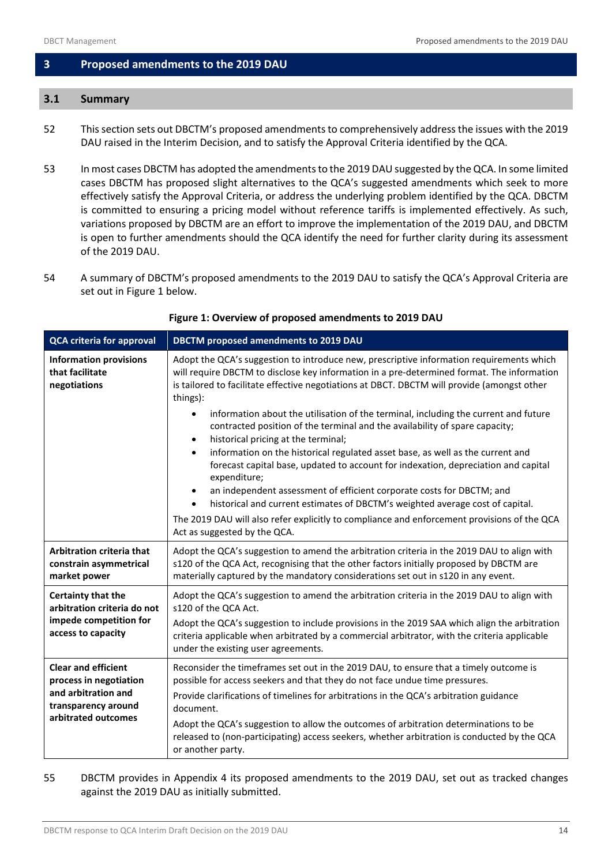## <span id="page-15-0"></span>**3 Proposed amendments to the 2019 DAU**

## <span id="page-15-1"></span>**3.1 Summary**

- 52 This section sets out DBCTM's proposed amendments to comprehensively address the issues with the 2019 DAU raised in the Interim Decision, and to satisfy the Approval Criteria identified by the QCA.
- 53 In most cases DBCTM has adopted the amendmentsto the 2019 DAU suggested by the QCA. In some limited cases DBCTM has proposed slight alternatives to the QCA's suggested amendments which seek to more effectively satisfy the Approval Criteria, or address the underlying problem identified by the QCA. DBCTM is committed to ensuring a pricing model without reference tariffs is implemented effectively. As such, variations proposed by DBCTM are an effort to improve the implementation of the 2019 DAU, and DBCTM is open to further amendments should the QCA identify the need for further clarity during its assessment of the 2019 DAU.
- 54 A summary of DBCTM's proposed amendments to the 2019 DAU to satisfy the QCA's Approval Criteria are set out in Figure 1 below.

<span id="page-15-2"></span>

| <b>QCA criteria for approval</b>                                                                                          | <b>DBCTM</b> proposed amendments to 2019 DAU                                                                                                                                                                                                                                                                                                                                                                                                                                                                                                                                                                                                                                                                                                                                                                                                                                                                                                                                                                                                                     |  |  |  |
|---------------------------------------------------------------------------------------------------------------------------|------------------------------------------------------------------------------------------------------------------------------------------------------------------------------------------------------------------------------------------------------------------------------------------------------------------------------------------------------------------------------------------------------------------------------------------------------------------------------------------------------------------------------------------------------------------------------------------------------------------------------------------------------------------------------------------------------------------------------------------------------------------------------------------------------------------------------------------------------------------------------------------------------------------------------------------------------------------------------------------------------------------------------------------------------------------|--|--|--|
| <b>Information provisions</b><br>that facilitate<br>negotiations                                                          | Adopt the QCA's suggestion to introduce new, prescriptive information requirements which<br>will require DBCTM to disclose key information in a pre-determined format. The information<br>is tailored to facilitate effective negotiations at DBCT. DBCTM will provide (amongst other<br>things):<br>information about the utilisation of the terminal, including the current and future<br>$\bullet$<br>contracted position of the terminal and the availability of spare capacity;<br>historical pricing at the terminal;<br>$\bullet$<br>information on the historical regulated asset base, as well as the current and<br>$\bullet$<br>forecast capital base, updated to account for indexation, depreciation and capital<br>expenditure;<br>an independent assessment of efficient corporate costs for DBCTM; and<br>$\bullet$<br>historical and current estimates of DBCTM's weighted average cost of capital.<br>$\bullet$<br>The 2019 DAU will also refer explicitly to compliance and enforcement provisions of the QCA<br>Act as suggested by the QCA. |  |  |  |
| Arbitration criteria that<br>constrain asymmetrical<br>market power                                                       | Adopt the QCA's suggestion to amend the arbitration criteria in the 2019 DAU to align with<br>s120 of the QCA Act, recognising that the other factors initially proposed by DBCTM are<br>materially captured by the mandatory considerations set out in s120 in any event.                                                                                                                                                                                                                                                                                                                                                                                                                                                                                                                                                                                                                                                                                                                                                                                       |  |  |  |
| Certainty that the<br>arbitration criteria do not<br>impede competition for<br>access to capacity                         | Adopt the QCA's suggestion to amend the arbitration criteria in the 2019 DAU to align with<br>s120 of the QCA Act.<br>Adopt the QCA's suggestion to include provisions in the 2019 SAA which align the arbitration<br>criteria applicable when arbitrated by a commercial arbitrator, with the criteria applicable<br>under the existing user agreements.                                                                                                                                                                                                                                                                                                                                                                                                                                                                                                                                                                                                                                                                                                        |  |  |  |
| <b>Clear and efficient</b><br>process in negotiation<br>and arbitration and<br>transparency around<br>arbitrated outcomes | Reconsider the timeframes set out in the 2019 DAU, to ensure that a timely outcome is<br>possible for access seekers and that they do not face undue time pressures.<br>Provide clarifications of timelines for arbitrations in the QCA's arbitration guidance<br>document.<br>Adopt the QCA's suggestion to allow the outcomes of arbitration determinations to be<br>released to (non-participating) access seekers, whether arbitration is conducted by the QCA<br>or another party.                                                                                                                                                                                                                                                                                                                                                                                                                                                                                                                                                                          |  |  |  |

#### **Figure 1: Overview of proposed amendments to 2019 DAU**

55 DBCTM provides in Appendix 4 its proposed amendments to the 2019 DAU, set out as tracked changes against the 2019 DAU as initially submitted.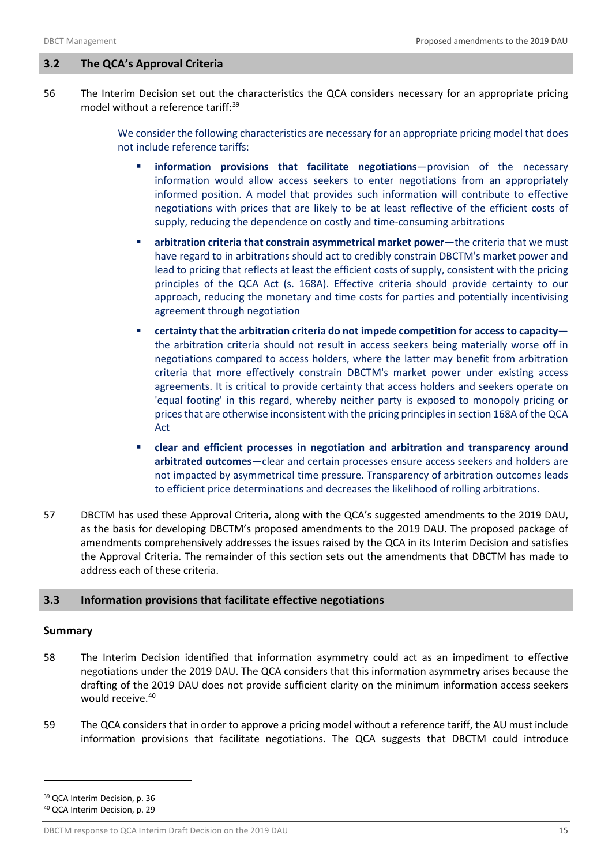## <span id="page-16-0"></span>**3.2 The QCA's Approval Criteria**

56 The Interim Decision set out the characteristics the QCA considers necessary for an appropriate pricing model without a reference tariff:<sup>[39](#page-16-2)</sup>

> We consider the following characteristics are necessary for an appropriate pricing model that does not include reference tariffs:

- **information provisions that facilitate negotiations**—provision of the necessary information would allow access seekers to enter negotiations from an appropriately informed position. A model that provides such information will contribute to effective negotiations with prices that are likely to be at least reflective of the efficient costs of supply, reducing the dependence on costly and time-consuming arbitrations
- **arbitration criteria that constrain asymmetrical market power—the criteria that we must** have regard to in arbitrations should act to credibly constrain DBCTM's market power and lead to pricing that reflects at least the efficient costs of supply, consistent with the pricing principles of the QCA Act (s. 168A). Effective criteria should provide certainty to our approach, reducing the monetary and time costs for parties and potentially incentivising agreement through negotiation
- **certainty that the arbitration criteria do not impede competition for access to capacity** the arbitration criteria should not result in access seekers being materially worse off in negotiations compared to access holders, where the latter may benefit from arbitration criteria that more effectively constrain DBCTM's market power under existing access agreements. It is critical to provide certainty that access holders and seekers operate on 'equal footing' in this regard, whereby neither party is exposed to monopoly pricing or prices that are otherwise inconsistent with the pricing principles in section 168A of the QCA Act
- **clear and efficient processes in negotiation and arbitration and transparency around arbitrated outcomes**—clear and certain processes ensure access seekers and holders are not impacted by asymmetrical time pressure. Transparency of arbitration outcomes leads to efficient price determinations and decreases the likelihood of rolling arbitrations.
- 57 DBCTM has used these Approval Criteria, along with the QCA's suggested amendments to the 2019 DAU, as the basis for developing DBCTM's proposed amendments to the 2019 DAU. The proposed package of amendments comprehensively addresses the issues raised by the QCA in its Interim Decision and satisfies the Approval Criteria. The remainder of this section sets out the amendments that DBCTM has made to address each of these criteria.

## <span id="page-16-1"></span>**3.3 Information provisions that facilitate effective negotiations**

## **Summary**

- 58 The Interim Decision identified that information asymmetry could act as an impediment to effective negotiations under the 2019 DAU. The QCA considers that this information asymmetry arises because the drafting of the 2019 DAU does not provide sufficient clarity on the minimum information access seekers would receive.<sup>40</sup>
- 59 The QCA considers that in order to approve a pricing model without a reference tariff, the AU must include information provisions that facilitate negotiations. The QCA suggests that DBCTM could introduce

<span id="page-16-2"></span><sup>39</sup> QCA Interim Decision, p. 36

<span id="page-16-3"></span><sup>40</sup> QCA Interim Decision, p. 29

DBCTM response to QCA Interim Draft Decision on the 2019 DAU 15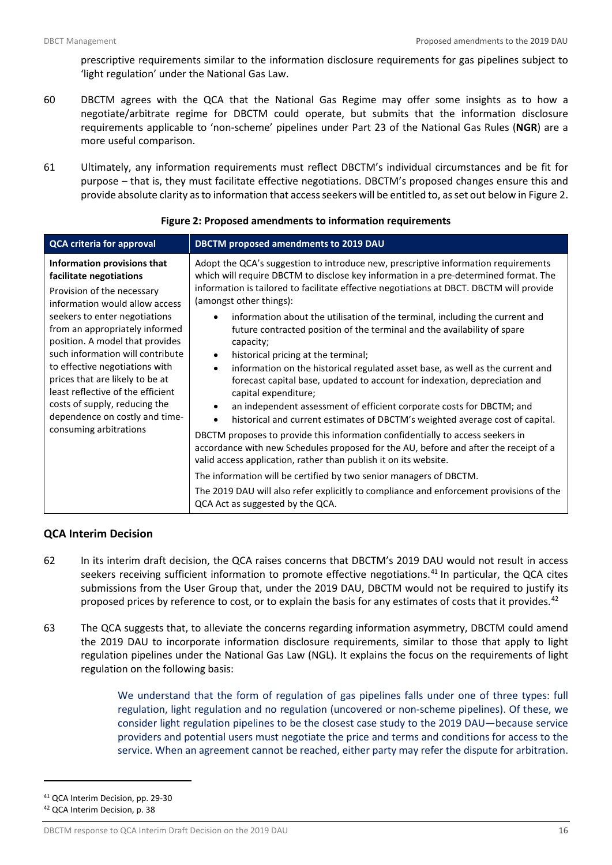prescriptive requirements similar to the information disclosure requirements for gas pipelines subject to 'light regulation' under the National Gas Law.

- 60 DBCTM agrees with the QCA that the National Gas Regime may offer some insights as to how a negotiate/arbitrate regime for DBCTM could operate, but submits that the information disclosure requirements applicable to 'non-scheme' pipelines under Part 23 of the National Gas Rules (**NGR**) are a more useful comparison.
- 61 Ultimately, any information requirements must reflect DBCTM's individual circumstances and be fit for purpose – that is, they must facilitate effective negotiations. DBCTM's proposed changes ensure this and provide absolute clarity as to information that access seekers will be entitled to, as set out below in Figure 2.

<span id="page-17-0"></span>

| <b>QCA criteria for approval</b>                                                                                                                                                                                                                                                                                                                                                                                                                                        | DBCTM proposed amendments to 2019 DAU                                                                                                                                                                                                                                                                                                                                                                                                                                                                                                                                                                                                                                                                                                                                                                                                                                                                                                                                                                                  |  |  |  |
|-------------------------------------------------------------------------------------------------------------------------------------------------------------------------------------------------------------------------------------------------------------------------------------------------------------------------------------------------------------------------------------------------------------------------------------------------------------------------|------------------------------------------------------------------------------------------------------------------------------------------------------------------------------------------------------------------------------------------------------------------------------------------------------------------------------------------------------------------------------------------------------------------------------------------------------------------------------------------------------------------------------------------------------------------------------------------------------------------------------------------------------------------------------------------------------------------------------------------------------------------------------------------------------------------------------------------------------------------------------------------------------------------------------------------------------------------------------------------------------------------------|--|--|--|
| Information provisions that<br>facilitate negotiations<br>Provision of the necessary<br>information would allow access<br>seekers to enter negotiations<br>from an appropriately informed<br>position. A model that provides<br>such information will contribute<br>to effective negotiations with<br>prices that are likely to be at<br>least reflective of the efficient<br>costs of supply, reducing the<br>dependence on costly and time-<br>consuming arbitrations | Adopt the QCA's suggestion to introduce new, prescriptive information requirements<br>which will require DBCTM to disclose key information in a pre-determined format. The<br>information is tailored to facilitate effective negotiations at DBCT. DBCTM will provide<br>(amongst other things):<br>information about the utilisation of the terminal, including the current and<br>$\bullet$<br>future contracted position of the terminal and the availability of spare<br>capacity;<br>historical pricing at the terminal;<br>$\bullet$<br>information on the historical regulated asset base, as well as the current and<br>$\bullet$<br>forecast capital base, updated to account for indexation, depreciation and<br>capital expenditure;<br>an independent assessment of efficient corporate costs for DBCTM; and<br>$\bullet$<br>historical and current estimates of DBCTM's weighted average cost of capital.<br>$\bullet$<br>DBCTM proposes to provide this information confidentially to access seekers in |  |  |  |
|                                                                                                                                                                                                                                                                                                                                                                                                                                                                         | accordance with new Schedules proposed for the AU, before and after the receipt of a<br>valid access application, rather than publish it on its website.                                                                                                                                                                                                                                                                                                                                                                                                                                                                                                                                                                                                                                                                                                                                                                                                                                                               |  |  |  |
|                                                                                                                                                                                                                                                                                                                                                                                                                                                                         | The information will be certified by two senior managers of DBCTM.                                                                                                                                                                                                                                                                                                                                                                                                                                                                                                                                                                                                                                                                                                                                                                                                                                                                                                                                                     |  |  |  |
|                                                                                                                                                                                                                                                                                                                                                                                                                                                                         | The 2019 DAU will also refer explicitly to compliance and enforcement provisions of the<br>QCA Act as suggested by the QCA.                                                                                                                                                                                                                                                                                                                                                                                                                                                                                                                                                                                                                                                                                                                                                                                                                                                                                            |  |  |  |

#### **Figure 2: Proposed amendments to information requirements**

## **QCA Interim Decision**

- 62 In its interim draft decision, the QCA raises concerns that DBCTM's 2019 DAU would not result in access seekers receiving sufficient information to promote effective negotiations.<sup>[41](#page-17-1)</sup> In particular, the QCA cites submissions from the User Group that, under the 2019 DAU, DBCTM would not be required to justify its proposed prices by reference to cost, or to explain the basis for any estimates of costs that it provides.<sup>[42](#page-17-2)</sup>
- 63 The QCA suggests that, to alleviate the concerns regarding information asymmetry, DBCTM could amend the 2019 DAU to incorporate information disclosure requirements, similar to those that apply to light regulation pipelines under the National Gas Law (NGL). It explains the focus on the requirements of light regulation on the following basis:

We understand that the form of regulation of gas pipelines falls under one of three types: full regulation, light regulation and no regulation (uncovered or non-scheme pipelines). Of these, we consider light regulation pipelines to be the closest case study to the 2019 DAU—because service providers and potential users must negotiate the price and terms and conditions for access to the service. When an agreement cannot be reached, either party may refer the dispute for arbitration.

<span id="page-17-1"></span><sup>41</sup> QCA Interim Decision, pp. 29-30

<span id="page-17-2"></span><sup>42</sup> QCA Interim Decision, p. 38

DBCTM response to QCA Interim Draft Decision on the 2019 DAU 16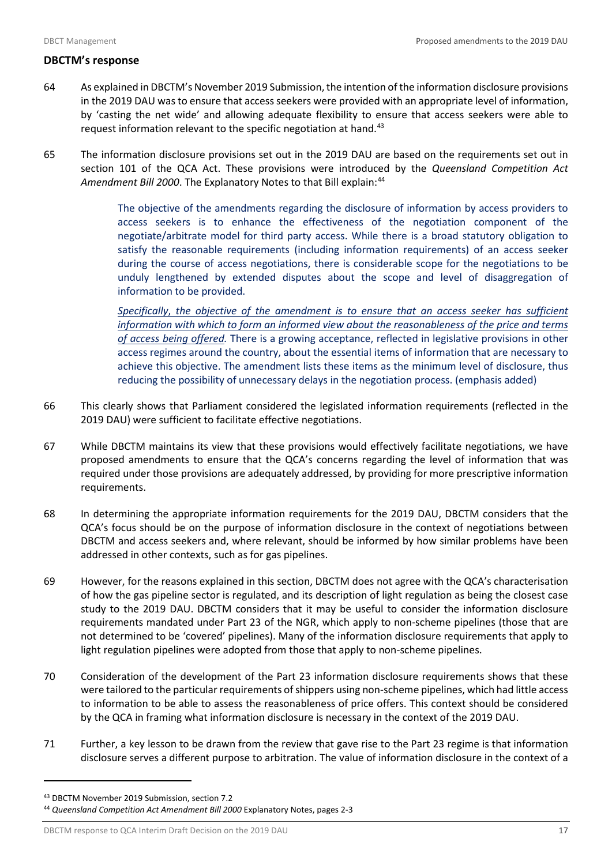## **DBCTM's response**

- 64 As explained in DBCTM's November 2019 Submission,the intention of the information disclosure provisions in the 2019 DAU was to ensure that access seekers were provided with an appropriate level of information, by 'casting the net wide' and allowing adequate flexibility to ensure that access seekers were able to request information relevant to the specific negotiation at hand.<sup>[43](#page-18-0)</sup>
- 65 The information disclosure provisions set out in the 2019 DAU are based on the requirements set out in section 101 of the QCA Act. These provisions were introduced by the *Queensland Competition Act*  Amendment Bill 2000. The Explanatory Notes to that Bill explain:<sup>[44](#page-18-1)</sup>

The objective of the amendments regarding the disclosure of information by access providers to access seekers is to enhance the effectiveness of the negotiation component of the negotiate/arbitrate model for third party access. While there is a broad statutory obligation to satisfy the reasonable requirements (including information requirements) of an access seeker during the course of access negotiations, there is considerable scope for the negotiations to be unduly lengthened by extended disputes about the scope and level of disaggregation of information to be provided.

*Specifically*, *the objective of the amendment is to ensure that an access seeker has sufficient information with which to form an informed view about the reasonableness of the price and terms of access being offered.* There is a growing acceptance, reflected in legislative provisions in other access regimes around the country, about the essential items of information that are necessary to achieve this objective. The amendment lists these items as the minimum level of disclosure, thus reducing the possibility of unnecessary delays in the negotiation process. (emphasis added)

- 66 This clearly shows that Parliament considered the legislated information requirements (reflected in the 2019 DAU) were sufficient to facilitate effective negotiations.
- 67 While DBCTM maintains its view that these provisions would effectively facilitate negotiations, we have proposed amendments to ensure that the QCA's concerns regarding the level of information that was required under those provisions are adequately addressed, by providing for more prescriptive information requirements.
- 68 In determining the appropriate information requirements for the 2019 DAU, DBCTM considers that the QCA's focus should be on the purpose of information disclosure in the context of negotiations between DBCTM and access seekers and, where relevant, should be informed by how similar problems have been addressed in other contexts, such as for gas pipelines.
- 69 However, for the reasons explained in this section, DBCTM does not agree with the QCA's characterisation of how the gas pipeline sector is regulated, and its description of light regulation as being the closest case study to the 2019 DAU. DBCTM considers that it may be useful to consider the information disclosure requirements mandated under Part 23 of the NGR, which apply to non-scheme pipelines (those that are not determined to be 'covered' pipelines). Many of the information disclosure requirements that apply to light regulation pipelines were adopted from those that apply to non-scheme pipelines.
- 70 Consideration of the development of the Part 23 information disclosure requirements shows that these were tailored to the particular requirements of shippers using non-scheme pipelines, which had little access to information to be able to assess the reasonableness of price offers. This context should be considered by the QCA in framing what information disclosure is necessary in the context of the 2019 DAU.
- 71 Further, a key lesson to be drawn from the review that gave rise to the Part 23 regime is that information disclosure serves a different purpose to arbitration. The value of information disclosure in the context of a

<span id="page-18-0"></span><sup>43</sup> DBCTM November 2019 Submission, section 7.2

<span id="page-18-1"></span><sup>44</sup> *Queensland Competition Act Amendment Bill 2000* Explanatory Notes, pages 2-3

DBCTM response to QCA Interim Draft Decision on the 2019 DAU 17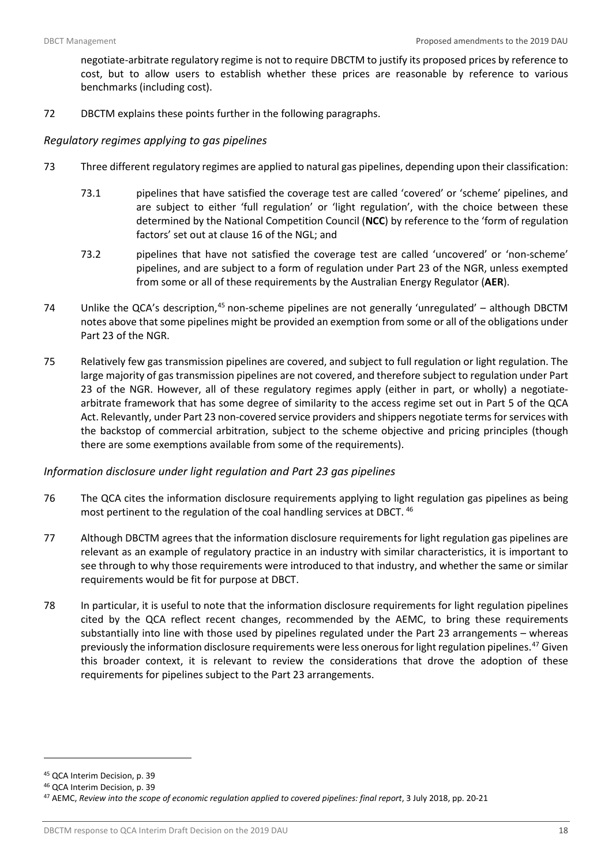negotiate-arbitrate regulatory regime is not to require DBCTM to justify its proposed prices by reference to cost, but to allow users to establish whether these prices are reasonable by reference to various benchmarks (including cost).

72 DBCTM explains these points further in the following paragraphs.

## *Regulatory regimes applying to gas pipelines*

- 73 Three different regulatory regimes are applied to natural gas pipelines, depending upon their classification:
	- 73.1 pipelines that have satisfied the coverage test are called 'covered' or 'scheme' pipelines, and are subject to either 'full regulation' or 'light regulation', with the choice between these determined by the National Competition Council (**NCC**) by reference to the 'form of regulation factors' set out at clause 16 of the NGL; and
	- 73.2 pipelines that have not satisfied the coverage test are called 'uncovered' or 'non-scheme' pipelines, and are subject to a form of regulation under Part 23 of the NGR, unless exempted from some or all of these requirements by the Australian Energy Regulator (**AER**).
- 74 Unlike the QCA's description, $45$  non-scheme pipelines are not generally 'unregulated' although DBCTM notes above that some pipelines might be provided an exemption from some or all of the obligations under Part 23 of the NGR.
- 75 Relatively few gas transmission pipelines are covered, and subject to full regulation or light regulation. The large majority of gas transmission pipelines are not covered, and therefore subject to regulation under Part 23 of the NGR. However, all of these regulatory regimes apply (either in part, or wholly) a negotiatearbitrate framework that has some degree of similarity to the access regime set out in Part 5 of the QCA Act. Relevantly, under Part 23 non-covered service providers and shippers negotiate terms for services with the backstop of commercial arbitration, subject to the scheme objective and pricing principles (though there are some exemptions available from some of the requirements).

## *Information disclosure under light regulation and Part 23 gas pipelines*

- 76 The QCA cites the information disclosure requirements applying to light regulation gas pipelines as being most pertinent to the regulation of the coal handling services at DBCT. [46](#page-19-1)
- 77 Although DBCTM agrees that the information disclosure requirements for light regulation gas pipelines are relevant as an example of regulatory practice in an industry with similar characteristics, it is important to see through to why those requirements were introduced to that industry, and whether the same or similar requirements would be fit for purpose at DBCT.
- 78 In particular, it is useful to note that the information disclosure requirements for light regulation pipelines cited by the QCA reflect recent changes, recommended by the AEMC, to bring these requirements substantially into line with those used by pipelines regulated under the Part 23 arrangements – whereas previously the information disclosure requirements were less onerous for light regulation pipelines.<sup>[47](#page-19-2)</sup> Given this broader context, it is relevant to review the considerations that drove the adoption of these requirements for pipelines subject to the Part 23 arrangements.

<span id="page-19-0"></span><sup>45</sup> QCA Interim Decision, p. 39

<span id="page-19-1"></span><sup>46</sup> QCA Interim Decision, p. 39

<span id="page-19-2"></span><sup>47</sup> AEMC, *Review into the scope of economic regulation applied to covered pipelines: final report*, 3 July 2018, pp. 20-21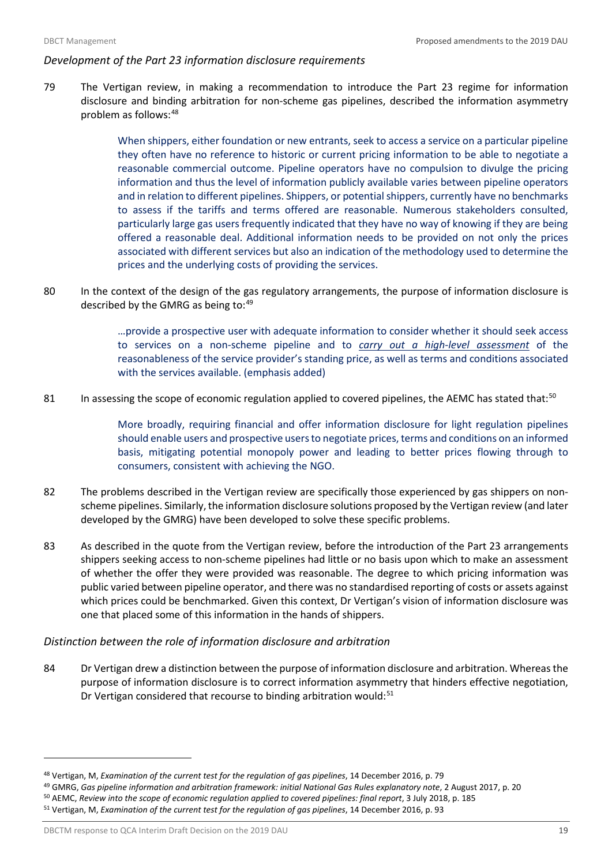## *Development of the Part 23 information disclosure requirements*

79 The Vertigan review, in making a recommendation to introduce the Part 23 regime for information disclosure and binding arbitration for non-scheme gas pipelines, described the information asymmetry problem as follows: [48](#page-20-0)

> When shippers, either foundation or new entrants, seek to access a service on a particular pipeline they often have no reference to historic or current pricing information to be able to negotiate a reasonable commercial outcome. Pipeline operators have no compulsion to divulge the pricing information and thus the level of information publicly available varies between pipeline operators and in relation to different pipelines. Shippers, or potential shippers, currently have no benchmarks to assess if the tariffs and terms offered are reasonable. Numerous stakeholders consulted, particularly large gas users frequently indicated that they have no way of knowing if they are being offered a reasonable deal. Additional information needs to be provided on not only the prices associated with different services but also an indication of the methodology used to determine the prices and the underlying costs of providing the services.

80 In the context of the design of the gas regulatory arrangements, the purpose of information disclosure is described by the GMRG as being to: [49](#page-20-1)

> …provide a prospective user with adequate information to consider whether it should seek access to services on a non-scheme pipeline and to *carry out a high-level assessment* of the reasonableness of the service provider's standing price, as well as terms and conditions associated with the services available. (emphasis added)

81 In assessing the scope of economic regulation applied to covered pipelines, the AEMC has stated that:<sup>[50](#page-20-2)</sup>

More broadly, requiring financial and offer information disclosure for light regulation pipelines should enable users and prospective users to negotiate prices, terms and conditions on an informed basis, mitigating potential monopoly power and leading to better prices flowing through to consumers, consistent with achieving the NGO.

- 82 The problems described in the Vertigan review are specifically those experienced by gas shippers on nonscheme pipelines. Similarly, the information disclosure solutions proposed by the Vertigan review (and later developed by the GMRG) have been developed to solve these specific problems.
- 83 As described in the quote from the Vertigan review, before the introduction of the Part 23 arrangements shippers seeking access to non-scheme pipelines had little or no basis upon which to make an assessment of whether the offer they were provided was reasonable. The degree to which pricing information was public varied between pipeline operator, and there was no standardised reporting of costs or assets against which prices could be benchmarked. Given this context, Dr Vertigan's vision of information disclosure was one that placed some of this information in the hands of shippers.

## *Distinction between the role of information disclosure and arbitration*

84 Dr Vertigan drew a distinction between the purpose of information disclosure and arbitration. Whereas the purpose of information disclosure is to correct information asymmetry that hinders effective negotiation, Dr Vertigan considered that recourse to binding arbitration would:<sup>[51](#page-20-3)</sup>

<span id="page-20-0"></span><sup>48</sup> Vertigan, M, *Examination of the current test for the regulation of gas pipelines*, 14 December 2016, p. 79

<span id="page-20-2"></span><span id="page-20-1"></span><sup>49</sup> GMRG, *Gas pipeline information and arbitration framework: initial National Gas Rules explanatory note*, 2 August 2017, p. 20 <sup>50</sup> AEMC, *Review into the scope of economic regulation applied to covered pipelines: final report*, 3 July 2018, p. 185

<span id="page-20-3"></span><sup>51</sup> Vertigan, M, *Examination of the current test for the regulation of gas pipelines*, 14 December 2016, p. 93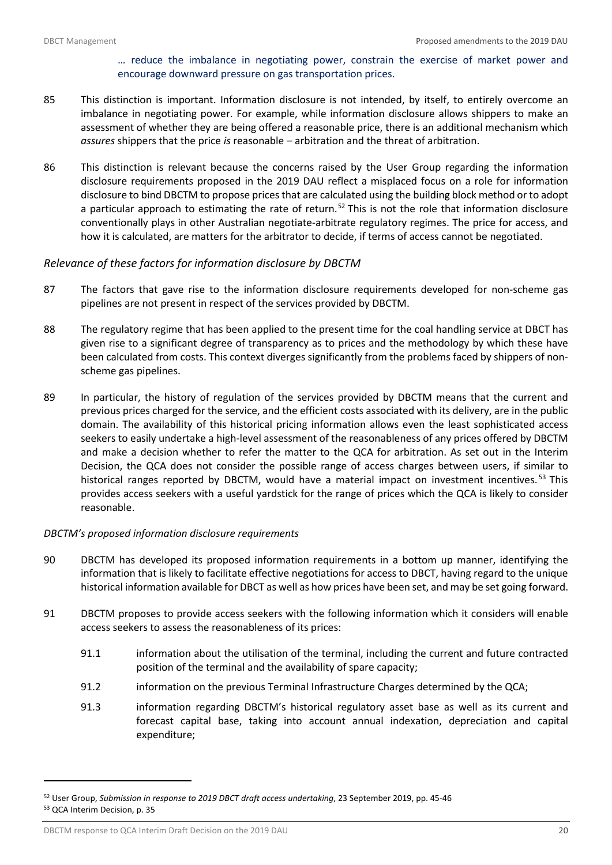## … reduce the imbalance in negotiating power, constrain the exercise of market power and encourage downward pressure on gas transportation prices.

- 85 This distinction is important. Information disclosure is not intended, by itself, to entirely overcome an imbalance in negotiating power. For example, while information disclosure allows shippers to make an assessment of whether they are being offered a reasonable price, there is an additional mechanism which *assures* shippers that the price *is* reasonable – arbitration and the threat of arbitration.
- 86 This distinction is relevant because the concerns raised by the User Group regarding the information disclosure requirements proposed in the 2019 DAU reflect a misplaced focus on a role for information disclosure to bind DBCTM to propose prices that are calculated using the building block method or to adopt a particular approach to estimating the rate of return.<sup>[52](#page-21-0)</sup> This is not the role that information disclosure conventionally plays in other Australian negotiate-arbitrate regulatory regimes. The price for access, and how it is calculated, are matters for the arbitrator to decide, if terms of access cannot be negotiated.

## *Relevance of these factors for information disclosure by DBCTM*

- 87 The factors that gave rise to the information disclosure requirements developed for non-scheme gas pipelines are not present in respect of the services provided by DBCTM.
- 88 The regulatory regime that has been applied to the present time for the coal handling service at DBCT has given rise to a significant degree of transparency as to prices and the methodology by which these have been calculated from costs. This context diverges significantly from the problems faced by shippers of nonscheme gas pipelines.
- 89 In particular, the history of regulation of the services provided by DBCTM means that the current and previous prices charged for the service, and the efficient costs associated with its delivery, are in the public domain. The availability of this historical pricing information allows even the least sophisticated access seekers to easily undertake a high-level assessment of the reasonableness of any prices offered by DBCTM and make a decision whether to refer the matter to the QCA for arbitration. As set out in the Interim Decision, the QCA does not consider the possible range of access charges between users, if similar to historical ranges reported by DBCTM, would have a material impact on investment incentives.<sup>[53](#page-21-1)</sup> This provides access seekers with a useful yardstick for the range of prices which the QCA is likely to consider reasonable.

## *DBCTM's proposed information disclosure requirements*

- 90 DBCTM has developed its proposed information requirements in a bottom up manner, identifying the information that is likely to facilitate effective negotiations for access to DBCT, having regard to the unique historical information available for DBCT as well as how prices have been set, and may be set going forward.
- 91 DBCTM proposes to provide access seekers with the following information which it considers will enable access seekers to assess the reasonableness of its prices:
	- 91.1 information about the utilisation of the terminal, including the current and future contracted position of the terminal and the availability of spare capacity;
	- 91.2 information on the previous Terminal Infrastructure Charges determined by the QCA;
	- 91.3 information regarding DBCTM's historical regulatory asset base as well as its current and forecast capital base, taking into account annual indexation, depreciation and capital expenditure;

<span id="page-21-1"></span><span id="page-21-0"></span><sup>52</sup> User Group, *Submission in response to 2019 DBCT draft access undertaking*, 23 September 2019, pp. 45-46 <sup>53</sup> QCA Interim Decision, p. 35

DBCTM response to QCA Interim Draft Decision on the 2019 DAU 20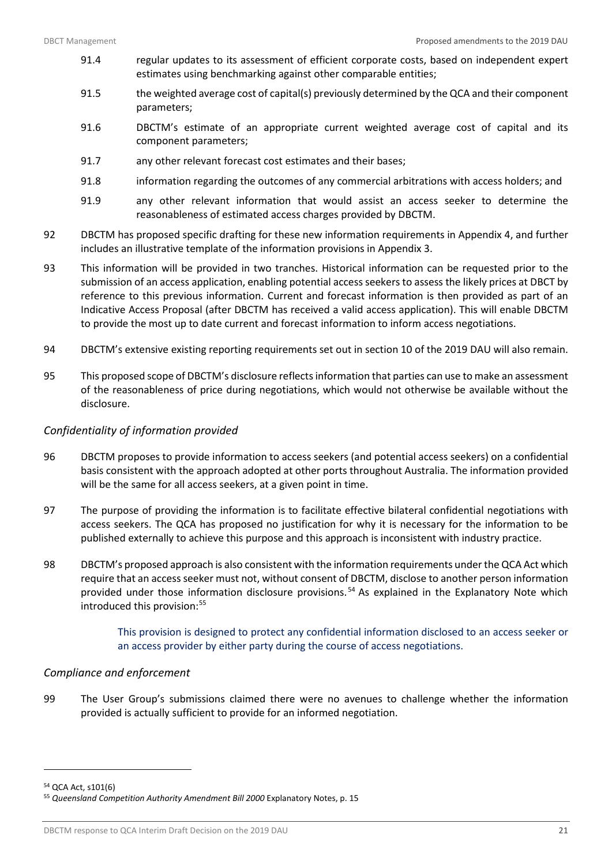- 91.4 regular updates to its assessment of efficient corporate costs, based on independent expert estimates using benchmarking against other comparable entities;
- 91.5 the weighted average cost of capital(s) previously determined by the QCA and their component parameters;
- 91.6 DBCTM's estimate of an appropriate current weighted average cost of capital and its component parameters;
- 91.7 any other relevant forecast cost estimates and their bases;
- 91.8 information regarding the outcomes of any commercial arbitrations with access holders; and
- 91.9 any other relevant information that would assist an access seeker to determine the reasonableness of estimated access charges provided by DBCTM.
- 92 DBCTM has proposed specific drafting for these new information requirements in Appendix 4, and further includes an illustrative template of the information provisions in Appendix 3.
- 93 This information will be provided in two tranches. Historical information can be requested prior to the submission of an access application, enabling potential access seekers to assess the likely prices at DBCT by reference to this previous information. Current and forecast information is then provided as part of an Indicative Access Proposal (after DBCTM has received a valid access application). This will enable DBCTM to provide the most up to date current and forecast information to inform access negotiations.
- 94 DBCTM's extensive existing reporting requirements set out in section 10 of the 2019 DAU will also remain.
- 95 This proposed scope of DBCTM's disclosure reflects information that parties can use to make an assessment of the reasonableness of price during negotiations, which would not otherwise be available without the disclosure.

## *Confidentiality of information provided*

- 96 DBCTM proposes to provide information to access seekers (and potential access seekers) on a confidential basis consistent with the approach adopted at other ports throughout Australia. The information provided will be the same for all access seekers, at a given point in time.
- 97 The purpose of providing the information is to facilitate effective bilateral confidential negotiations with access seekers. The QCA has proposed no justification for why it is necessary for the information to be published externally to achieve this purpose and this approach is inconsistent with industry practice.
- 98 DBCTM's proposed approach is also consistent with the information requirements under the QCA Act which require that an access seeker must not, without consent of DBCTM, disclose to another person information provided under those information disclosure provisions. [54](#page-22-0) As explained in the Explanatory Note which introduced this provision:<sup>[55](#page-22-1)</sup>

This provision is designed to protect any confidential information disclosed to an access seeker or an access provider by either party during the course of access negotiations.

## *Compliance and enforcement*

99 The User Group's submissions claimed there were no avenues to challenge whether the information provided is actually sufficient to provide for an informed negotiation.

<span id="page-22-0"></span><sup>54</sup> QCA Act, s101(6)

<span id="page-22-1"></span><sup>55</sup> *Queensland Competition Authority Amendment Bill 2000* Explanatory Notes, p. 15

DBCTM response to QCA Interim Draft Decision on the 2019 DAU 21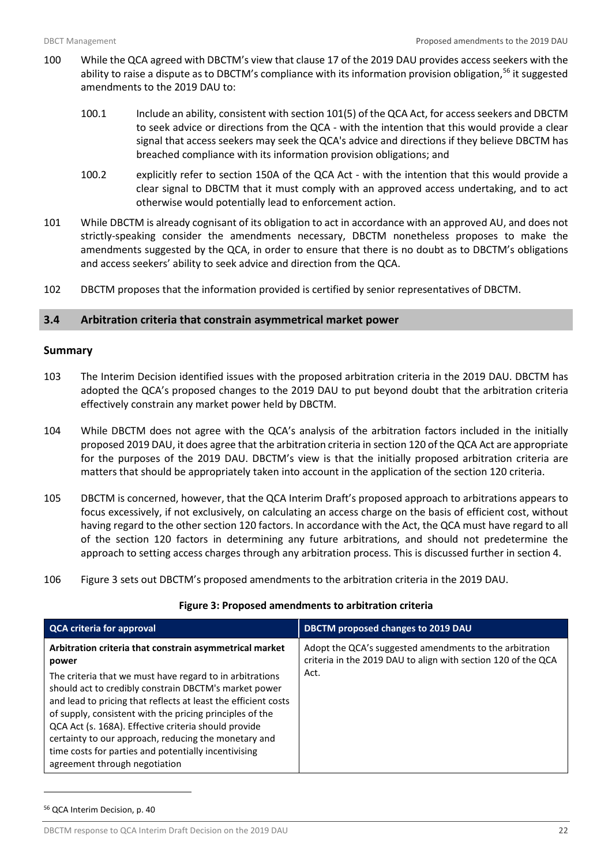- 100 While the QCA agreed with DBCTM's view that clause 17 of the 2019 DAU provides access seekers with the ability to raise a dispute as to DBCTM's compliance with its information provision obligation,<sup>[56](#page-23-2)</sup> it suggested amendments to the 2019 DAU to:
	- 100.1 Include an ability, consistent with section 101(5) of the QCA Act, for access seekers and DBCTM to seek advice or directions from the QCA - with the intention that this would provide a clear signal that access seekers may seek the QCA's advice and directions if they believe DBCTM has breached compliance with its information provision obligations; and
	- 100.2 explicitly refer to section 150A of the QCA Act with the intention that this would provide a clear signal to DBCTM that it must comply with an approved access undertaking, and to act otherwise would potentially lead to enforcement action.
- 101 While DBCTM is already cognisant of its obligation to act in accordance with an approved AU, and does not strictly-speaking consider the amendments necessary, DBCTM nonetheless proposes to make the amendments suggested by the QCA, in order to ensure that there is no doubt as to DBCTM's obligations and access seekers' ability to seek advice and direction from the QCA.
- 102 DBCTM proposes that the information provided is certified by senior representatives of DBCTM.

## <span id="page-23-0"></span>**3.4 Arbitration criteria that constrain asymmetrical market power**

## **Summary**

- 103 The Interim Decision identified issues with the proposed arbitration criteria in the 2019 DAU. DBCTM has adopted the QCA's proposed changes to the 2019 DAU to put beyond doubt that the arbitration criteria effectively constrain any market power held by DBCTM.
- 104 While DBCTM does not agree with the QCA's analysis of the arbitration factors included in the initially proposed 2019 DAU, it does agree that the arbitration criteria in section 120 of the QCA Act are appropriate for the purposes of the 2019 DAU. DBCTM's view is that the initially proposed arbitration criteria are matters that should be appropriately taken into account in the application of the section 120 criteria.
- 105 DBCTM is concerned, however, that the QCA Interim Draft's proposed approach to arbitrations appears to focus excessively, if not exclusively, on calculating an access charge on the basis of efficient cost, without having regard to the other section 120 factors. In accordance with the Act, the QCA must have regard to all of the section 120 factors in determining any future arbitrations, and should not predetermine the approach to setting access charges through any arbitration process. This is discussed further in section 4.
- 106 Figure 3 sets out DBCTM's proposed amendments to the arbitration criteria in the 2019 DAU.

# **Figure 3: Proposed amendments to arbitration criteria**

<span id="page-23-1"></span>

| <b>QCA criteria for approval</b>                                                                                                                                                                                                                                                                                                                                                                                                                         | DBCTM proposed changes to 2019 DAU                                                                                       |
|----------------------------------------------------------------------------------------------------------------------------------------------------------------------------------------------------------------------------------------------------------------------------------------------------------------------------------------------------------------------------------------------------------------------------------------------------------|--------------------------------------------------------------------------------------------------------------------------|
| Arbitration criteria that constrain asymmetrical market<br>power                                                                                                                                                                                                                                                                                                                                                                                         | Adopt the QCA's suggested amendments to the arbitration<br>criteria in the 2019 DAU to align with section 120 of the QCA |
| The criteria that we must have regard to in arbitrations<br>should act to credibly constrain DBCTM's market power<br>and lead to pricing that reflects at least the efficient costs<br>of supply, consistent with the pricing principles of the<br>QCA Act (s. 168A). Effective criteria should provide<br>certainty to our approach, reducing the monetary and<br>time costs for parties and potentially incentivising<br>agreement through negotiation | Act.                                                                                                                     |

<span id="page-23-2"></span><sup>56</sup> QCA Interim Decision, p. 40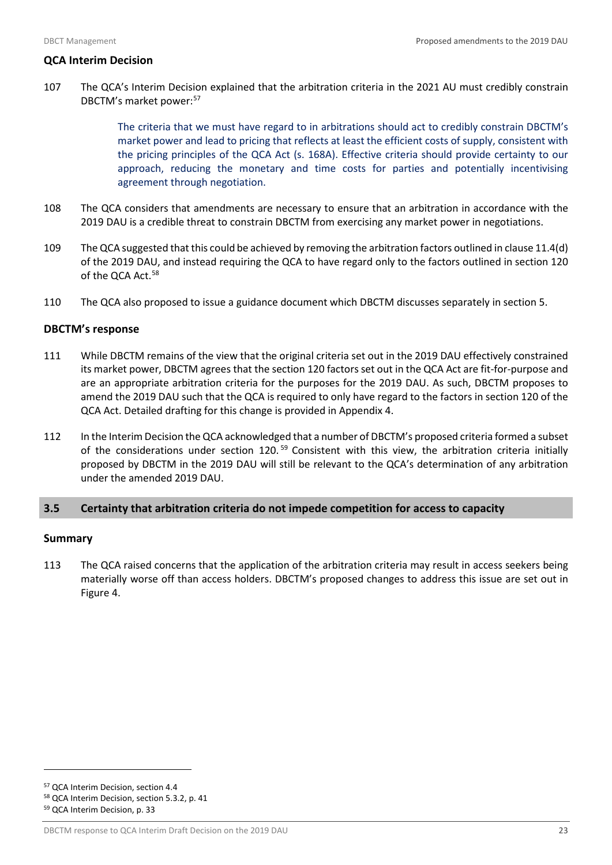## **QCA Interim Decision**

107 The QCA's Interim Decision explained that the arbitration criteria in the 2021 AU must credibly constrain DBCTM's market power:<sup>[57](#page-24-1)</sup>

> The criteria that we must have regard to in arbitrations should act to credibly constrain DBCTM's market power and lead to pricing that reflects at least the efficient costs of supply, consistent with the pricing principles of the QCA Act (s. 168A). Effective criteria should provide certainty to our approach, reducing the monetary and time costs for parties and potentially incentivising agreement through negotiation.

- 108 The QCA considers that amendments are necessary to ensure that an arbitration in accordance with the 2019 DAU is a credible threat to constrain DBCTM from exercising any market power in negotiations.
- 109 The QCA suggested that this could be achieved by removing the arbitration factors outlined in clause 11.4(d) of the 2019 DAU, and instead requiring the QCA to have regard only to the factors outlined in section 120 of the QCA Act.<sup>[58](#page-24-2)</sup>
- 110 The QCA also proposed to issue a guidance document which DBCTM discusses separately in section 5.

#### **DBCTM's response**

- 111 While DBCTM remains of the view that the original criteria set out in the 2019 DAU effectively constrained its market power, DBCTM agrees that the section 120 factors set out in the QCA Act are fit-for-purpose and are an appropriate arbitration criteria for the purposes for the 2019 DAU. As such, DBCTM proposes to amend the 2019 DAU such that the QCA is required to only have regard to the factors in section 120 of the QCA Act. Detailed drafting for this change is provided in Appendix 4.
- 112 In the Interim Decision the QCA acknowledged that a number of DBCTM's proposed criteria formed a subset of the considerations under section 120.<sup>[59](#page-24-3)</sup> Consistent with this view, the arbitration criteria initially proposed by DBCTM in the 2019 DAU will still be relevant to the QCA's determination of any arbitration under the amended 2019 DAU.

## <span id="page-24-0"></span>**3.5 Certainty that arbitration criteria do not impede competition for access to capacity**

## **Summary**

113 The QCA raised concerns that the application of the arbitration criteria may result in access seekers being materially worse off than access holders. DBCTM's proposed changes to address this issue are set out in Figure 4.

<span id="page-24-1"></span><sup>57</sup> QCA Interim Decision, section 4.4

<span id="page-24-2"></span><sup>58</sup> QCA Interim Decision, section 5.3.2, p. 41

<span id="page-24-3"></span><sup>59</sup> QCA Interim Decision, p. 33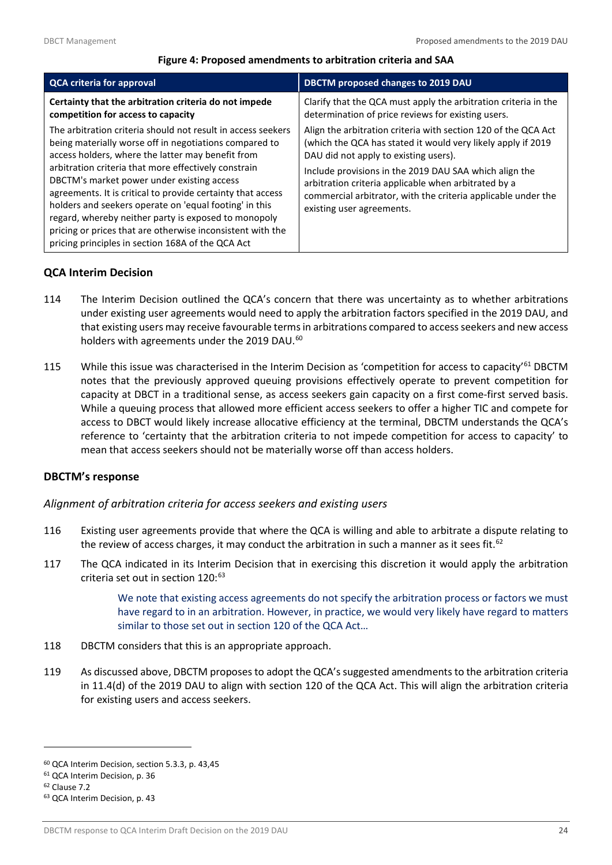#### **Figure 4: Proposed amendments to arbitration criteria and SAA**

<span id="page-25-0"></span>

| <b>QCA criteria for approval</b>                                                                                                                                                                                                                                                                                                                                                                                                                                                                                                                                                      | DBCTM proposed changes to 2019 DAU                                                                                                                                                                                                                                                                                                                                                      |
|---------------------------------------------------------------------------------------------------------------------------------------------------------------------------------------------------------------------------------------------------------------------------------------------------------------------------------------------------------------------------------------------------------------------------------------------------------------------------------------------------------------------------------------------------------------------------------------|-----------------------------------------------------------------------------------------------------------------------------------------------------------------------------------------------------------------------------------------------------------------------------------------------------------------------------------------------------------------------------------------|
| Certainty that the arbitration criteria do not impede<br>competition for access to capacity                                                                                                                                                                                                                                                                                                                                                                                                                                                                                           | Clarify that the QCA must apply the arbitration criteria in the<br>determination of price reviews for existing users.                                                                                                                                                                                                                                                                   |
| The arbitration criteria should not result in access seekers<br>being materially worse off in negotiations compared to<br>access holders, where the latter may benefit from<br>arbitration criteria that more effectively constrain<br>DBCTM's market power under existing access<br>agreements. It is critical to provide certainty that access<br>holders and seekers operate on 'equal footing' in this<br>regard, whereby neither party is exposed to monopoly<br>pricing or prices that are otherwise inconsistent with the<br>pricing principles in section 168A of the QCA Act | Align the arbitration criteria with section 120 of the QCA Act<br>(which the QCA has stated it would very likely apply if 2019<br>DAU did not apply to existing users).<br>Include provisions in the 2019 DAU SAA which align the<br>arbitration criteria applicable when arbitrated by a<br>commercial arbitrator, with the criteria applicable under the<br>existing user agreements. |

## **QCA Interim Decision**

- 114 The Interim Decision outlined the QCA's concern that there was uncertainty as to whether arbitrations under existing user agreements would need to apply the arbitration factors specified in the 2019 DAU, and that existing users may receive favourable terms in arbitrations compared to access seekers and new access holders with agreements under the 2019 DAU.<sup>[60](#page-25-1)</sup>
- 115 While this issue was characterised in the Interim Decision as 'competition for access to capacity'<sup>[61](#page-25-2)</sup> DBCTM notes that the previously approved queuing provisions effectively operate to prevent competition for capacity at DBCT in a traditional sense, as access seekers gain capacity on a first come-first served basis. While a queuing process that allowed more efficient access seekers to offer a higher TIC and compete for access to DBCT would likely increase allocative efficiency at the terminal, DBCTM understands the QCA's reference to 'certainty that the arbitration criteria to not impede competition for access to capacity' to mean that access seekers should not be materially worse off than access holders.

## **DBCTM's response**

## *Alignment of arbitration criteria for access seekers and existing users*

- 116 Existing user agreements provide that where the QCA is willing and able to arbitrate a dispute relating to the review of access charges, it may conduct the arbitration in such a manner as it sees fit.<sup>[62](#page-25-3)</sup>
- 117 The QCA indicated in its Interim Decision that in exercising this discretion it would apply the arbitration criteria set out in section  $120:^{63}$  $120:^{63}$  $120:^{63}$

We note that existing access agreements do not specify the arbitration process or factors we must have regard to in an arbitration. However, in practice, we would very likely have regard to matters similar to those set out in section 120 of the QCA Act…

- 118 DBCTM considers that this is an appropriate approach.
- 119 As discussed above, DBCTM proposes to adopt the QCA's suggested amendments to the arbitration criteria in 11.4(d) of the 2019 DAU to align with section 120 of the QCA Act. This will align the arbitration criteria for existing users and access seekers.

<span id="page-25-1"></span><sup>60</sup> QCA Interim Decision, section 5.3.3, p. 43,45

<span id="page-25-2"></span><sup>61</sup> QCA Interim Decision, p. 36

<span id="page-25-3"></span><sup>62</sup> Clause 7.2

<span id="page-25-4"></span><sup>63</sup> QCA Interim Decision, p. 43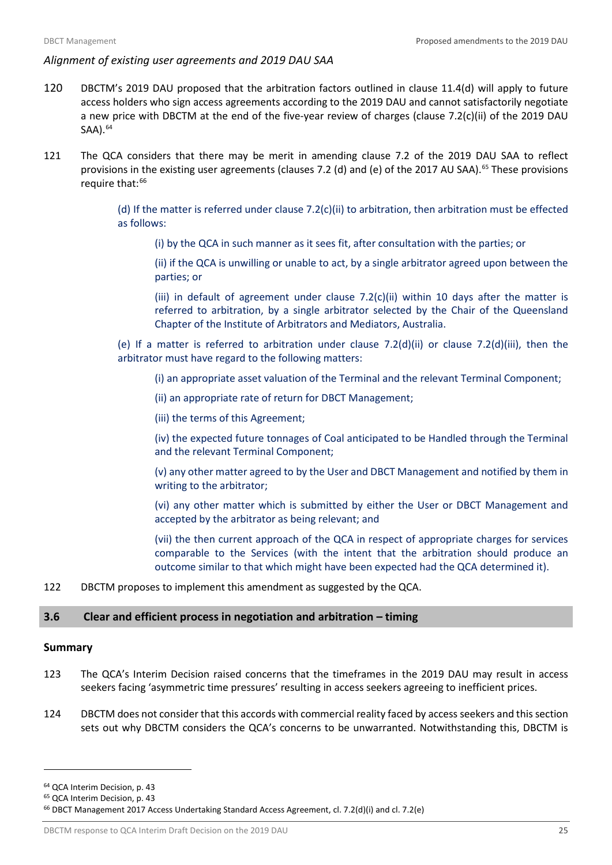## *Alignment of existing user agreements and 2019 DAU SAA*

- 120 DBCTM's 2019 DAU proposed that the arbitration factors outlined in clause 11.4(d) will apply to future access holders who sign access agreements according to the 2019 DAU and cannot satisfactorily negotiate a new price with DBCTM at the end of the five-year review of charges (clause 7.2(c)(ii) of the 2019 DAU SAA).<sup>[64](#page-26-1)</sup>
- 121 The QCA considers that there may be merit in amending clause 7.2 of the 2019 DAU SAA to reflect provisions in the existing user agreements (clauses 7.2 (d) and (e) of the 2017 AU SAA).<sup>[65](#page-26-2)</sup> These provisions require that:<sup>[66](#page-26-3)</sup>

(d) If the matter is referred under clause 7.2(c)(ii) to arbitration, then arbitration must be effected as follows:

(i) by the QCA in such manner as it sees fit, after consultation with the parties; or

(ii) if the QCA is unwilling or unable to act, by a single arbitrator agreed upon between the parties; or

(iii) in default of agreement under clause  $7.2(c)$ (ii) within 10 days after the matter is referred to arbitration, by a single arbitrator selected by the Chair of the Queensland Chapter of the Institute of Arbitrators and Mediators, Australia.

(e) If a matter is referred to arbitration under clause 7.2(d)(ii) or clause 7.2(d)(iii), then the arbitrator must have regard to the following matters:

(i) an appropriate asset valuation of the Terminal and the relevant Terminal Component;

(ii) an appropriate rate of return for DBCT Management;

(iii) the terms of this Agreement;

(iv) the expected future tonnages of Coal anticipated to be Handled through the Terminal and the relevant Terminal Component;

(v) any other matter agreed to by the User and DBCT Management and notified by them in writing to the arbitrator;

(vi) any other matter which is submitted by either the User or DBCT Management and accepted by the arbitrator as being relevant; and

(vii) the then current approach of the QCA in respect of appropriate charges for services comparable to the Services (with the intent that the arbitration should produce an outcome similar to that which might have been expected had the QCA determined it).

122 DBCTM proposes to implement this amendment as suggested by the QCA.

## <span id="page-26-0"></span>**3.6 Clear and efficient process in negotiation and arbitration – timing**

#### **Summary**

- 123 The QCA's Interim Decision raised concerns that the timeframes in the 2019 DAU may result in access seekers facing 'asymmetric time pressures' resulting in access seekers agreeing to inefficient prices.
- 124 DBCTM does not consider that this accords with commercial reality faced by access seekers and this section sets out why DBCTM considers the QCA's concerns to be unwarranted. Notwithstanding this, DBCTM is

<span id="page-26-1"></span><sup>64</sup> QCA Interim Decision, p. 43

<span id="page-26-2"></span><sup>65</sup> QCA Interim Decision, p. 43

<span id="page-26-3"></span><sup>66</sup> DBCT Management 2017 Access Undertaking Standard Access Agreement, cl. 7.2(d)(i) and cl. 7.2(e)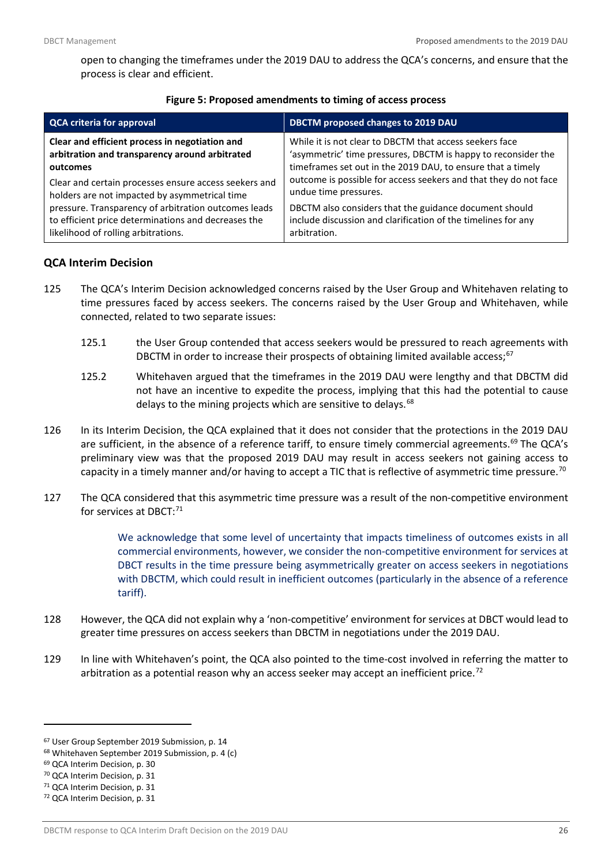open to changing the timeframes under the 2019 DAU to address the QCA's concerns, and ensure that the process is clear and efficient.

<span id="page-27-0"></span>

| <b>QCA criteria for approval</b>                      | DBCTM proposed changes to 2019 DAU                               |  |  |  |
|-------------------------------------------------------|------------------------------------------------------------------|--|--|--|
| Clear and efficient process in negotiation and        | While it is not clear to DBCTM that access seekers face          |  |  |  |
| arbitration and transparency around arbitrated        | 'asymmetric' time pressures, DBCTM is happy to reconsider the    |  |  |  |
| outcomes                                              | timeframes set out in the 2019 DAU, to ensure that a timely      |  |  |  |
| Clear and certain processes ensure access seekers and | outcome is possible for access seekers and that they do not face |  |  |  |
| holders are not impacted by asymmetrical time         | undue time pressures.                                            |  |  |  |
| pressure. Transparency of arbitration outcomes leads  | DBCTM also considers that the guidance document should           |  |  |  |
| to efficient price determinations and decreases the   | include discussion and clarification of the timelines for any    |  |  |  |
| likelihood of rolling arbitrations.                   | arbitration.                                                     |  |  |  |

#### **Figure 5: Proposed amendments to timing of access process**

## **QCA Interim Decision**

- 125 The QCA's Interim Decision acknowledged concerns raised by the User Group and Whitehaven relating to time pressures faced by access seekers. The concerns raised by the User Group and Whitehaven, while connected, related to two separate issues:
	- 125.1 the User Group contended that access seekers would be pressured to reach agreements with DBCTM in order to increase their prospects of obtaining limited available access;<sup>[67](#page-27-1)</sup>
	- 125.2 Whitehaven argued that the timeframes in the 2019 DAU were lengthy and that DBCTM did not have an incentive to expedite the process, implying that this had the potential to cause delays to the mining projects which are sensitive to delays.<sup>[68](#page-27-2)</sup>
- 126 In its Interim Decision, the QCA explained that it does not consider that the protections in the 2019 DAU are sufficient, in the absence of a reference tariff, to ensure timely commercial agreements.<sup>[69](#page-27-3)</sup> The QCA's preliminary view was that the proposed 2019 DAU may result in access seekers not gaining access to capacity in a timely manner and/or having to accept a TIC that is reflective of asymmetric time pressure.<sup>[70](#page-27-4)</sup>
- 127 The QCA considered that this asymmetric time pressure was a result of the non-competitive environment for services at DBCT:<sup>[71](#page-27-5)</sup>

We acknowledge that some level of uncertainty that impacts timeliness of outcomes exists in all commercial environments, however, we consider the non-competitive environment for services at DBCT results in the time pressure being asymmetrically greater on access seekers in negotiations with DBCTM, which could result in inefficient outcomes (particularly in the absence of a reference tariff).

- 128 However, the QCA did not explain why a 'non-competitive' environment for services at DBCT would lead to greater time pressures on access seekers than DBCTM in negotiations under the 2019 DAU.
- 129 In line with Whitehaven's point, the QCA also pointed to the time-cost involved in referring the matter to arbitration as a potential reason why an access seeker may accept an inefficient price.<sup>[72](#page-27-6)</sup>

<span id="page-27-1"></span><sup>67</sup> User Group September 2019 Submission, p. 14

<span id="page-27-2"></span><sup>68</sup> Whitehaven September 2019 Submission, p. 4 (c)

<span id="page-27-3"></span><sup>69</sup> QCA Interim Decision, p. 30

<span id="page-27-4"></span><sup>70</sup> QCA Interim Decision, p. 31

<span id="page-27-5"></span><sup>71</sup> QCA Interim Decision, p. 31

<span id="page-27-6"></span><sup>72</sup> QCA Interim Decision, p. 31

DBCTM response to QCA Interim Draft Decision on the 2019 DAU 26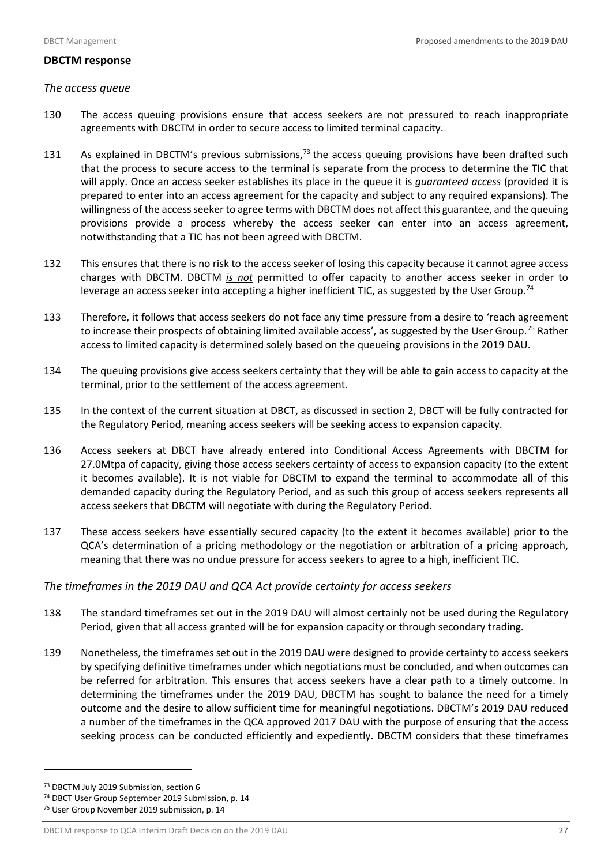#### **DBCTM response**

#### *The access queue*

- 130 The access queuing provisions ensure that access seekers are not pressured to reach inappropriate agreements with DBCTM in order to secure access to limited terminal capacity.
- 131 As explained in DBCTM's previous submissions, $73$  the access queuing provisions have been drafted such that the process to secure access to the terminal is separate from the process to determine the TIC that will apply. Once an access seeker establishes its place in the queue it is *guaranteed access* (provided it is prepared to enter into an access agreement for the capacity and subject to any required expansions). The willingness of the access seeker to agree terms with DBCTM does not affect this guarantee, and the queuing provisions provide a process whereby the access seeker can enter into an access agreement, notwithstanding that a TIC has not been agreed with DBCTM.
- 132 This ensures that there is no risk to the access seeker of losing this capacity because it cannot agree access charges with DBCTM. DBCTM *is not* permitted to offer capacity to another access seeker in order to leverage an access seeker into accepting a higher inefficient TIC, as suggested by the User Group.<sup>[74](#page-28-1)</sup>
- 133 Therefore, it follows that access seekers do not face any time pressure from a desire to 'reach agreement to increase their prospects of obtaining limited available access', as suggested by the User Group.<sup>[75](#page-28-2)</sup> Rather access to limited capacity is determined solely based on the queueing provisions in the 2019 DAU.
- 134 The queuing provisions give access seekers certainty that they will be able to gain access to capacity at the terminal, prior to the settlement of the access agreement.
- 135 In the context of the current situation at DBCT, as discussed in section 2, DBCT will be fully contracted for the Regulatory Period, meaning access seekers will be seeking access to expansion capacity.
- 136 Access seekers at DBCT have already entered into Conditional Access Agreements with DBCTM for 27.0Mtpa of capacity, giving those access seekers certainty of access to expansion capacity (to the extent it becomes available). It is not viable for DBCTM to expand the terminal to accommodate all of this demanded capacity during the Regulatory Period, and as such this group of access seekers represents all access seekers that DBCTM will negotiate with during the Regulatory Period.
- 137 These access seekers have essentially secured capacity (to the extent it becomes available) prior to the QCA's determination of a pricing methodology or the negotiation or arbitration of a pricing approach, meaning that there was no undue pressure for access seekers to agree to a high, inefficient TIC.

## *The timeframes in the 2019 DAU and QCA Act provide certainty for access seekers*

- 138 The standard timeframes set out in the 2019 DAU will almost certainly not be used during the Regulatory Period, given that all access granted will be for expansion capacity or through secondary trading.
- 139 Nonetheless, the timeframes set out in the 2019 DAU were designed to provide certainty to access seekers by specifying definitive timeframes under which negotiations must be concluded, and when outcomes can be referred for arbitration. This ensures that access seekers have a clear path to a timely outcome. In determining the timeframes under the 2019 DAU, DBCTM has sought to balance the need for a timely outcome and the desire to allow sufficient time for meaningful negotiations. DBCTM's 2019 DAU reduced a number of the timeframes in the QCA approved 2017 DAU with the purpose of ensuring that the access seeking process can be conducted efficiently and expediently. DBCTM considers that these timeframes

<span id="page-28-0"></span><sup>73</sup> DBCTM July 2019 Submission, section 6

<span id="page-28-1"></span><sup>74</sup> DBCT User Group September 2019 Submission, p. 14

<span id="page-28-2"></span><sup>75</sup> User Group November 2019 submission, p. 14

DBCTM response to QCA Interim Draft Decision on the 2019 DAU 27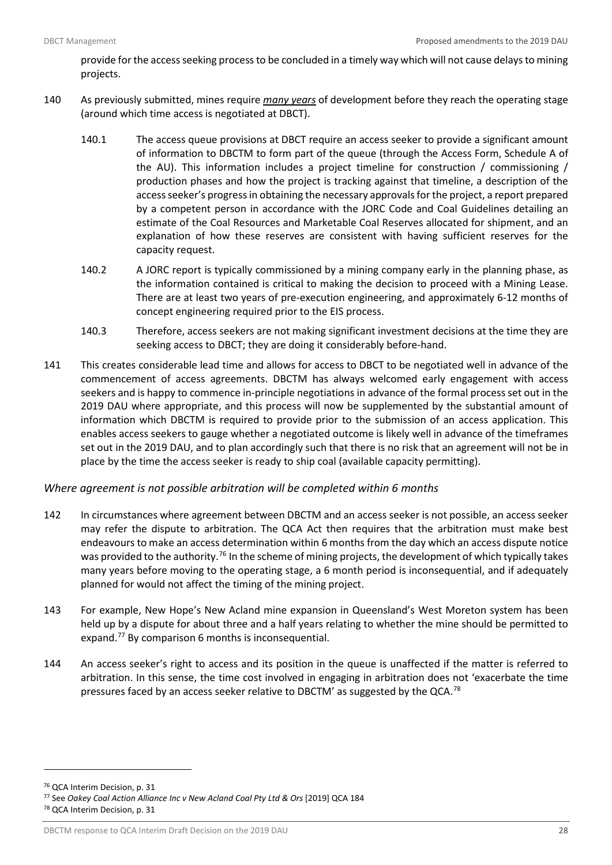provide for the access seeking process to be concluded in a timely way which will not cause delays to mining projects.

- 140 As previously submitted, mines require *many years* of development before they reach the operating stage (around which time access is negotiated at DBCT).
	- 140.1 The access queue provisions at DBCT require an access seeker to provide a significant amount of information to DBCTM to form part of the queue (through the Access Form, Schedule A of the AU). This information includes a project timeline for construction / commissioning / production phases and how the project is tracking against that timeline, a description of the access seeker's progress in obtaining the necessary approvals for the project, a report prepared by a competent person in accordance with the JORC Code and Coal Guidelines detailing an estimate of the Coal Resources and Marketable Coal Reserves allocated for shipment, and an explanation of how these reserves are consistent with having sufficient reserves for the capacity request.
	- 140.2 A JORC report is typically commissioned by a mining company early in the planning phase, as the information contained is critical to making the decision to proceed with a Mining Lease. There are at least two years of pre-execution engineering, and approximately 6-12 months of concept engineering required prior to the EIS process.
	- 140.3 Therefore, access seekers are not making significant investment decisions at the time they are seeking access to DBCT; they are doing it considerably before-hand.
- 141 This creates considerable lead time and allows for access to DBCT to be negotiated well in advance of the commencement of access agreements. DBCTM has always welcomed early engagement with access seekers and is happy to commence in-principle negotiations in advance of the formal process set out in the 2019 DAU where appropriate, and this process will now be supplemented by the substantial amount of information which DBCTM is required to provide prior to the submission of an access application. This enables access seekers to gauge whether a negotiated outcome is likely well in advance of the timeframes set out in the 2019 DAU, and to plan accordingly such that there is no risk that an agreement will not be in place by the time the access seeker is ready to ship coal (available capacity permitting).

## *Where agreement is not possible arbitration will be completed within 6 months*

- 142 In circumstances where agreement between DBCTM and an access seeker is not possible, an access seeker may refer the dispute to arbitration. The QCA Act then requires that the arbitration must make best endeavours to make an access determination within 6 months from the day which an access dispute notice was provided to the authority.<sup>[76](#page-29-0)</sup> In the scheme of mining projects, the development of which typically takes many years before moving to the operating stage, a 6 month period is inconsequential, and if adequately planned for would not affect the timing of the mining project.
- 143 For example, New Hope's New Acland mine expansion in Queensland's West Moreton system has been held up by a dispute for about three and a half years relating to whether the mine should be permitted to expand.<sup>[77](#page-29-1)</sup> By comparison 6 months is inconsequential.
- 144 An access seeker's right to access and its position in the queue is unaffected if the matter is referred to arbitration. In this sense, the time cost involved in engaging in arbitration does not 'exacerbate the time pressures faced by an access seeker relative to DBCTM' as suggested by the QCA.<sup>[78](#page-29-2)</sup>

<span id="page-29-0"></span><sup>76</sup> QCA Interim Decision, p. 31

<span id="page-29-1"></span><sup>77</sup> See *Oakey Coal Action Alliance Inc v New Acland Coal Pty Ltd & Ors* [2019] QCA 184

<span id="page-29-2"></span><sup>78</sup> QCA Interim Decision, p. 31

DBCTM response to QCA Interim Draft Decision on the 2019 DAU 28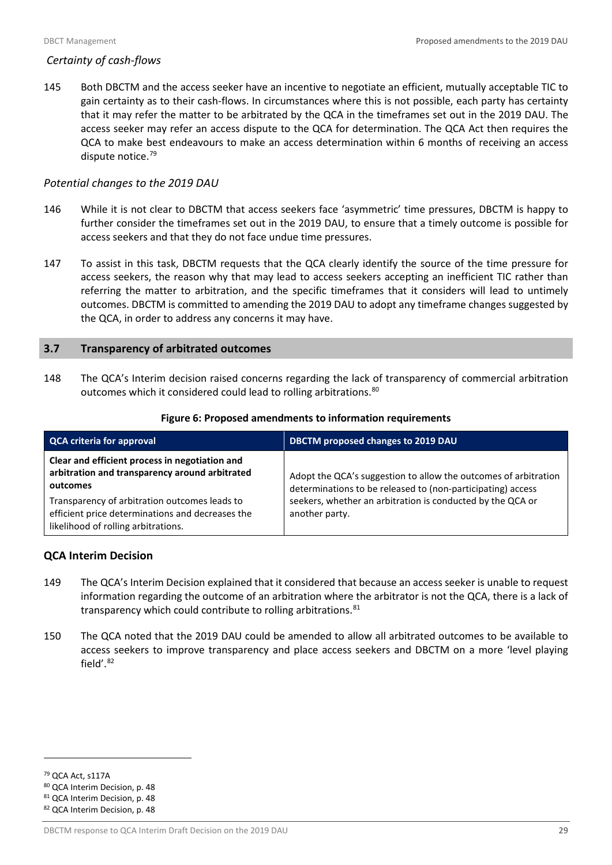## *Certainty of cash-flows*

145 Both DBCTM and the access seeker have an incentive to negotiate an efficient, mutually acceptable TIC to gain certainty as to their cash-flows. In circumstances where this is not possible, each party has certainty that it may refer the matter to be arbitrated by the QCA in the timeframes set out in the 2019 DAU. The access seeker may refer an access dispute to the QCA for determination. The QCA Act then requires the QCA to make best endeavours to make an access determination within 6 months of receiving an access dispute notice.<sup>[79](#page-30-2)</sup>

## *Potential changes to the 2019 DAU*

- 146 While it is not clear to DBCTM that access seekers face 'asymmetric' time pressures, DBCTM is happy to further consider the timeframes set out in the 2019 DAU, to ensure that a timely outcome is possible for access seekers and that they do not face undue time pressures.
- 147 To assist in this task, DBCTM requests that the QCA clearly identify the source of the time pressure for access seekers, the reason why that may lead to access seekers accepting an inefficient TIC rather than referring the matter to arbitration, and the specific timeframes that it considers will lead to untimely outcomes. DBCTM is committed to amending the 2019 DAU to adopt any timeframe changes suggested by the QCA, in order to address any concerns it may have.

## <span id="page-30-0"></span>**3.7 Transparency of arbitrated outcomes**

148 The QCA's Interim decision raised concerns regarding the lack of transparency of commercial arbitration outcomes which it considered could lead to rolling arbitrations.<sup>[80](#page-30-3)</sup>

<span id="page-30-1"></span>

| <b>QCA criteria for approval</b>                                                                                                                                                                                                                         | DBCTM proposed changes to 2019 DAU                                                                                                                                                                             |  |  |  |
|----------------------------------------------------------------------------------------------------------------------------------------------------------------------------------------------------------------------------------------------------------|----------------------------------------------------------------------------------------------------------------------------------------------------------------------------------------------------------------|--|--|--|
| Clear and efficient process in negotiation and<br>arbitration and transparency around arbitrated<br>outcomes<br>Transparency of arbitration outcomes leads to<br>efficient price determinations and decreases the<br>likelihood of rolling arbitrations. | Adopt the QCA's suggestion to allow the outcomes of arbitration<br>determinations to be released to (non-participating) access<br>seekers, whether an arbitration is conducted by the QCA or<br>another party. |  |  |  |

#### **Figure 6: Proposed amendments to information requirements**

## **QCA Interim Decision**

- 149 The QCA's Interim Decision explained that it considered that because an access seeker is unable to request information regarding the outcome of an arbitration where the arbitrator is not the QCA, there is a lack of transparency which could contribute to rolling arbitrations. [81](#page-30-4)
- 150 The QCA noted that the 2019 DAU could be amended to allow all arbitrated outcomes to be available to access seekers to improve transparency and place access seekers and DBCTM on a more 'level playing field'. [82](#page-30-5)

<span id="page-30-2"></span><sup>79</sup> QCA Act, s117A

<span id="page-30-3"></span><sup>80</sup> QCA Interim Decision, p. 48

<span id="page-30-4"></span><sup>81</sup> QCA Interim Decision, p. 48

<span id="page-30-5"></span><sup>82</sup> QCA Interim Decision, p. 48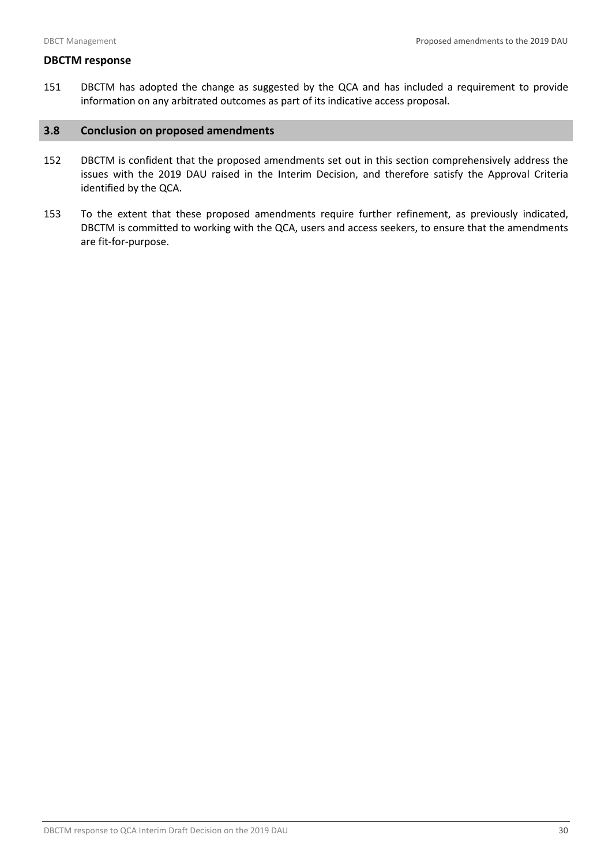## **DBCTM response**

151 DBCTM has adopted the change as suggested by the QCA and has included a requirement to provide information on any arbitrated outcomes as part of its indicative access proposal.

## <span id="page-31-0"></span>**3.8 Conclusion on proposed amendments**

- 152 DBCTM is confident that the proposed amendments set out in this section comprehensively address the issues with the 2019 DAU raised in the Interim Decision, and therefore satisfy the Approval Criteria identified by the QCA.
- 153 To the extent that these proposed amendments require further refinement, as previously indicated, DBCTM is committed to working with the QCA, users and access seekers, to ensure that the amendments are fit-for-purpose.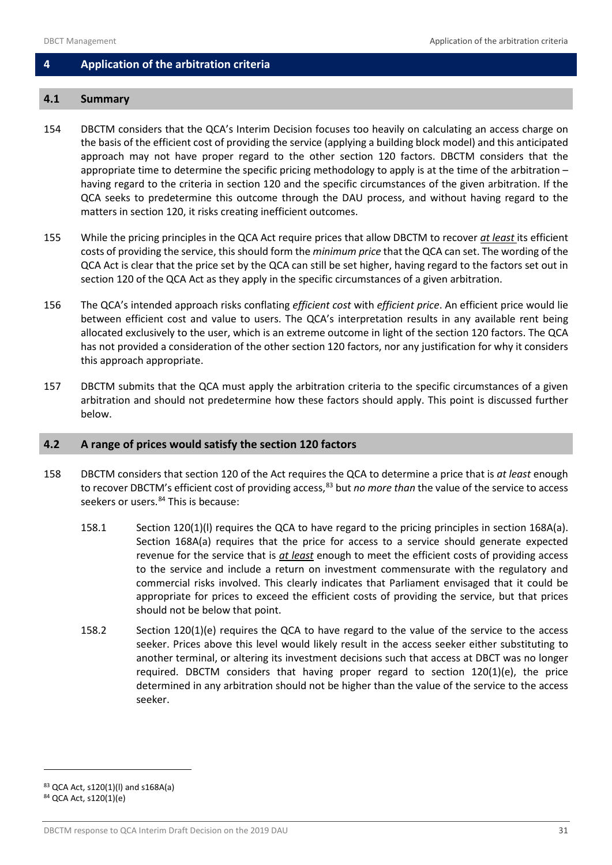## <span id="page-32-0"></span>**4 Application of the arbitration criteria**

## <span id="page-32-1"></span>**4.1 Summary**

- 154 DBCTM considers that the QCA's Interim Decision focuses too heavily on calculating an access charge on the basis of the efficient cost of providing the service (applying a building block model) and this anticipated approach may not have proper regard to the other section 120 factors. DBCTM considers that the appropriate time to determine the specific pricing methodology to apply is at the time of the arbitration – having regard to the criteria in section 120 and the specific circumstances of the given arbitration. If the QCA seeks to predetermine this outcome through the DAU process, and without having regard to the matters in section 120, it risks creating inefficient outcomes.
- 155 While the pricing principles in the QCA Act require prices that allow DBCTM to recover *at least* its efficient costs of providing the service, this should form the *minimum price* that the QCA can set. The wording of the QCA Act is clear that the price set by the QCA can still be set higher, having regard to the factors set out in section 120 of the QCA Act as they apply in the specific circumstances of a given arbitration.
- 156 The QCA's intended approach risks conflating *efficient cost* with *efficient price*. An efficient price would lie between efficient cost and value to users. The QCA's interpretation results in any available rent being allocated exclusively to the user, which is an extreme outcome in light of the section 120 factors. The QCA has not provided a consideration of the other section 120 factors, nor any justification for why it considers this approach appropriate.
- 157 DBCTM submits that the QCA must apply the arbitration criteria to the specific circumstances of a given arbitration and should not predetermine how these factors should apply. This point is discussed further below.

#### <span id="page-32-2"></span>**4.2 A range of prices would satisfy the section 120 factors**

- 158 DBCTM considers that section 120 of the Act requires the QCA to determine a price that is *at least* enough to recover DBCTM's efficient cost of providing access,<sup>[83](#page-32-3)</sup> but *no more than* the value of the service to access seekers or users.<sup>[84](#page-32-4)</sup> This is because:
	- 158.1 Section 120(1)(l) requires the QCA to have regard to the pricing principles in section 168A(a). Section 168A(a) requires that the price for access to a service should generate expected revenue for the service that is *at least* enough to meet the efficient costs of providing access to the service and include a return on investment commensurate with the regulatory and commercial risks involved. This clearly indicates that Parliament envisaged that it could be appropriate for prices to exceed the efficient costs of providing the service, but that prices should not be below that point.
	- 158.2 Section 120(1)(e) requires the QCA to have regard to the value of the service to the access seeker. Prices above this level would likely result in the access seeker either substituting to another terminal, or altering its investment decisions such that access at DBCT was no longer required. DBCTM considers that having proper regard to section  $120(1)(e)$ , the price determined in any arbitration should not be higher than the value of the service to the access seeker.

<span id="page-32-4"></span><span id="page-32-3"></span><sup>83</sup> QCA Act, s120(1)(l) and s168A(a) <sup>84</sup> QCA Act, s120(1)(e)

DBCTM response to QCA Interim Draft Decision on the 2019 DAU 31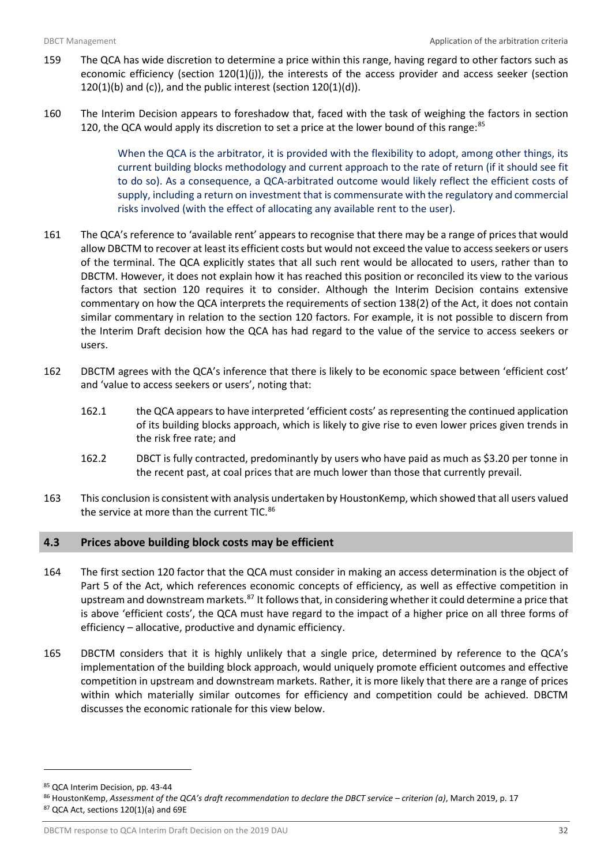- 159 The QCA has wide discretion to determine a price within this range, having regard to other factors such as economic efficiency (section 120(1)(j)), the interests of the access provider and access seeker (section  $120(1)(b)$  and (c)), and the public interest (section  $120(1)(d)$ ).
- 160 The Interim Decision appears to foreshadow that, faced with the task of weighing the factors in section 120, the QCA would apply its discretion to set a price at the lower bound of this range:<sup>[85](#page-33-1)</sup>

When the QCA is the arbitrator, it is provided with the flexibility to adopt, among other things, its current building blocks methodology and current approach to the rate of return (if it should see fit to do so). As a consequence, a QCA-arbitrated outcome would likely reflect the efficient costs of supply, including a return on investment that is commensurate with the regulatory and commercial risks involved (with the effect of allocating any available rent to the user).

- 161 The QCA's reference to 'available rent' appears to recognise that there may be a range of prices that would allow DBCTM to recover at least its efficient costs but would not exceed the value to access seekers or users of the terminal. The QCA explicitly states that all such rent would be allocated to users, rather than to DBCTM. However, it does not explain how it has reached this position or reconciled its view to the various factors that section 120 requires it to consider. Although the Interim Decision contains extensive commentary on how the QCA interprets the requirements of section 138(2) of the Act, it does not contain similar commentary in relation to the section 120 factors. For example, it is not possible to discern from the Interim Draft decision how the QCA has had regard to the value of the service to access seekers or users.
- 162 DBCTM agrees with the QCA's inference that there is likely to be economic space between 'efficient cost' and 'value to access seekers or users', noting that:
	- 162.1 the QCA appears to have interpreted 'efficient costs' as representing the continued application of its building blocks approach, which is likely to give rise to even lower prices given trends in the risk free rate; and
	- 162.2 DBCT is fully contracted, predominantly by users who have paid as much as \$3.20 per tonne in the recent past, at coal prices that are much lower than those that currently prevail.
- 163 This conclusion is consistent with analysis undertaken by HoustonKemp, which showed that all users valued the service at more than the current TIC.<sup>[86](#page-33-2)</sup>

## <span id="page-33-0"></span>**4.3 Prices above building block costs may be efficient**

- 164 The first section 120 factor that the QCA must consider in making an access determination is the object of Part 5 of the Act, which references economic concepts of efficiency, as well as effective competition in upstream and downstream markets.<sup>87</sup> It follows that, in considering whether it could determine a price that is above 'efficient costs', the QCA must have regard to the impact of a higher price on all three forms of efficiency – allocative, productive and dynamic efficiency.
- 165 DBCTM considers that it is highly unlikely that a single price, determined by reference to the QCA's implementation of the building block approach, would uniquely promote efficient outcomes and effective competition in upstream and downstream markets. Rather, it is more likely that there are a range of prices within which materially similar outcomes for efficiency and competition could be achieved. DBCTM discusses the economic rationale for this view below.

 $\overline{a}$ 

DBCTM response to QCA Interim Draft Decision on the 2019 DAU 32

<span id="page-33-1"></span><sup>85</sup> QCA Interim Decision, pp. 43-44

<span id="page-33-3"></span><span id="page-33-2"></span><sup>86</sup> HoustonKemp, *Assessment of the QCA's draft recommendation to declare the DBCT service – criterion (a)*, March 2019, p. 17  $87$  QCA Act, sections 120(1)(a) and 69E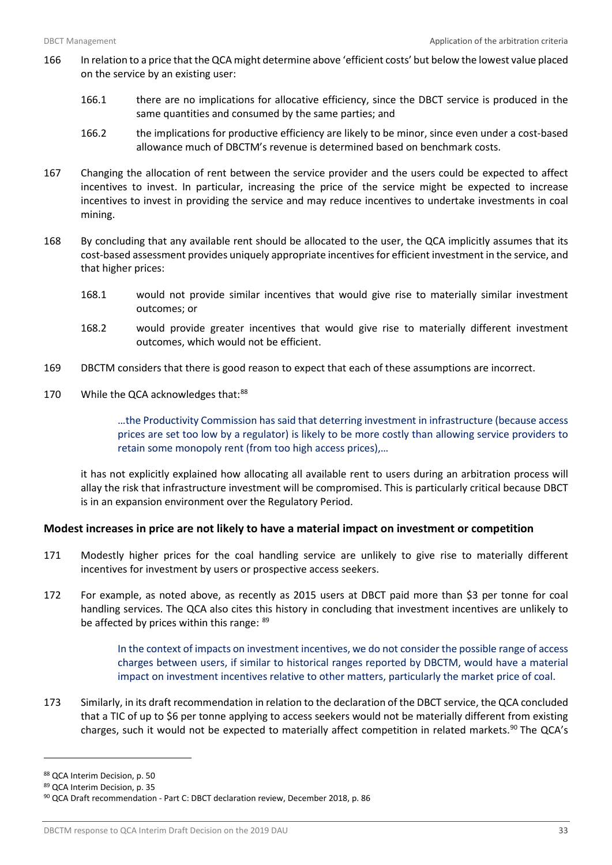- 166 In relation to a price that the QCA might determine above 'efficient costs' but below the lowest value placed on the service by an existing user:
	- 166.1 there are no implications for allocative efficiency, since the DBCT service is produced in the same quantities and consumed by the same parties; and
	- 166.2 the implications for productive efficiency are likely to be minor, since even under a cost-based allowance much of DBCTM's revenue is determined based on benchmark costs.
- 167 Changing the allocation of rent between the service provider and the users could be expected to affect incentives to invest. In particular, increasing the price of the service might be expected to increase incentives to invest in providing the service and may reduce incentives to undertake investments in coal mining.
- 168 By concluding that any available rent should be allocated to the user, the QCA implicitly assumes that its cost-based assessment provides uniquely appropriate incentives for efficient investment in the service, and that higher prices:
	- 168.1 would not provide similar incentives that would give rise to materially similar investment outcomes; or
	- 168.2 would provide greater incentives that would give rise to materially different investment outcomes, which would not be efficient.
- 169 DBCTM considers that there is good reason to expect that each of these assumptions are incorrect.
- 170 While the QCA acknowledges that:<sup>[88](#page-34-0)</sup>

…the Productivity Commission has said that deterring investment in infrastructure (because access prices are set too low by a regulator) is likely to be more costly than allowing service providers to retain some monopoly rent (from too high access prices),…

it has not explicitly explained how allocating all available rent to users during an arbitration process will allay the risk that infrastructure investment will be compromised. This is particularly critical because DBCT is in an expansion environment over the Regulatory Period.

## **Modest increases in price are not likely to have a material impact on investment or competition**

- 171 Modestly higher prices for the coal handling service are unlikely to give rise to materially different incentives for investment by users or prospective access seekers.
- 172 For example, as noted above, as recently as 2015 users at DBCT paid more than \$3 per tonne for coal handling services. The QCA also cites this history in concluding that investment incentives are unlikely to be affected by prices within this range: [89](#page-34-1)

In the context of impacts on investment incentives, we do not consider the possible range of access charges between users, if similar to historical ranges reported by DBCTM, would have a material impact on investment incentives relative to other matters, particularly the market price of coal.

173 Similarly, in its draft recommendation in relation to the declaration of the DBCT service, the QCA concluded that a TIC of up to \$6 per tonne applying to access seekers would not be materially different from existing charges, such it would not be expected to materially affect competition in related markets.<sup>[90](#page-34-2)</sup> The QCA's

<span id="page-34-0"></span><sup>88</sup> QCA Interim Decision, p. 50

<span id="page-34-1"></span><sup>89</sup> QCA Interim Decision, p. 35

<span id="page-34-2"></span><sup>90</sup> QCA Draft recommendation - Part C: DBCT declaration review, December 2018, p. 86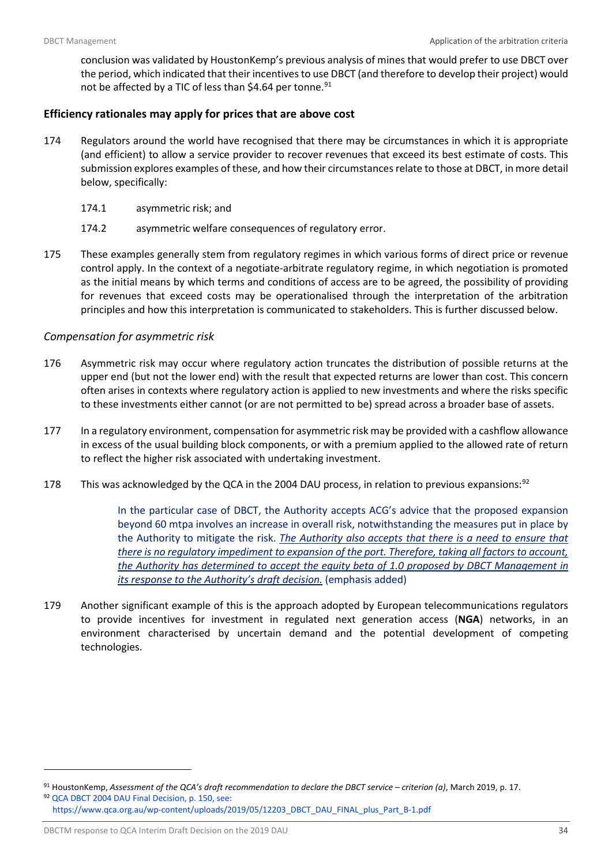conclusion was validated by HoustonKemp's previous analysis of mines that would prefer to use DBCT over the period, which indicated that their incentives to use DBCT (and therefore to develop their project) would not be affected by a TIC of less than \$4.64 per tonne.<sup>[91](#page-35-0)</sup>

## **Efficiency rationales may apply for prices that are above cost**

- 174 Regulators around the world have recognised that there may be circumstances in which it is appropriate (and efficient) to allow a service provider to recover revenues that exceed its best estimate of costs. This submission explores examples of these, and how their circumstances relate to those at DBCT, in more detail below, specifically:
	- 174.1 asymmetric risk; and
	- 174.2 asymmetric welfare consequences of regulatory error.
- 175 These examples generally stem from regulatory regimes in which various forms of direct price or revenue control apply. In the context of a negotiate-arbitrate regulatory regime, in which negotiation is promoted as the initial means by which terms and conditions of access are to be agreed, the possibility of providing for revenues that exceed costs may be operationalised through the interpretation of the arbitration principles and how this interpretation is communicated to stakeholders. This is further discussed below.

## *Compensation for asymmetric risk*

- 176 Asymmetric risk may occur where regulatory action truncates the distribution of possible returns at the upper end (but not the lower end) with the result that expected returns are lower than cost. This concern often arises in contexts where regulatory action is applied to new investments and where the risks specific to these investments either cannot (or are not permitted to be) spread across a broader base of assets.
- 177 In a regulatory environment, compensation for asymmetric risk may be provided with a cashflow allowance in excess of the usual building block components, or with a premium applied to the allowed rate of return to reflect the higher risk associated with undertaking investment.
- 178 This was acknowledged by the QCA in the 2004 DAU process, in relation to previous expansions:<sup>[92](#page-35-1)</sup>

In the particular case of DBCT, the Authority accepts ACG's advice that the proposed expansion beyond 60 mtpa involves an increase in overall risk, notwithstanding the measures put in place by the Authority to mitigate the risk. *The Authority also accepts that there is a need to ensure that there is no regulatory impediment to expansion of the port. Therefore, taking all factors to account, the Authority has determined to accept the equity beta of 1.0 proposed by DBCT Management in its response to the Authority's draft decision.* (emphasis added)

179 Another significant example of this is the approach adopted by European telecommunications regulators to provide incentives for investment in regulated next generation access (**NGA**) networks, in an environment characterised by uncertain demand and the potential development of competing technologies.

<span id="page-35-1"></span><span id="page-35-0"></span><sup>91</sup> HoustonKemp, *Assessment of the QCA's draft recommendation to declare the DBCT service – criterion (a)*, March 2019, p. 17. <sup>92</sup> QCA DBCT 2004 DAU Final Decision, p. 150, see: [https://www.qca.org.au/wp-content/uploads/2019/05/12203\\_DBCT\\_DAU\\_FINAL\\_plus\\_Part\\_B-1.pdf](https://www.qca.org.au/wpcontent/uploads/2019/05/12203_DBCT_DAU_FINAL_plus_Part_B-1.pdf)

DBCTM response to QCA Interim Draft Decision on the 2019 DAU 34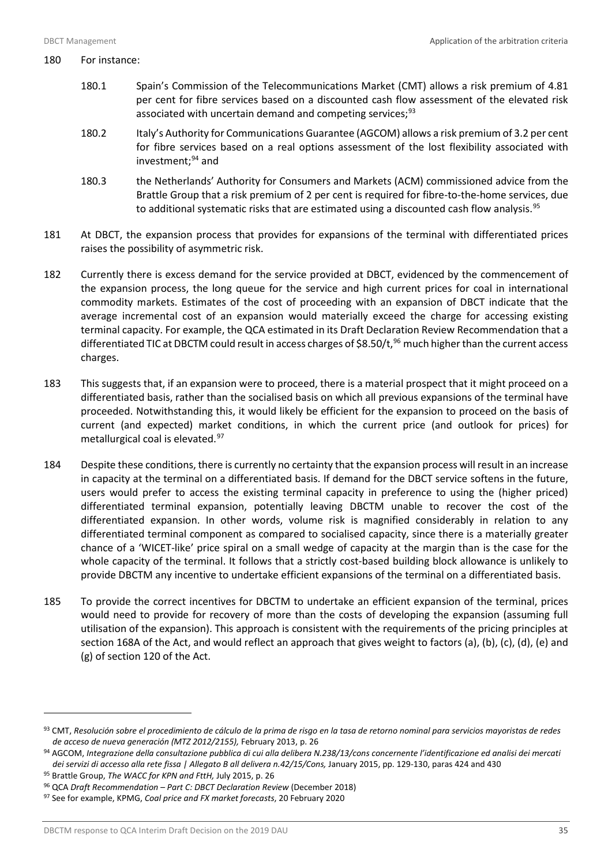#### 180 For instance:

- 180.1 Spain's Commission of the Telecommunications Market (CMT) allows a risk premium of 4.81 per cent for fibre services based on a discounted cash flow assessment of the elevated risk associated with uncertain demand and competing services; $93$
- 180.2 Italy's Authority for Communications Guarantee (AGCOM) allows a risk premium of 3.2 per cent for fibre services based on a real options assessment of the lost flexibility associated with investment; $94$  and
- 180.3 the Netherlands' Authority for Consumers and Markets (ACM) commissioned advice from the Brattle Group that a risk premium of 2 per cent is required for fibre-to-the-home services, due to additional systematic risks that are estimated using a discounted cash flow analysis.<sup>[95](#page-36-2)</sup>
- 181 At DBCT, the expansion process that provides for expansions of the terminal with differentiated prices raises the possibility of asymmetric risk.
- 182 Currently there is excess demand for the service provided at DBCT, evidenced by the commencement of the expansion process, the long queue for the service and high current prices for coal in international commodity markets. Estimates of the cost of proceeding with an expansion of DBCT indicate that the average incremental cost of an expansion would materially exceed the charge for accessing existing terminal capacity. For example, the QCA estimated in its Draft Declaration Review Recommendation that a differentiated TIC at DBCTM could result in access charges of \$8.50/t, [96](#page-36-3) much higher than the current access charges.
- 183 This suggests that, if an expansion were to proceed, there is a material prospect that it might proceed on a differentiated basis, rather than the socialised basis on which all previous expansions of the terminal have proceeded. Notwithstanding this, it would likely be efficient for the expansion to proceed on the basis of current (and expected) market conditions, in which the current price (and outlook for prices) for metallurgical coal is elevated.<sup>[97](#page-36-4)</sup>
- 184 Despite these conditions, there is currently no certainty that the expansion process will result in an increase in capacity at the terminal on a differentiated basis. If demand for the DBCT service softens in the future, users would prefer to access the existing terminal capacity in preference to using the (higher priced) differentiated terminal expansion, potentially leaving DBCTM unable to recover the cost of the differentiated expansion. In other words, volume risk is magnified considerably in relation to any differentiated terminal component as compared to socialised capacity, since there is a materially greater chance of a 'WICET-like' price spiral on a small wedge of capacity at the margin than is the case for the whole capacity of the terminal. It follows that a strictly cost-based building block allowance is unlikely to provide DBCTM any incentive to undertake efficient expansions of the terminal on a differentiated basis.
- 185 To provide the correct incentives for DBCTM to undertake an efficient expansion of the terminal, prices would need to provide for recovery of more than the costs of developing the expansion (assuming full utilisation of the expansion). This approach is consistent with the requirements of the pricing principles at section 168A of the Act, and would reflect an approach that gives weight to factors (a), (b), (c), (d), (e) and (g) of section 120 of the Act.

l

<span id="page-36-0"></span><sup>93</sup> CMT, *Resolución sobre el procedimiento de cálculo de la prima de risgo en la tasa de retorno nominal para servicios mayoristas de redes de acceso de nueva generación (MTZ 2012/2155),* February 2013, p. 26

<span id="page-36-1"></span><sup>94</sup> AGCOM, *Integrazione della consultazione pubblica di cui alla delibera N.238/13/cons concernente l'identificazione ed analisi dei mercati dei servizi di accesso alla rete fissa | Allegato B all delivera n.42/15/Cons,* January 2015, pp. 129-130, paras 424 and 430

<span id="page-36-2"></span><sup>95</sup> Brattle Group, *The WACC for KPN and FttH,* July 2015, p. 26

<span id="page-36-3"></span><sup>96</sup> QCA *Draft Recommendation – Part C: DBCT Declaration Review* (December 2018)

<span id="page-36-4"></span><sup>97</sup> See for example, KPMG, *Coal price and FX market forecasts*, 20 February 2020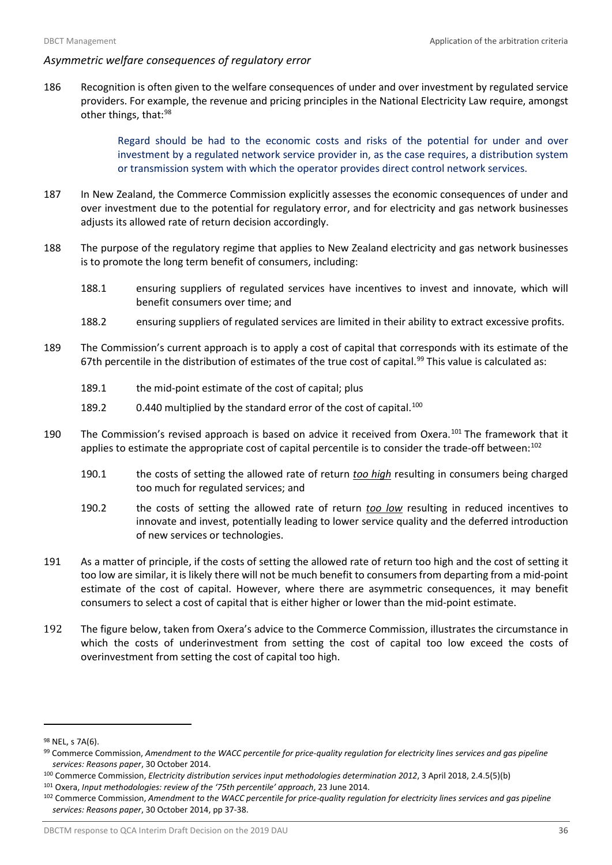## *Asymmetric welfare consequences of regulatory error*

186 Recognition is often given to the welfare consequences of under and over investment by regulated service providers. For example, the revenue and pricing principles in the National Electricity Law require, amongst other things, that:<sup>[98](#page-37-0)</sup>

> Regard should be had to the economic costs and risks of the potential for under and over investment by a regulated network service provider in, as the case requires, a distribution system or transmission system with which the operator provides direct control network services.

- 187 In New Zealand, the Commerce Commission explicitly assesses the economic consequences of under and over investment due to the potential for regulatory error, and for electricity and gas network businesses adjusts its allowed rate of return decision accordingly.
- 188 The purpose of the regulatory regime that applies to New Zealand electricity and gas network businesses is to promote the long term benefit of consumers, including:
	- 188.1 ensuring suppliers of regulated services have incentives to invest and innovate, which will benefit consumers over time; and
	- 188.2 ensuring suppliers of regulated services are limited in their ability to extract excessive profits.
- 189 The Commission's current approach is to apply a cost of capital that corresponds with its estimate of the 67th percentile in the distribution of estimates of the true cost of capital.<sup>[99](#page-37-1)</sup> This value is calculated as:
	- 189.1 the mid-point estimate of the cost of capital; plus
	- 189.2 0.440 multiplied by the standard error of the cost of capital.<sup>[100](#page-37-2)</sup>
- 190 The Commission's revised approach is based on advice it received from Oxera.<sup>[101](#page-37-3)</sup> The framework that it applies to estimate the appropriate cost of capital percentile is to consider the trade-off between:<sup>[102](#page-37-4)</sup>
	- 190.1 the costs of setting the allowed rate of return *too high* resulting in consumers being charged too much for regulated services; and
	- 190.2 the costs of setting the allowed rate of return *too low* resulting in reduced incentives to innovate and invest, potentially leading to lower service quality and the deferred introduction of new services or technologies.
- 191 As a matter of principle, if the costs of setting the allowed rate of return too high and the cost of setting it too low are similar, it is likely there will not be much benefit to consumers from departing from a mid-point estimate of the cost of capital. However, where there are asymmetric consequences, it may benefit consumers to select a cost of capital that is either higher or lower than the mid-point estimate.
- 192 The figure below, taken from Oxera's advice to the Commerce Commission, illustrates the circumstance in which the costs of underinvestment from setting the cost of capital too low exceed the costs of overinvestment from setting the cost of capital too high.

<span id="page-37-0"></span><sup>98</sup> NEL, s 7A(6).

<span id="page-37-1"></span><sup>99</sup> Commerce Commission, *Amendment to the WACC percentile for price-quality regulation for electricity lines services and gas pipeline services: Reasons paper*, 30 October 2014.

<span id="page-37-2"></span><sup>100</sup> Commerce Commission, *Electricity distribution services input methodologies determination 2012*, 3 April 2018, 2.4.5(5)(b)

<span id="page-37-3"></span><sup>101</sup> Oxera, *Input methodologies: review of the '75th percentile' approach*, 23 June 2014.

<span id="page-37-4"></span><sup>102</sup> Commerce Commission, *Amendment to the WACC percentile for price-quality regulation for electricity lines services and gas pipeline services: Reasons paper*, 30 October 2014, pp 37-38.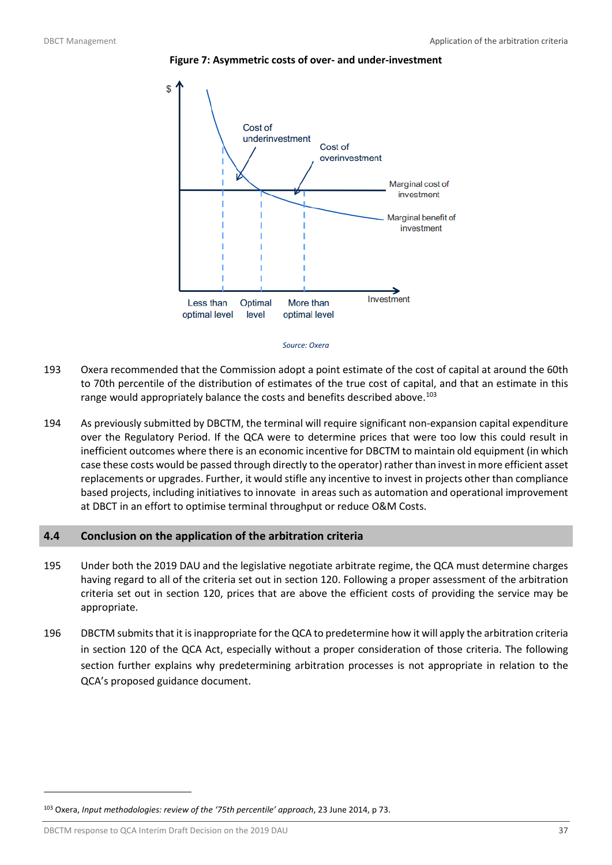

<span id="page-38-1"></span>



- 193 Oxera recommended that the Commission adopt a point estimate of the cost of capital at around the 60th to 70th percentile of the distribution of estimates of the true cost of capital, and that an estimate in this range would appropriately balance the costs and benefits described above.<sup>[103](#page-38-2)</sup>
- 194 As previously submitted by DBCTM, the terminal will require significant non-expansion capital expenditure over the Regulatory Period. If the QCA were to determine prices that were too low this could result in inefficient outcomes where there is an economic incentive for DBCTM to maintain old equipment (in which case these costs would be passed through directly to the operator) rather than invest in more efficient asset replacements or upgrades. Further, it would stifle any incentive to invest in projects other than compliance based projects, including initiatives to innovate in areas such as automation and operational improvement at DBCT in an effort to optimise terminal throughput or reduce O&M Costs.

## <span id="page-38-0"></span>**4.4 Conclusion on the application of the arbitration criteria**

- 195 Under both the 2019 DAU and the legislative negotiate arbitrate regime, the QCA must determine charges having regard to all of the criteria set out in section 120. Following a proper assessment of the arbitration criteria set out in section 120, prices that are above the efficient costs of providing the service may be appropriate.
- 196 DBCTM submits that it is inappropriate for the QCA to predetermine how it will apply the arbitration criteria in section 120 of the QCA Act, especially without a proper consideration of those criteria. The following section further explains why predetermining arbitration processes is not appropriate in relation to the QCA's proposed guidance document.

DBCTM response to QCA Interim Draft Decision on the 2019 DAU 37

<span id="page-38-2"></span><sup>103</sup> Oxera, *Input methodologies: review of the '75th percentile' approach*, 23 June 2014, p 73.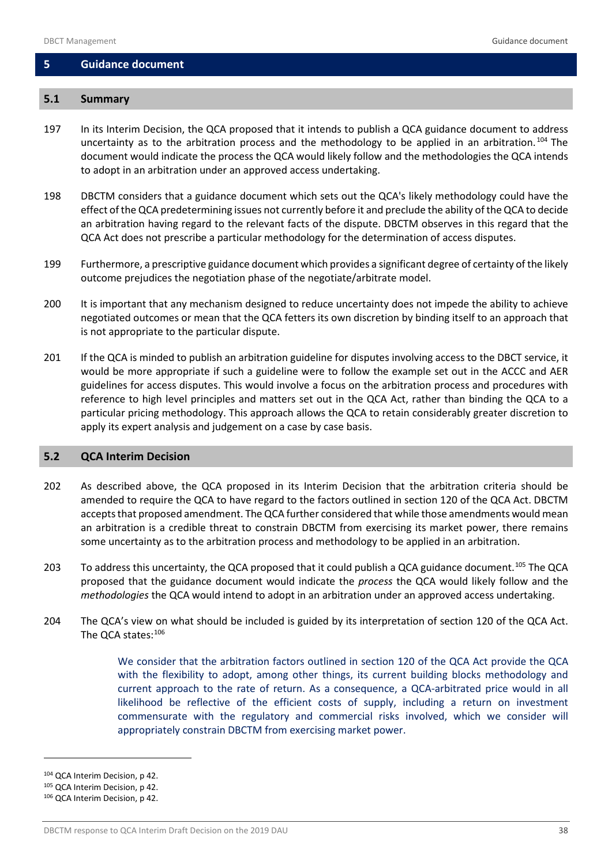#### <span id="page-39-0"></span>**5 Guidance document**

## <span id="page-39-1"></span>**5.1 Summary**

- 197 In its Interim Decision, the QCA proposed that it intends to publish a QCA guidance document to address uncertainty as to the arbitration process and the methodology to be applied in an arbitration.<sup>[104](#page-39-3)</sup> The document would indicate the process the QCA would likely follow and the methodologies the QCA intends to adopt in an arbitration under an approved access undertaking.
- 198 DBCTM considers that a guidance document which sets out the QCA's likely methodology could have the effect of the QCA predetermining issues not currently before it and preclude the ability of the QCA to decide an arbitration having regard to the relevant facts of the dispute. DBCTM observes in this regard that the QCA Act does not prescribe a particular methodology for the determination of access disputes.
- 199 Furthermore, a prescriptive guidance document which provides a significant degree of certainty of the likely outcome prejudices the negotiation phase of the negotiate/arbitrate model.
- 200 It is important that any mechanism designed to reduce uncertainty does not impede the ability to achieve negotiated outcomes or mean that the QCA fetters its own discretion by binding itself to an approach that is not appropriate to the particular dispute.
- 201 If the QCA is minded to publish an arbitration guideline for disputes involving access to the DBCT service, it would be more appropriate if such a guideline were to follow the example set out in the ACCC and AER guidelines for access disputes. This would involve a focus on the arbitration process and procedures with reference to high level principles and matters set out in the QCA Act, rather than binding the QCA to a particular pricing methodology. This approach allows the QCA to retain considerably greater discretion to apply its expert analysis and judgement on a case by case basis.

#### <span id="page-39-2"></span>**5.2 QCA Interim Decision**

- 202 As described above, the QCA proposed in its Interim Decision that the arbitration criteria should be amended to require the QCA to have regard to the factors outlined in section 120 of the QCA Act. DBCTM accepts that proposed amendment. The QCA further considered that while those amendments would mean an arbitration is a credible threat to constrain DBCTM from exercising its market power, there remains some uncertainty as to the arbitration process and methodology to be applied in an arbitration.
- 203 To address this uncertainty, the QCA proposed that it could publish a QCA guidance document.<sup>[105](#page-39-4)</sup> The QCA proposed that the guidance document would indicate the *process* the QCA would likely follow and the *methodologies* the QCA would intend to adopt in an arbitration under an approved access undertaking.
- 204 The QCA's view on what should be included is guided by its interpretation of section 120 of the QCA Act. The QCA states:<sup>[106](#page-39-5)</sup>

We consider that the arbitration factors outlined in section 120 of the QCA Act provide the QCA with the flexibility to adopt, among other things, its current building blocks methodology and current approach to the rate of return. As a consequence, a QCA-arbitrated price would in all likelihood be reflective of the efficient costs of supply, including a return on investment commensurate with the regulatory and commercial risks involved, which we consider will appropriately constrain DBCTM from exercising market power.

<span id="page-39-3"></span><sup>104</sup> QCA Interim Decision, p 42.

<span id="page-39-4"></span><sup>105</sup> QCA Interim Decision, p 42.

<span id="page-39-5"></span><sup>106</sup> QCA Interim Decision, p 42.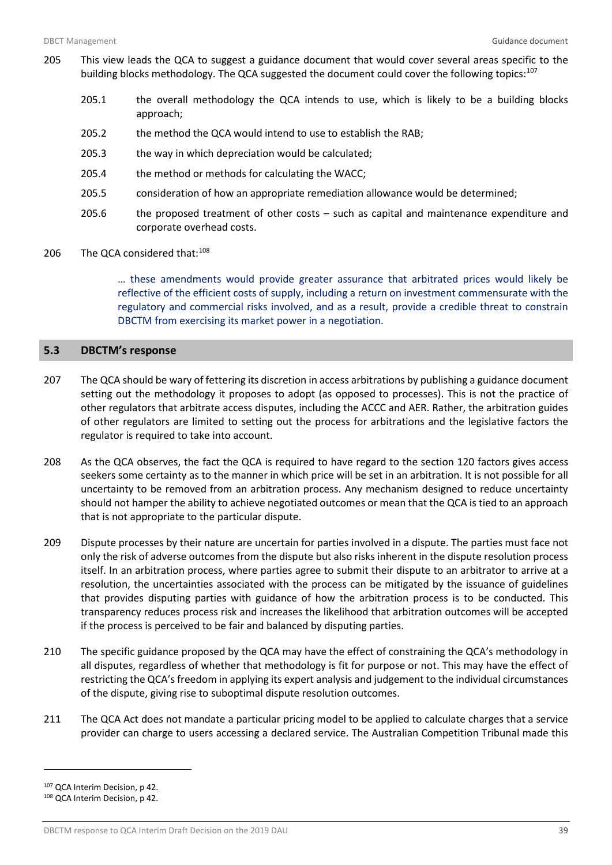- 205 This view leads the QCA to suggest a guidance document that would cover several areas specific to the building blocks methodology. The QCA suggested the document could cover the following topics:<sup>[107](#page-40-1)</sup>
	- 205.1 the overall methodology the QCA intends to use, which is likely to be a building blocks approach;
	- 205.2 the method the QCA would intend to use to establish the RAB;
	- 205.3 the way in which depreciation would be calculated;
	- 205.4 the method or methods for calculating the WACC;
	- 205.5 consideration of how an appropriate remediation allowance would be determined;
	- 205.6 the proposed treatment of other costs such as capital and maintenance expenditure and corporate overhead costs.
- 206 The QCA considered that:<sup>[108](#page-40-2)</sup>

… these amendments would provide greater assurance that arbitrated prices would likely be reflective of the efficient costs of supply, including a return on investment commensurate with the regulatory and commercial risks involved, and as a result, provide a credible threat to constrain DBCTM from exercising its market power in a negotiation.

#### <span id="page-40-0"></span>**5.3 DBCTM's response**

- 207 The QCA should be wary of fettering its discretion in access arbitrations by publishing a guidance document setting out the methodology it proposes to adopt (as opposed to processes). This is not the practice of other regulators that arbitrate access disputes, including the ACCC and AER. Rather, the arbitration guides of other regulators are limited to setting out the process for arbitrations and the legislative factors the regulator is required to take into account.
- 208 As the QCA observes, the fact the QCA is required to have regard to the section 120 factors gives access seekers some certainty as to the manner in which price will be set in an arbitration. It is not possible for all uncertainty to be removed from an arbitration process. Any mechanism designed to reduce uncertainty should not hamper the ability to achieve negotiated outcomes or mean that the QCA is tied to an approach that is not appropriate to the particular dispute.
- 209 Dispute processes by their nature are uncertain for parties involved in a dispute. The parties must face not only the risk of adverse outcomes from the dispute but also risks inherent in the dispute resolution process itself. In an arbitration process, where parties agree to submit their dispute to an arbitrator to arrive at a resolution, the uncertainties associated with the process can be mitigated by the issuance of guidelines that provides disputing parties with guidance of how the arbitration process is to be conducted. This transparency reduces process risk and increases the likelihood that arbitration outcomes will be accepted if the process is perceived to be fair and balanced by disputing parties.
- 210 The specific guidance proposed by the QCA may have the effect of constraining the QCA's methodology in all disputes, regardless of whether that methodology is fit for purpose or not. This may have the effect of restricting the QCA's freedom in applying its expert analysis and judgement to the individual circumstances of the dispute, giving rise to suboptimal dispute resolution outcomes.
- 211 The QCA Act does not mandate a particular pricing model to be applied to calculate charges that a service provider can charge to users accessing a declared service. The Australian Competition Tribunal made this

<span id="page-40-1"></span><sup>107</sup> QCA Interim Decision, p 42.

<span id="page-40-2"></span><sup>108</sup> QCA Interim Decision, p 42.

DBCTM response to QCA Interim Draft Decision on the 2019 DAU 39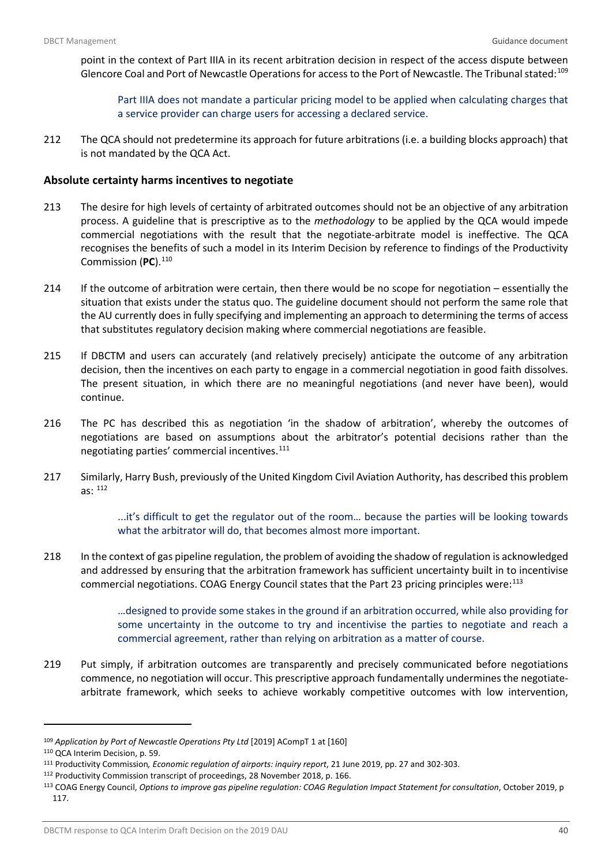point in the context of Part IIIA in its recent arbitration decision in respect of the access dispute between Glencore Coal and Port of Newcastle Operations for access to the Port of Newcastle. The Tribunal stated:<sup>[109](#page-41-0)</sup>

Part IIIA does not mandate a particular pricing model to be applied when calculating charges that a service provider can charge users for accessing a declared service.

212 The QCA should not predetermine its approach for future arbitrations (i.e. a building blocks approach) that is not mandated by the QCA Act.

## **Absolute certainty harms incentives to negotiate**

- 213 The desire for high levels of certainty of arbitrated outcomes should not be an objective of any arbitration process. A guideline that is prescriptive as to the *methodology* to be applied by the QCA would impede commercial negotiations with the result that the negotiate-arbitrate model is ineffective. The QCA recognises the benefits of such a model in its Interim Decision by reference to findings of the Productivity Commission (**PC**). [110](#page-41-1)
- 214 If the outcome of arbitration were certain, then there would be no scope for negotiation essentially the situation that exists under the status quo. The guideline document should not perform the same role that the AU currently does in fully specifying and implementing an approach to determining the terms of access that substitutes regulatory decision making where commercial negotiations are feasible.
- 215 If DBCTM and users can accurately (and relatively precisely) anticipate the outcome of any arbitration decision, then the incentives on each party to engage in a commercial negotiation in good faith dissolves. The present situation, in which there are no meaningful negotiations (and never have been), would continue.
- 216 The PC has described this as negotiation 'in the shadow of arbitration', whereby the outcomes of negotiations are based on assumptions about the arbitrator's potential decisions rather than the negotiating parties' commercial incentives.[111](#page-41-2)
- 217 Similarly, Harry Bush, previously of the United Kingdom Civil Aviation Authority, has described this problem as: [112](#page-41-3)

...it's difficult to get the regulator out of the room… because the parties will be looking towards what the arbitrator will do, that becomes almost more important.

218 In the context of gas pipeline regulation, the problem of avoiding the shadow of regulation is acknowledged and addressed by ensuring that the arbitration framework has sufficient uncertainty built in to incentivise commercial negotiations. COAG Energy Council states that the Part 23 pricing principles were:<sup>[113](#page-41-4)</sup>

> …designed to provide some stakes in the ground if an arbitration occurred, while also providing for some uncertainty in the outcome to try and incentivise the parties to negotiate and reach a commercial agreement, rather than relying on arbitration as a matter of course.

219 Put simply, if arbitration outcomes are transparently and precisely communicated before negotiations commence, no negotiation will occur. This prescriptive approach fundamentally undermines the negotiatearbitrate framework, which seeks to achieve workably competitive outcomes with low intervention,

<span id="page-41-0"></span><sup>109</sup> *Application by Port of Newcastle Operations Pty Ltd* [2019] ACompT 1 at [160]

<span id="page-41-1"></span><sup>110</sup> QCA Interim Decision, p. 59.

<span id="page-41-2"></span><sup>111</sup> Productivity Commission*, Economic regulation of airports: inquiry report*, 21 June 2019, pp. 27 and 302-303. 112 Productivity Commission transcript of proceedings, 28 November 2018, p. 166.

<span id="page-41-4"></span><span id="page-41-3"></span><sup>113</sup> COAG Energy Council, *Options to improve gas pipeline regulation: COAG Regulation Impact Statement for consultation*, October 2019, p 117.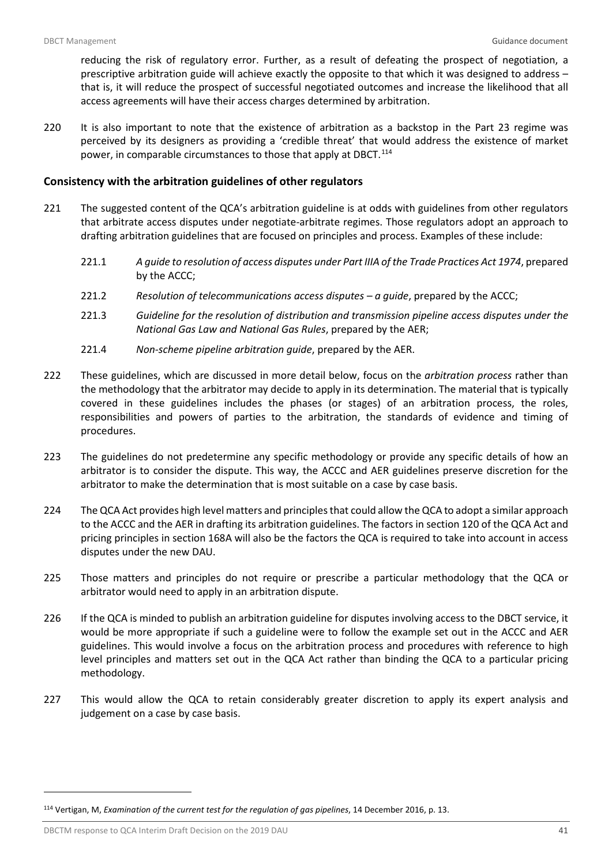reducing the risk of regulatory error. Further, as a result of defeating the prospect of negotiation, a prescriptive arbitration guide will achieve exactly the opposite to that which it was designed to address – that is, it will reduce the prospect of successful negotiated outcomes and increase the likelihood that all access agreements will have their access charges determined by arbitration.

220 It is also important to note that the existence of arbitration as a backstop in the Part 23 regime was perceived by its designers as providing a 'credible threat' that would address the existence of market power, in comparable circumstances to those that apply at DBCT.<sup>[114](#page-42-0)</sup>

## **Consistency with the arbitration guidelines of other regulators**

- 221 The suggested content of the QCA's arbitration guideline is at odds with guidelines from other regulators that arbitrate access disputes under negotiate-arbitrate regimes. Those regulators adopt an approach to drafting arbitration guidelines that are focused on principles and process. Examples of these include:
	- 221.1 *A guide to resolution of access disputes under Part IIIA of the Trade Practices Act 1974*, prepared by the ACCC;
	- 221.2 *Resolution of telecommunications access disputes – a guide*, prepared by the ACCC;
	- 221.3 *Guideline for the resolution of distribution and transmission pipeline access disputes under the National Gas Law and National Gas Rules*, prepared by the AER;
	- 221.4 *Non-scheme pipeline arbitration guide*, prepared by the AER.
- 222 These guidelines, which are discussed in more detail below, focus on the *arbitration process* rather than the methodology that the arbitrator may decide to apply in its determination. The material that is typically covered in these guidelines includes the phases (or stages) of an arbitration process, the roles, responsibilities and powers of parties to the arbitration, the standards of evidence and timing of procedures.
- 223 The guidelines do not predetermine any specific methodology or provide any specific details of how an arbitrator is to consider the dispute. This way, the ACCC and AER guidelines preserve discretion for the arbitrator to make the determination that is most suitable on a case by case basis.
- 224 The QCA Act provides high level matters and principles that could allow the QCA to adopt a similar approach to the ACCC and the AER in drafting its arbitration guidelines. The factors in section 120 of the QCA Act and pricing principles in section 168A will also be the factors the QCA is required to take into account in access disputes under the new DAU.
- 225 Those matters and principles do not require or prescribe a particular methodology that the QCA or arbitrator would need to apply in an arbitration dispute.
- 226 If the QCA is minded to publish an arbitration guideline for disputes involving access to the DBCT service, it would be more appropriate if such a guideline were to follow the example set out in the ACCC and AER guidelines. This would involve a focus on the arbitration process and procedures with reference to high level principles and matters set out in the QCA Act rather than binding the QCA to a particular pricing methodology.
- 227 This would allow the QCA to retain considerably greater discretion to apply its expert analysis and judgement on a case by case basis.

<span id="page-42-0"></span><sup>114</sup> Vertigan, M, *Examination of the current test for the regulation of gas pipelines*, 14 December 2016, p. 13.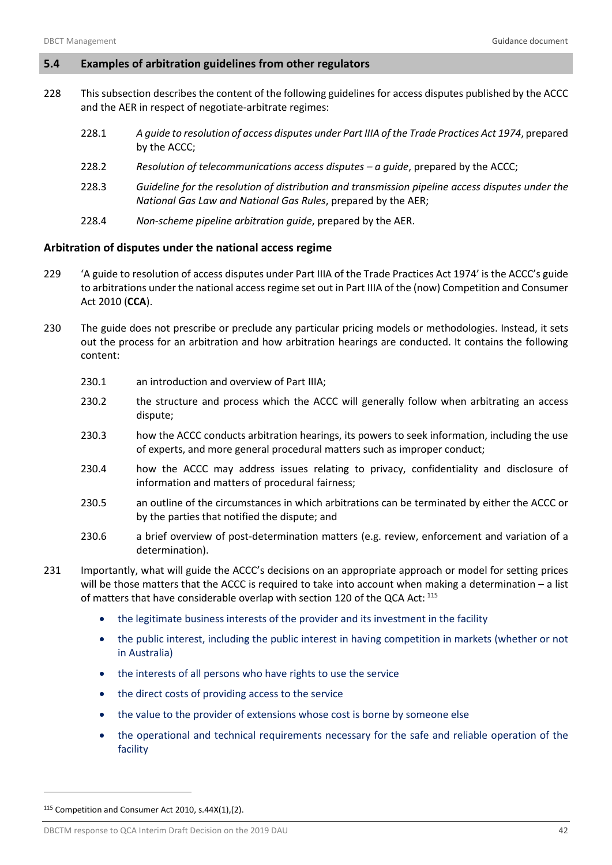#### <span id="page-43-0"></span>**5.4 Examples of arbitration guidelines from other regulators**

- 228 This subsection describes the content of the following guidelines for access disputes published by the ACCC and the AER in respect of negotiate-arbitrate regimes:
	- 228.1 *A guide to resolution of access disputes under Part IIIA of the Trade Practices Act 1974*, prepared by the ACCC;
	- 228.2 *Resolution of telecommunications access disputes – a guide*, prepared by the ACCC;
	- 228.3 *Guideline for the resolution of distribution and transmission pipeline access disputes under the National Gas Law and National Gas Rules*, prepared by the AER;
	- 228.4 *Non-scheme pipeline arbitration guide*, prepared by the AER.

## **Arbitration of disputes under the national access regime**

- 229 'A guide to resolution of access disputes under Part IIIA of the Trade Practices Act 1974' is the ACCC's guide to arbitrations under the national access regime set out in Part IIIA of the (now) Competition and Consumer Act 2010 (**CCA**).
- 230 The guide does not prescribe or preclude any particular pricing models or methodologies. Instead, it sets out the process for an arbitration and how arbitration hearings are conducted. It contains the following content:
	- 230.1 an introduction and overview of Part IIIA:
	- 230.2 the structure and process which the ACCC will generally follow when arbitrating an access dispute;
	- 230.3 how the ACCC conducts arbitration hearings, its powers to seek information, including the use of experts, and more general procedural matters such as improper conduct;
	- 230.4 how the ACCC may address issues relating to privacy, confidentiality and disclosure of information and matters of procedural fairness;
	- 230.5 an outline of the circumstances in which arbitrations can be terminated by either the ACCC or by the parties that notified the dispute; and
	- 230.6 a brief overview of post-determination matters (e.g. review, enforcement and variation of a determination).
- 231 Importantly, what will guide the ACCC's decisions on an appropriate approach or model for setting prices will be those matters that the ACCC is required to take into account when making a determination – a list of matters that have considerable overlap with section 120 of the QCA Act: [115](#page-43-1)
	- the legitimate business interests of the provider and its investment in the facility
	- the public interest, including the public interest in having competition in markets (whether or not in Australia)
	- the interests of all persons who have rights to use the service
	- the direct costs of providing access to the service
	- the value to the provider of extensions whose cost is borne by someone else
	- the operational and technical requirements necessary for the safe and reliable operation of the facility

<span id="page-43-1"></span><sup>115</sup> Competition and Consumer Act 2010, s.44X(1),(2).

DBCTM response to QCA Interim Draft Decision on the 2019 DAU 42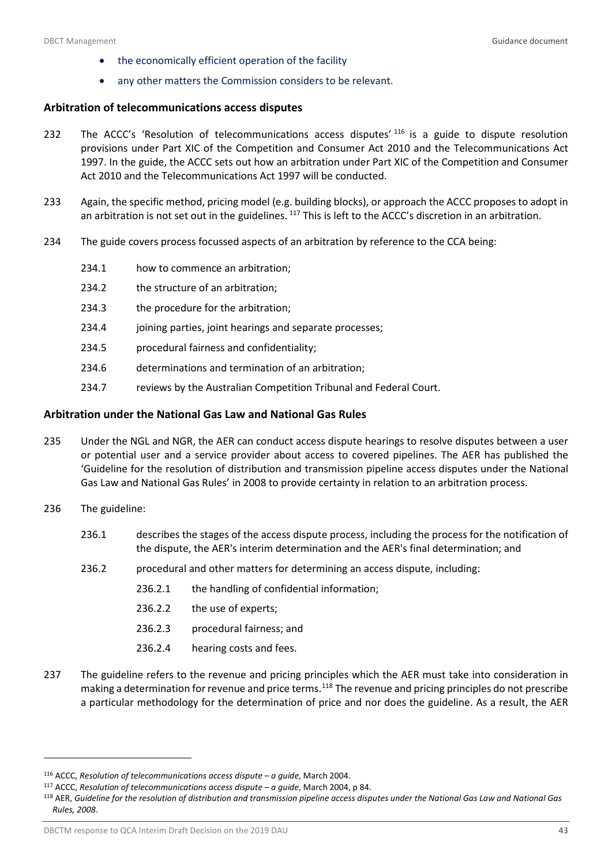- the economically efficient operation of the facility
- any other matters the Commission considers to be relevant.

#### **Arbitration of telecommunications access disputes**

- 232 The ACCC's 'Resolution of telecommunications access disputes' <sup>[116](#page-44-0)</sup> is a guide to dispute resolution provisions under Part XIC of the Competition and Consumer Act 2010 and the Telecommunications Act 1997. In the guide, the ACCC sets out how an arbitration under Part XIC of the Competition and Consumer Act 2010 and the Telecommunications Act 1997 will be conducted.
- 233 Again, the specific method, pricing model (e.g. building blocks), or approach the ACCC proposes to adopt in an arbitration is not set out in the guidelines. <sup>[117](#page-44-1)</sup> This is left to the ACCC's discretion in an arbitration.
- 234 The guide covers process focussed aspects of an arbitration by reference to the CCA being:
	- 234.1 how to commence an arbitration;
	- 234.2 the structure of an arbitration;
	- 234.3 the procedure for the arbitration;
	- 234.4 joining parties, joint hearings and separate processes;
	- 234.5 procedural fairness and confidentiality;
	- 234.6 determinations and termination of an arbitration;
	- 234.7 reviews by the Australian Competition Tribunal and Federal Court.

#### **Arbitration under the National Gas Law and National Gas Rules**

- 235 Under the NGL and NGR, the AER can conduct access dispute hearings to resolve disputes between a user or potential user and a service provider about access to covered pipelines. The AER has published the 'Guideline for the resolution of distribution and transmission pipeline access disputes under the National Gas Law and National Gas Rules' in 2008 to provide certainty in relation to an arbitration process.
- 236 The guideline:

- 236.1 describes the stages of the access dispute process, including the process for the notification of the dispute, the AER's interim determination and the AER's final determination; and
- 236.2 procedural and other matters for determining an access dispute, including:
	- 236.2.1 the handling of confidential information;
	- 236.2.2 the use of experts;
	- 236.2.3 procedural fairness; and
	- 236.2.4 hearing costs and fees.
- 237 The guideline refers to the revenue and pricing principles which the AER must take into consideration in making a determination for revenue and price terms.<sup>[118](#page-44-2)</sup> The revenue and pricing principles do not prescribe a particular methodology for the determination of price and nor does the guideline. As a result, the AER

<span id="page-44-0"></span><sup>116</sup> ACCC, *Resolution of telecommunications access dispute – a guide*, March 2004.

<span id="page-44-1"></span><sup>117</sup> ACCC, *Resolution of telecommunications access dispute – a guide*, March 2004, p 84.

<span id="page-44-2"></span><sup>118</sup> AER, *Guideline for the resolution of distribution and transmission pipeline access disputes under the National Gas Law and National Gas Rules, 2008*.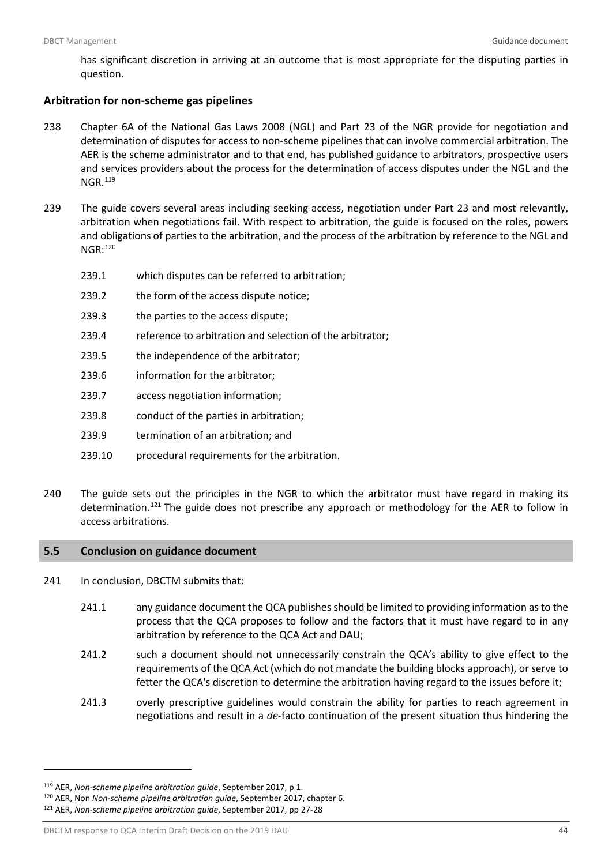has significant discretion in arriving at an outcome that is most appropriate for the disputing parties in question.

#### **Arbitration for non-scheme gas pipelines**

- 238 Chapter 6A of the National Gas Laws 2008 (NGL) and Part 23 of the NGR provide for negotiation and determination of disputes for access to non-scheme pipelines that can involve commercial arbitration. The AER is the scheme administrator and to that end, has published guidance to arbitrators, prospective users and services providers about the process for the determination of access disputes under the NGL and the NGR.[119](#page-45-1)
- 239 The guide covers several areas including seeking access, negotiation under Part 23 and most relevantly, arbitration when negotiations fail. With respect to arbitration, the guide is focused on the roles, powers and obligations of parties to the arbitration, and the process of the arbitration by reference to the NGL and NGR:[120](#page-45-2)
	- 239.1 which disputes can be referred to arbitration;
	- 239.2 the form of the access dispute notice;
	- 239.3 the parties to the access dispute;
	- 239.4 reference to arbitration and selection of the arbitrator;
	- 239.5 the independence of the arbitrator;
	- 239.6 information for the arbitrator;
	- 239.7 access negotiation information;
	- 239.8 conduct of the parties in arbitration;
	- 239.9 termination of an arbitration; and
	- 239.10 procedural requirements for the arbitration.
- 240 The guide sets out the principles in the NGR to which the arbitrator must have regard in making its determination.<sup>[121](#page-45-3)</sup> The guide does not prescribe any approach or methodology for the AER to follow in access arbitrations.

#### <span id="page-45-0"></span>**5.5 Conclusion on guidance document**

- 241 In conclusion, DBCTM submits that:
	- 241.1 any guidance document the QCA publishes should be limited to providing information as to the process that the QCA proposes to follow and the factors that it must have regard to in any arbitration by reference to the QCA Act and DAU;
	- 241.2 such a document should not unnecessarily constrain the QCA's ability to give effect to the requirements of the QCA Act (which do not mandate the building blocks approach), or serve to fetter the QCA's discretion to determine the arbitration having regard to the issues before it;
	- 241.3 overly prescriptive guidelines would constrain the ability for parties to reach agreement in negotiations and result in a *de-*facto continuation of the present situation thus hindering the

 $\overline{a}$ 

DBCTM response to QCA Interim Draft Decision on the 2019 DAU 44

<span id="page-45-1"></span><sup>119</sup> AER, *Non-scheme pipeline arbitration guide*, September 2017, p 1.

<span id="page-45-2"></span><sup>120</sup> AER, Non *Non-scheme pipeline arbitration guide*, September 2017, chapter 6.

<span id="page-45-3"></span><sup>121</sup> AER, *Non-scheme pipeline arbitration guide*, September 2017, pp 27-28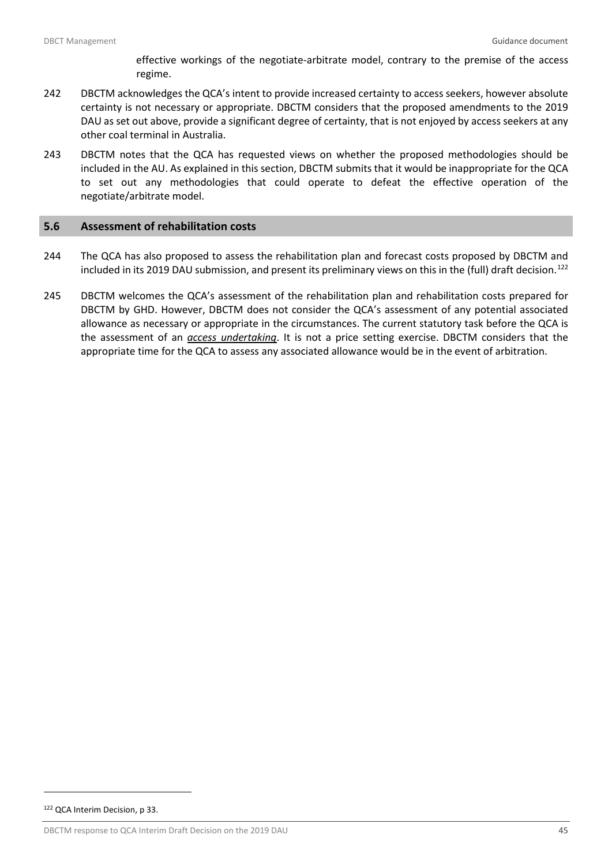effective workings of the negotiate-arbitrate model, contrary to the premise of the access regime.

- 242 DBCTM acknowledges the QCA's intent to provide increased certainty to access seekers, however absolute certainty is not necessary or appropriate. DBCTM considers that the proposed amendments to the 2019 DAU as set out above, provide a significant degree of certainty, that is not enjoyed by access seekers at any other coal terminal in Australia.
- 243 DBCTM notes that the QCA has requested views on whether the proposed methodologies should be included in the AU. As explained in this section, DBCTM submits that it would be inappropriate for the QCA to set out any methodologies that could operate to defeat the effective operation of the negotiate/arbitrate model.

## <span id="page-46-0"></span>**5.6 Assessment of rehabilitation costs**

- 244 The QCA has also proposed to assess the rehabilitation plan and forecast costs proposed by DBCTM and included in its 2019 DAU submission, and present its preliminary views on this in the (full) draft decision.<sup>[122](#page-46-1)</sup>
- 245 DBCTM welcomes the QCA's assessment of the rehabilitation plan and rehabilitation costs prepared for DBCTM by GHD. However, DBCTM does not consider the QCA's assessment of any potential associated allowance as necessary or appropriate in the circumstances. The current statutory task before the QCA is the assessment of an *access undertaking*. It is not a price setting exercise. DBCTM considers that the appropriate time for the QCA to assess any associated allowance would be in the event of arbitration.

<span id="page-46-1"></span><sup>122</sup> QCA Interim Decision, p 33.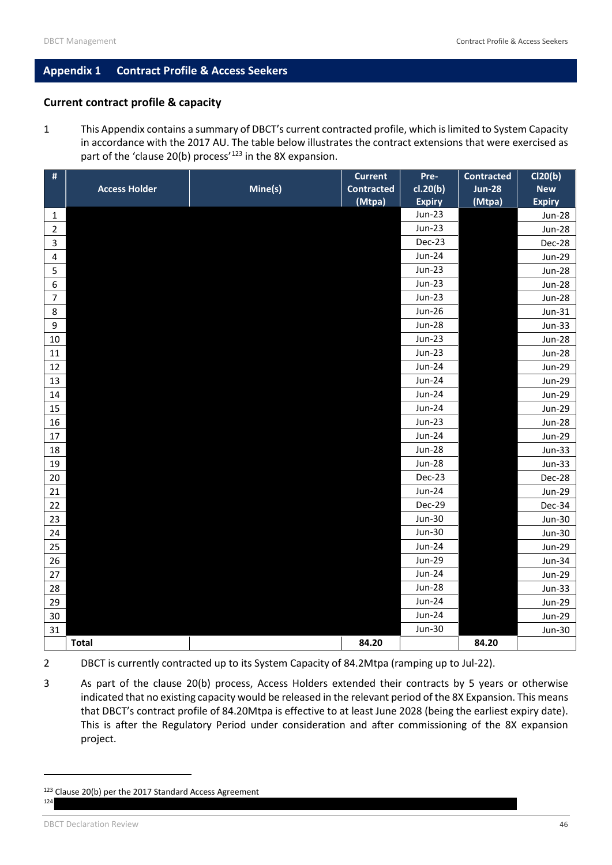## <span id="page-47-0"></span>**Appendix 1 Contract Profile & Access Seekers**

## **Current contract profile & capacity**

1 This Appendix contains a summary of DBCT's current contracted profile, which is limited to System Capacity in accordance with the 2017 AU. The table below illustrates the contract extensions that were exercised as part of the 'clause 20(b) process'<sup>[123](#page-47-1)</sup> in the 8X expansion.

| #                |                      |         | <b>Current</b>    | Pre-          | <b>Contracted</b> | Cl20(b)       |
|------------------|----------------------|---------|-------------------|---------------|-------------------|---------------|
|                  | <b>Access Holder</b> | Mine(s) | <b>Contracted</b> | cl.20(b)      | <b>Jun-28</b>     | <b>New</b>    |
|                  |                      |         | (Mtpa)            | <b>Expiry</b> | (Mtpa)            | <b>Expiry</b> |
| $\mathbf{1}$     |                      |         |                   | <b>Jun-23</b> |                   | <b>Jun-28</b> |
| $\overline{2}$   |                      |         |                   | <b>Jun-23</b> |                   | <b>Jun-28</b> |
| 3                |                      |         |                   | Dec-23        |                   | Dec-28        |
| 4                |                      |         |                   | <b>Jun-24</b> |                   | <b>Jun-29</b> |
| 5                |                      |         |                   | <b>Jun-23</b> |                   | <b>Jun-28</b> |
| $\boldsymbol{6}$ |                      |         |                   | <b>Jun-23</b> |                   | <b>Jun-28</b> |
| $\overline{7}$   |                      |         |                   | <b>Jun-23</b> |                   | <b>Jun-28</b> |
| 8                |                      |         |                   | $Jun-26$      |                   | Jun-31        |
| 9                |                      |         |                   | <b>Jun-28</b> |                   | <b>Jun-33</b> |
| 10               |                      |         |                   | <b>Jun-23</b> |                   | <b>Jun-28</b> |
| 11               |                      |         |                   | <b>Jun-23</b> |                   | <b>Jun-28</b> |
| 12               |                      |         |                   | <b>Jun-24</b> |                   | <b>Jun-29</b> |
| 13               |                      |         |                   | <b>Jun-24</b> |                   | <b>Jun-29</b> |
| 14               |                      |         |                   | <b>Jun-24</b> |                   | <b>Jun-29</b> |
| 15               |                      |         |                   | <b>Jun-24</b> |                   | <b>Jun-29</b> |
| 16               |                      |         |                   | <b>Jun-23</b> |                   | <b>Jun-28</b> |
| 17               |                      |         |                   | <b>Jun-24</b> |                   | <b>Jun-29</b> |
| 18               |                      |         |                   | <b>Jun-28</b> |                   | <b>Jun-33</b> |
| 19               |                      |         |                   | <b>Jun-28</b> |                   | Jun-33        |
| 20               |                      |         |                   | Dec-23        |                   | Dec-28        |
| 21               |                      |         |                   | <b>Jun-24</b> |                   | <b>Jun-29</b> |
| $22\,$           |                      |         |                   | Dec-29        |                   | Dec-34        |
| 23               |                      |         |                   | <b>Jun-30</b> |                   | <b>Jun-30</b> |
| 24               |                      |         |                   | <b>Jun-30</b> |                   | <b>Jun-30</b> |
| 25               |                      |         |                   | <b>Jun-24</b> |                   | <b>Jun-29</b> |
| 26               |                      |         |                   | <b>Jun-29</b> |                   | <b>Jun-34</b> |
| 27               |                      |         |                   | <b>Jun-24</b> |                   | <b>Jun-29</b> |
| 28               |                      |         |                   | <b>Jun-28</b> |                   | Jun-33        |
| 29               |                      |         |                   | <b>Jun-24</b> |                   | <b>Jun-29</b> |
| 30               |                      |         |                   | <b>Jun-24</b> |                   | <b>Jun-29</b> |
| 31               |                      |         |                   | <b>Jun-30</b> |                   | <b>Jun-30</b> |
|                  | <b>Total</b>         |         | 84.20             |               | 84.20             |               |

- 2 DBCT is currently contracted up to its System Capacity of 84.2Mtpa (ramping up to Jul-22).
- 3 As part of the clause 20(b) process, Access Holders extended their contracts by 5 years or otherwise indicated that no existing capacity would be released in the relevant period of the 8X Expansion. This means that DBCT's contract profile of 84.20Mtpa is effective to at least June 2028 (being the earliest expiry date). This is after the Regulatory Period under consideration and after commissioning of the 8X expansion project.

l

<span id="page-47-1"></span><sup>123</sup> Clause 20(b) per the 2017 Standard Access Agreement  $12<sub>4</sub>$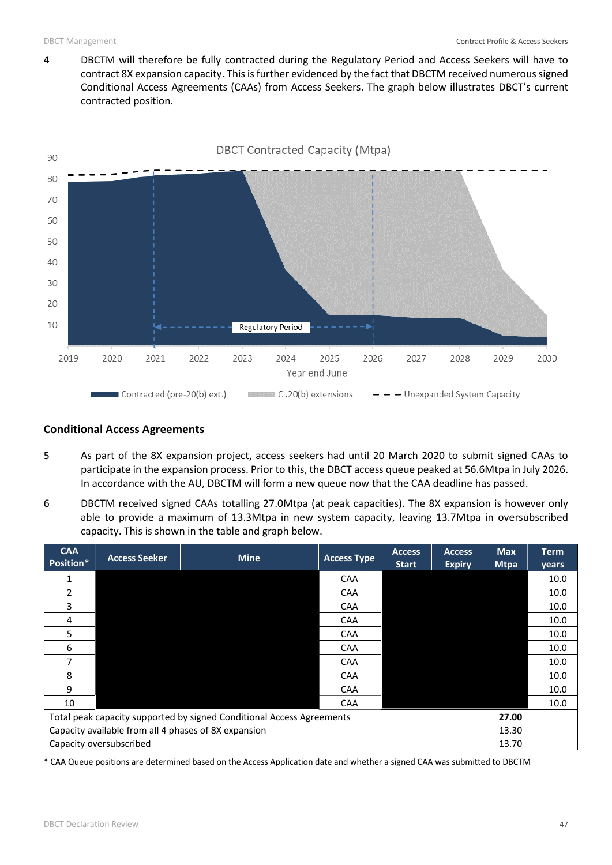4 DBCTM will therefore be fully contracted during the Regulatory Period and Access Seekers will have to contract 8X expansion capacity. This is further evidenced by the fact that DBCTM received numerous signed Conditional Access Agreements (CAAs) from Access Seekers. The graph below illustrates DBCT's current contracted position.



## **Conditional Access Agreements**

- 5 As part of the 8X expansion project, access seekers had until 20 March 2020 to submit signed CAAs to participate in the expansion process. Prior to this, the DBCT access queue peaked at 56.6Mtpa in July 2026. In accordance with the AU, DBCTM will form a new queue now that the CAA deadline has passed.
- 6 DBCTM received signed CAAs totalling 27.0Mtpa (at peak capacities). The 8X expansion is however only able to provide a maximum of 13.3Mtpa in new system capacity, leaving 13.7Mtpa in oversubscribed capacity. This is shown in the table and graph below.

| <b>CAA</b><br>Position*                                                        | <b>Access Seeker</b> | <b>Mine</b> | <b>Access Type</b> | <b>Access</b><br><b>Start</b> | <b>Access</b><br><b>Expiry</b> | <b>Max</b><br><b>Mtpa</b> | <b>Term</b><br>years |
|--------------------------------------------------------------------------------|----------------------|-------------|--------------------|-------------------------------|--------------------------------|---------------------------|----------------------|
| 1                                                                              |                      |             | <b>CAA</b>         |                               |                                |                           | 10.0                 |
| $\mathfrak z$                                                                  |                      |             | <b>CAA</b>         |                               |                                |                           | 10.0                 |
| 3                                                                              |                      |             | <b>CAA</b>         |                               |                                |                           | 10.0                 |
| 4                                                                              |                      |             | <b>CAA</b>         |                               |                                |                           | 10.0                 |
| 5                                                                              |                      |             | <b>CAA</b>         |                               |                                |                           | 10.0                 |
| 6                                                                              |                      |             | <b>CAA</b>         |                               |                                |                           | 10.0                 |
| 7                                                                              |                      |             | <b>CAA</b>         |                               |                                |                           | 10.0                 |
| 8                                                                              |                      |             | CAA                |                               |                                |                           | 10.0                 |
| 9                                                                              |                      |             | <b>CAA</b>         |                               |                                |                           | 10.0                 |
| 10                                                                             |                      |             | CAA                |                               |                                |                           | 10.0                 |
| Total peak capacity supported by signed Conditional Access Agreements<br>27.00 |                      |             |                    |                               |                                |                           |                      |
| Capacity available from all 4 phases of 8X expansion<br>13.30                  |                      |             |                    |                               |                                |                           |                      |
| Capacity oversubscribed<br>13.70                                               |                      |             |                    |                               |                                |                           |                      |

\* CAA Queue positions are determined based on the Access Application date and whether a signed CAA was submitted to DBCTM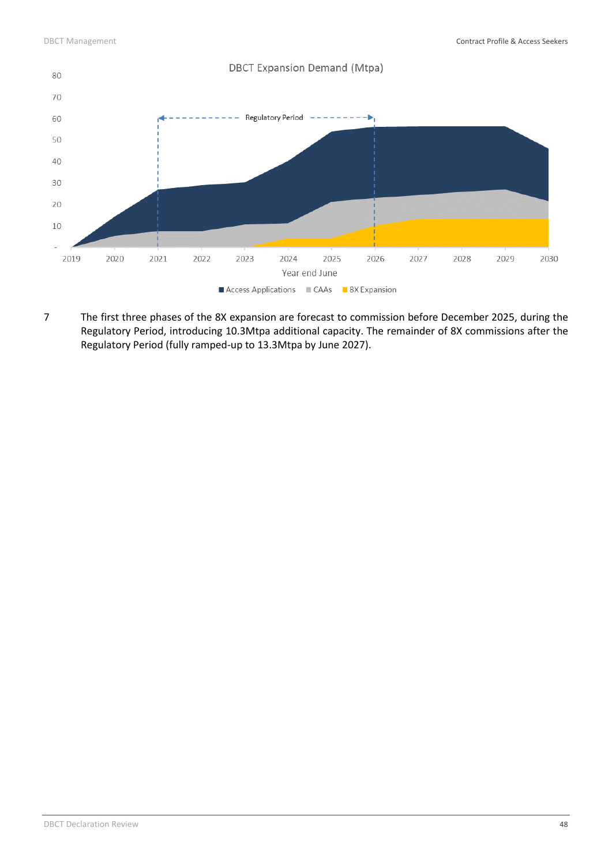

7 The first three phases of the 8X expansion are forecast to commission before December 2025, during the Regulatory Period, introducing 10.3Mtpa additional capacity. The remainder of 8X commissions after the Regulatory Period (fully ramped-up to 13.3Mtpa by June 2027).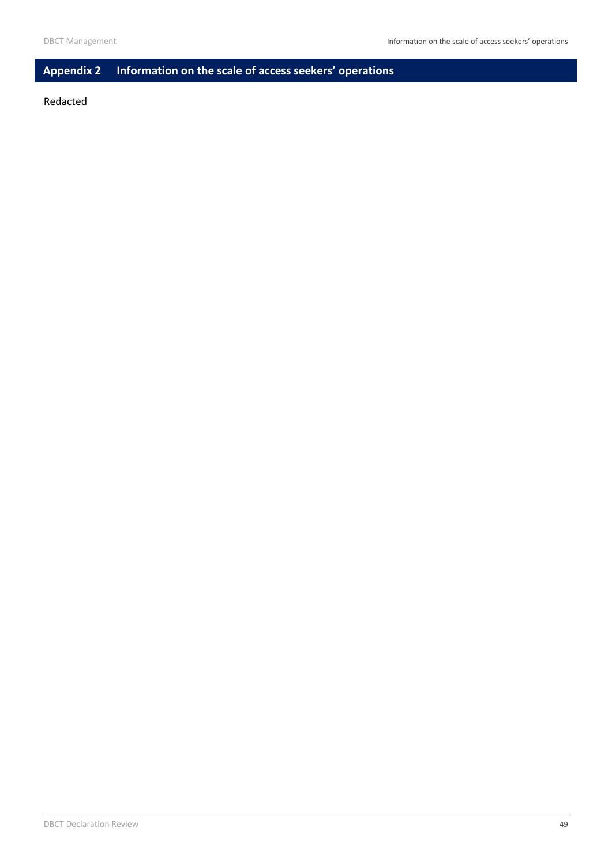## <span id="page-50-0"></span>**Appendix 2 Information on the scale of access seekers' operations**

#### Redacted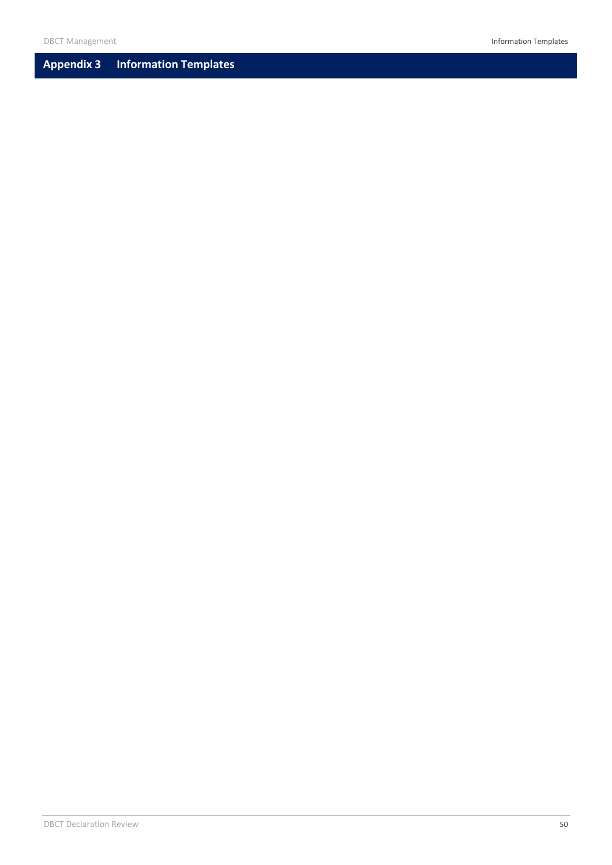## <span id="page-51-0"></span>**Appendix 3 Information Templates**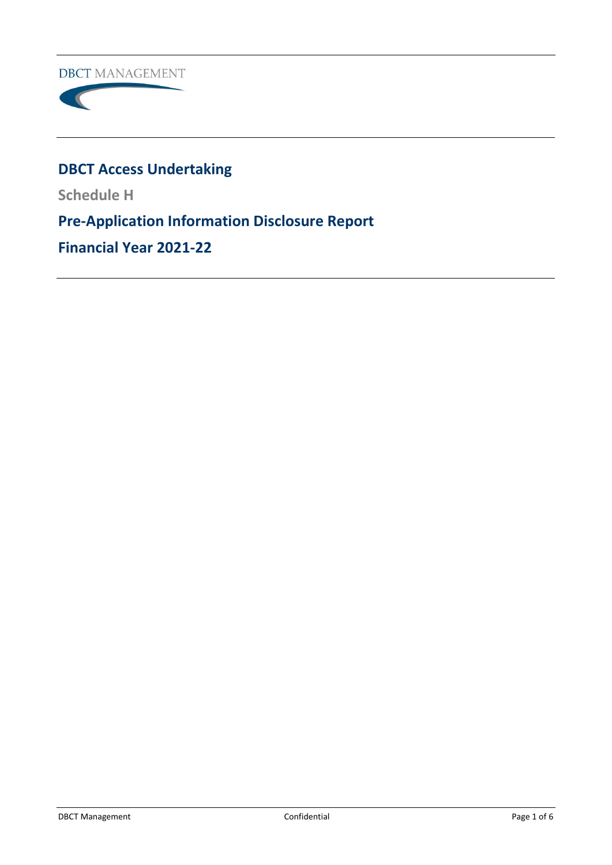**DBCT MANAGEMENT** 



# **DBCT Access Undertaking**

**Schedule H**

**Pre-Application Information Disclosure Report**

**Financial Year 2021-22**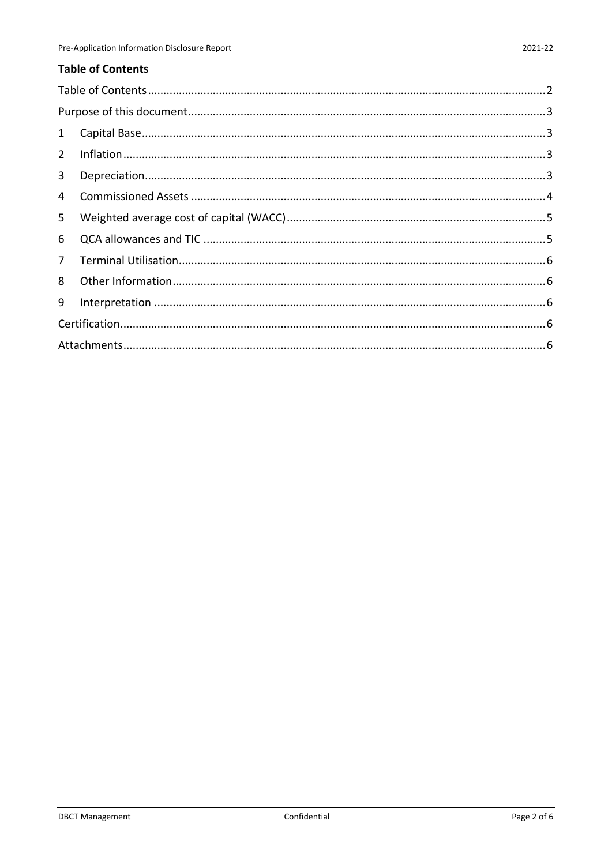<span id="page-53-0"></span>

| 1              |  |
|----------------|--|
| $2^{\circ}$    |  |
| $\mathbf{3}$   |  |
| $\overline{4}$ |  |
| 5              |  |
| 6              |  |
| 7 <sup>7</sup> |  |
| 8              |  |
| 9              |  |
|                |  |
|                |  |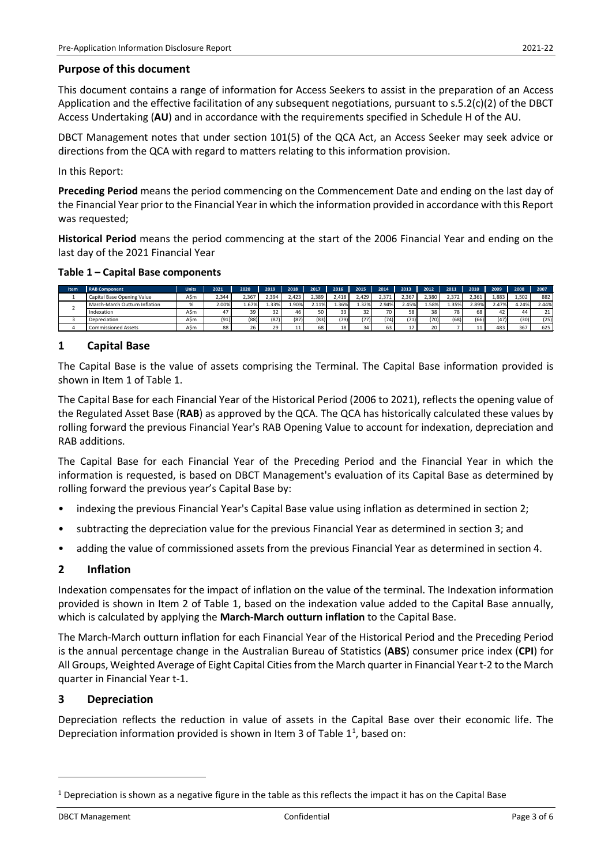## <span id="page-54-0"></span>**Purpose of this document**

This document contains a range of information for Access Seekers to assist in the preparation of an Access Application and the effective facilitation of any subsequent negotiations, pursuant to s.5.2(c)(2) of the DBCT Access Undertaking (**AU**) and in accordance with the requirements specified in Schedule H of the AU.

DBCT Management notes that under section 101(5) of the QCA Act, an Access Seeker may seek advice or directions from the QCA with regard to matters relating to this information provision.

In this Report:

**Preceding Period** means the period commencing on the Commencement Date and ending on the last day of the Financial Year prior to the Financial Year in which the information provided in accordance with this Report was requested;

**Historical Period** means the period commencing at the start of the 2006 Financial Year and ending on the last day of the 2021 Financial Year

#### **Table 1 – Capital Base components**

| Item | <b>RAB Component</b>          | Units | 2021  | 2020  | 2019  | 2018  | 2017  | 2016    | 2015     | 2014              | 2013  | 2012  | 2011  | 2010 | 2009  | 2008  | 2007  |
|------|-------------------------------|-------|-------|-------|-------|-------|-------|---------|----------|-------------------|-------|-------|-------|------|-------|-------|-------|
|      | Capital Base Opening Value    | AŚm   | 2.344 | 2.367 | 2.394 | .423  | 2.389 | 2.418   | .429     | 2.371             | .367  | 2.380 | 372   | .361 | 1.883 | 1.502 | 882   |
|      | March-March Outturn Inflation | %     | 2.00% | 1.67% | L.33% | L.90% | 2.11% | 1.36%   | .32%     | <sup>2</sup> .94% | 2.45% | .58%  | 1.35% | .89% | 2.47% | 4.24% | 2.44% |
|      | Indexation                    | AŚm   | 47    | 39    |       | 46    | 50 l  |         | 22<br>ےد | 70 <sub>1</sub>   | 58    | 38    | 78    | 68   |       | 44    | 21    |
|      | Depreciation                  | AŚm   | (91)  | (88)  | (87)  | (87)  | (83)  | $'79$ ) | (77)     | (74)              | (71)  | (70)  | (68)  | (66) | (47)  | (30)  | (25)  |
|      | <b>Commissioned Assets</b>    | AŚm   | 88    | 26    | 20    | 11    | 68    |         | 34       | 63                |       | 20    |       |      | 48    | 367   | 625   |

## <span id="page-54-1"></span>**1 Capital Base**

The Capital Base is the value of assets comprising the Terminal. The Capital Base information provided is shown in Item 1 of Table 1.

The Capital Base for each Financial Year of the Historical Period (2006 to 2021), reflects the opening value of the Regulated Asset Base (**RAB**) as approved by the QCA. The QCA has historically calculated these values by rolling forward the previous Financial Year's RAB Opening Value to account for indexation, depreciation and RAB additions.

The Capital Base for each Financial Year of the Preceding Period and the Financial Year in which the information is requested, is based on DBCT Management's evaluation of its Capital Base as determined by rolling forward the previous year's Capital Base by:

- indexing the previous Financial Year's Capital Base value using inflation as determined in section 2;
- subtracting the depreciation value for the previous Financial Year as determined in section 3; and
- adding the value of commissioned assets from the previous Financial Year as determined in section 4.

## <span id="page-54-2"></span>**2 Inflation**

Indexation compensates for the impact of inflation on the value of the terminal. The Indexation information provided is shown in Item 2 of Table 1, based on the indexation value added to the Capital Base annually, which is calculated by applying the **March-March outturn inflation** to the Capital Base.

The March-March outturn inflation for each Financial Year of the Historical Period and the Preceding Period is the annual percentage change in the Australian Bureau of Statistics (**ABS**) consumer price index (**CPI**) for All Groups, Weighted Average of Eight Capital Cities from the March quarter in Financial Year t-2 to the March quarter in Financial Year t-1.

#### <span id="page-54-3"></span>**3 Depreciation**

Depreciation reflects the reduction in value of assets in the Capital Base over their economic life. The Depreciation information provided is shown in Item 3 of Table  $1^1$  $1^1$ , based on:

<span id="page-54-4"></span> $1$  Depreciation is shown as a negative figure in the table as this reflects the impact it has on the Capital Base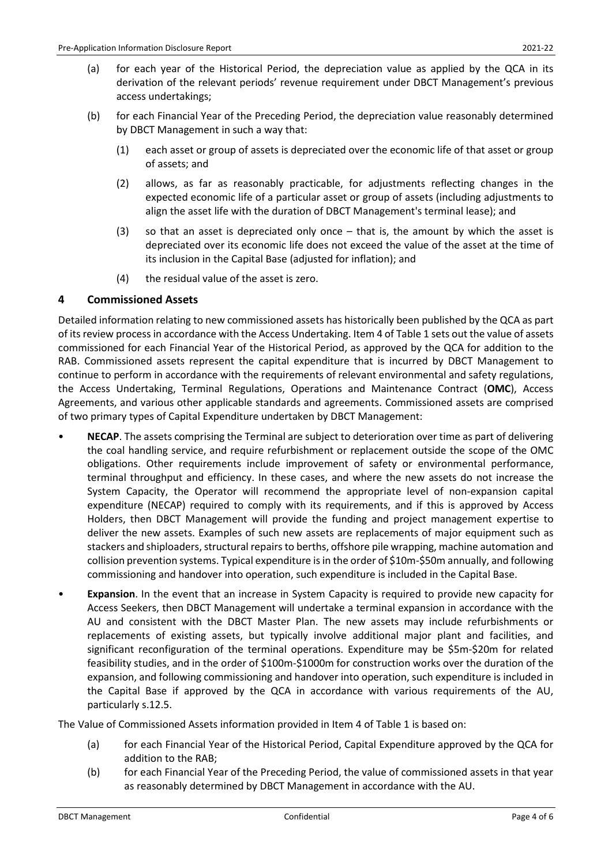- (a) for each year of the Historical Period, the depreciation value as applied by the QCA in its derivation of the relevant periods' revenue requirement under DBCT Management's previous access undertakings;
- (b) for each Financial Year of the Preceding Period, the depreciation value reasonably determined by DBCT Management in such a way that:
	- (1) each asset or group of assets is depreciated over the economic life of that asset or group of assets; and
	- (2) allows, as far as reasonably practicable, for adjustments reflecting changes in the expected economic life of a particular asset or group of assets (including adjustments to align the asset life with the duration of DBCT Management's terminal lease); and
	- (3) so that an asset is depreciated only once that is, the amount by which the asset is depreciated over its economic life does not exceed the value of the asset at the time of its inclusion in the Capital Base (adjusted for inflation); and
	- (4) the residual value of the asset is zero.

## <span id="page-55-0"></span>**4 Commissioned Assets**

Detailed information relating to new commissioned assets has historically been published by the QCA as part of its review process in accordance with the Access Undertaking. Item 4 of Table 1 sets out the value of assets commissioned for each Financial Year of the Historical Period, as approved by the QCA for addition to the RAB. Commissioned assets represent the capital expenditure that is incurred by DBCT Management to continue to perform in accordance with the requirements of relevant environmental and safety regulations, the Access Undertaking, Terminal Regulations, Operations and Maintenance Contract (**OMC**), Access Agreements, and various other applicable standards and agreements. Commissioned assets are comprised of two primary types of Capital Expenditure undertaken by DBCT Management:

- **NECAP**. The assets comprising the Terminal are subject to deterioration over time as part of delivering the coal handling service, and require refurbishment or replacement outside the scope of the OMC obligations. Other requirements include improvement of safety or environmental performance, terminal throughput and efficiency. In these cases, and where the new assets do not increase the System Capacity, the Operator will recommend the appropriate level of non-expansion capital expenditure (NECAP) required to comply with its requirements, and if this is approved by Access Holders, then DBCT Management will provide the funding and project management expertise to deliver the new assets. Examples of such new assets are replacements of major equipment such as stackers and shiploaders, structural repairs to berths, offshore pile wrapping, machine automation and collision prevention systems. Typical expenditure is in the order of \$10m-\$50m annually, and following commissioning and handover into operation, such expenditure is included in the Capital Base.
- **Expansion**. In the event that an increase in System Capacity is required to provide new capacity for Access Seekers, then DBCT Management will undertake a terminal expansion in accordance with the AU and consistent with the DBCT Master Plan. The new assets may include refurbishments or replacements of existing assets, but typically involve additional major plant and facilities, and significant reconfiguration of the terminal operations. Expenditure may be \$5m-\$20m for related feasibility studies, and in the order of \$100m-\$1000m for construction works over the duration of the expansion, and following commissioning and handover into operation, such expenditure is included in the Capital Base if approved by the QCA in accordance with various requirements of the AU, particularly s.12.5.

The Value of Commissioned Assets information provided in Item 4 of Table 1 is based on:

- (a) for each Financial Year of the Historical Period, Capital Expenditure approved by the QCA for addition to the RAB;
- (b) for each Financial Year of the Preceding Period, the value of commissioned assets in that year as reasonably determined by DBCT Management in accordance with the AU.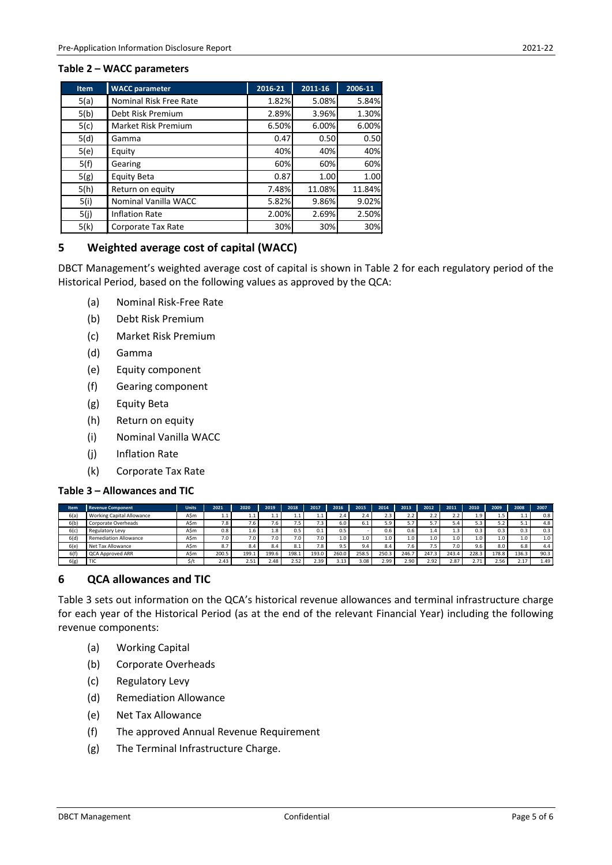#### **Table 2 – WACC parameters**

| <b>Item</b> | <b>WACC parameter</b>      | 2016-21 | 2011-16 | 2006-11 |
|-------------|----------------------------|---------|---------|---------|
| 5(a)        | Nominal Risk Free Rate     | 1.82%   | 5.08%   | 5.84%   |
| 5(b)        | Debt Risk Premium          | 2.89%   | 3.96%   | 1.30%   |
| 5(c)        | <b>Market Risk Premium</b> | 6.50%   | 6.00%   | 6.00%   |
| 5(d)        | Gamma                      | 0.47    | 0.50    | 0.50    |
| 5(e)        | Equity                     | 40%     | 40%     | 40%     |
| 5(f)        | Gearing                    | 60%     | 60%     | 60%     |
| 5(g)        | <b>Equity Beta</b>         | 0.87    | 1.00    | 1.00    |
| 5(h)        | Return on equity           | 7.48%   | 11.08%  | 11.84%  |
| 5(i)        | Nominal Vanilla WACC       | 5.82%   | 9.86%   | 9.02%   |
| 5(j)        | <b>Inflation Rate</b>      | 2.00%   | 2.69%   | 2.50%   |
| 5(k)        | Corporate Tax Rate         | 30%     | 30%     | 30%     |

## <span id="page-56-0"></span>**5 Weighted average cost of capital (WACC)**

DBCT Management's weighted average cost of capital is shown in Table 2 for each regulatory period of the Historical Period, based on the following values as approved by the QCA:

- (a) Nominal Risk-Free Rate
- (b) Debt Risk Premium
- (c) Market Risk Premium
- (d) Gamma
- (e) Equity component
- (f) Gearing component
- (g) Equity Beta
- (h) Return on equity
- (i) Nominal Vanilla WACC
- (j) Inflation Rate
- (k) Corporate Tax Rate

## **Table 3 – Allowances and TIC**

| <b>Item</b> | <b>Revenue Component</b>         | <b>Units</b> | 2021  | 2020  | 2019          | 2018             | 2017  | 2016  | 2015  | 2014  | 2013  | 2012     | 2011            | 2010  | 2009  | 2008  | 2007 |
|-------------|----------------------------------|--------------|-------|-------|---------------|------------------|-------|-------|-------|-------|-------|----------|-----------------|-------|-------|-------|------|
| 6(a)        | <b>Working Capital Allowance</b> | ASm          | 1.1   | ⊥.⊥   | .             | 1.1              |       | 4.4   | 2.4   | 2.3   | 2.2   | 2.2      | 2.2             | 1.9   | .     | 1.1   | 0.8  |
| 6(b)        | Corporate Overheads              | ASm          | 7.8   | 7.b   | 7.6           | 7.5 <sub>1</sub> | 7.3   | 6.0   | 6.1   | 5.9   |       | 5.7      | " 4.د           |       | ے ۔   | 51    | 4.8  |
| 6(c         | Regulatory Levy                  | ASm          | 0.8   | 1.6   | $1.8^{\circ}$ | 0.5              | 0.1   | 0.5   |       | 0.6   | 0.6   | $\pm .4$ | $\pm .3$        | 0.3   | 0.3   | 0.3   | 0.3  |
| 6(d)        | <b>Remediation Allowance</b>     | ASm          | 7.0   | 7.0   | 7.0           | 7.0              | 7.0   | 1.0   | 1.0   | 1.0   | 1.0   | 1.0      | $1.0 \;{\rm F}$ | 1.0   | 1.0   | 1.0   | 1.0  |
| 6(e)        | Net Tax Allowance                | ASm          | 8.7   |       | 8.4           | 8.1              | 7.8   | 9.5   | 9.4   | 8.4   | 7.6   | 7.5      | 7.01            | 9.6   | 8.0   | 6.8   | 4.4  |
| 6(f)        | <b>QCA Approved ARR</b>          | ASm          | 200.5 | 199.1 | 199.6         | 198.1            | 193.0 | 260.0 | 258.5 | 250.3 | 246.7 | 247.3    | 243.4           | 228.3 | 178.8 | 136.3 | 90.3 |
| 6(g)        | TIC                              | \$/t         | 2.43  | 2.51  | 2.48          | 2.52             | 2.39  | 3.13  | 3.08  | 2.99  | 2.90  | 2.92     | 2.87            | 2.71  | 2.56  | 2.17  | 1.49 |

## <span id="page-56-1"></span>**6 QCA allowances and TIC**

Table 3 sets out information on the QCA's historical revenue allowances and terminal infrastructure charge for each year of the Historical Period (as at the end of the relevant Financial Year) including the following revenue components:

- (a) Working Capital
- (b) Corporate Overheads
- (c) Regulatory Levy
- (d) Remediation Allowance
- (e) Net Tax Allowance
- (f) The approved Annual Revenue Requirement
- (g) The Terminal Infrastructure Charge.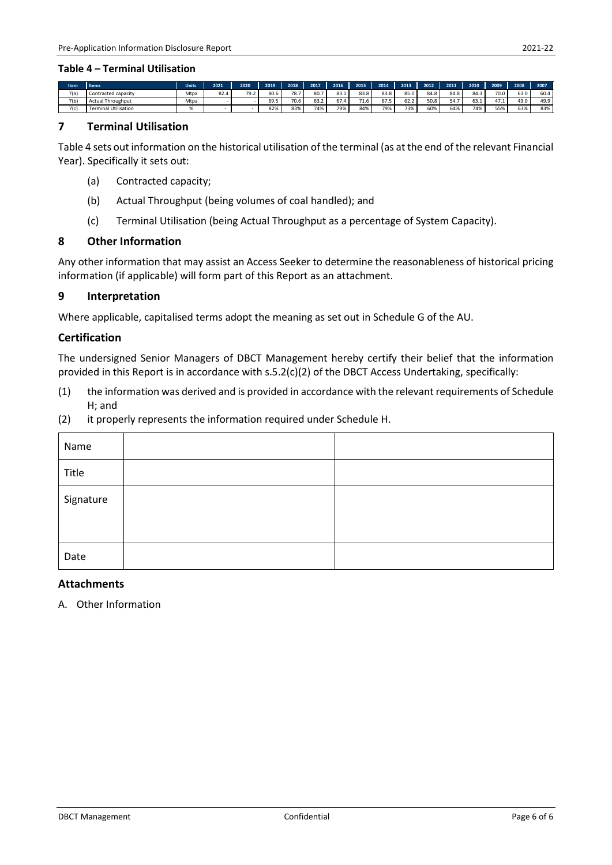| <b>Item</b> | <b>Items</b>                | <b>Units</b> | 2021 | 2020 | 2019 | 2018                             | 2017            | 2016       | 2015 | 2014            | 2013 | 2012 | 2011 | 2010       | 2009           | 2008 | 2007 |
|-------------|-----------------------------|--------------|------|------|------|----------------------------------|-----------------|------------|------|-----------------|------|------|------|------------|----------------|------|------|
| 7(a)        | Contracted capacity         | Mtpa         | 82.4 | 79.2 | 80.6 |                                  | 80.7            | 83.1       | 83.8 | 83.8            | 85.0 | 84.8 | 84.8 | 84.3       | 70.0           | 63.0 | 60.4 |
| 7(b)        | <b>Actual Throughput</b>    | Mtpa         |      |      | 69.5 | $\overline{\phantom{a}}$<br>/0.6 | $\sim$<br>ے ۔ د | $-$<br>ь7. | 71.6 | $- - -$<br>67.J |      | 50.8 | 54.7 | --<br>03.I | $\sim$<br>41.1 | 43.0 | 49.9 |
| 7(c)        | <b>Terminal Utilisation</b> |              |      |      | 82%  |                                  | 74%             | 79%        | 84%  | 79%             | 73%  | 60%  | 64%  | 74%        | 55%            | 63%  | 83%  |

#### <span id="page-57-0"></span>**7 Terminal Utilisation**

Table 4 sets out information on the historical utilisation of the terminal (as at the end of the relevant Financial Year). Specifically it sets out:

- (a) Contracted capacity;
- (b) Actual Throughput (being volumes of coal handled); and
- (c) Terminal Utilisation (being Actual Throughput as a percentage of System Capacity).

#### <span id="page-57-1"></span>**8 Other Information**

Any other information that may assist an Access Seeker to determine the reasonableness of historical pricing information (if applicable) will form part of this Report as an attachment.

#### <span id="page-57-2"></span>**9 Interpretation**

Where applicable, capitalised terms adopt the meaning as set out in Schedule G of the AU.

#### <span id="page-57-3"></span>**Certification**

The undersigned Senior Managers of DBCT Management hereby certify their belief that the information provided in this Report is in accordance with s.5.2(c)(2) of the DBCT Access Undertaking, specifically:

- (1) the information was derived and is provided in accordance with the relevant requirements of Schedule H; and
- (2) it properly represents the information required under Schedule H.

| Name      |  |
|-----------|--|
| Title     |  |
| Signature |  |
|           |  |
| Date      |  |

## <span id="page-57-4"></span>**Attachments**

A. Other Information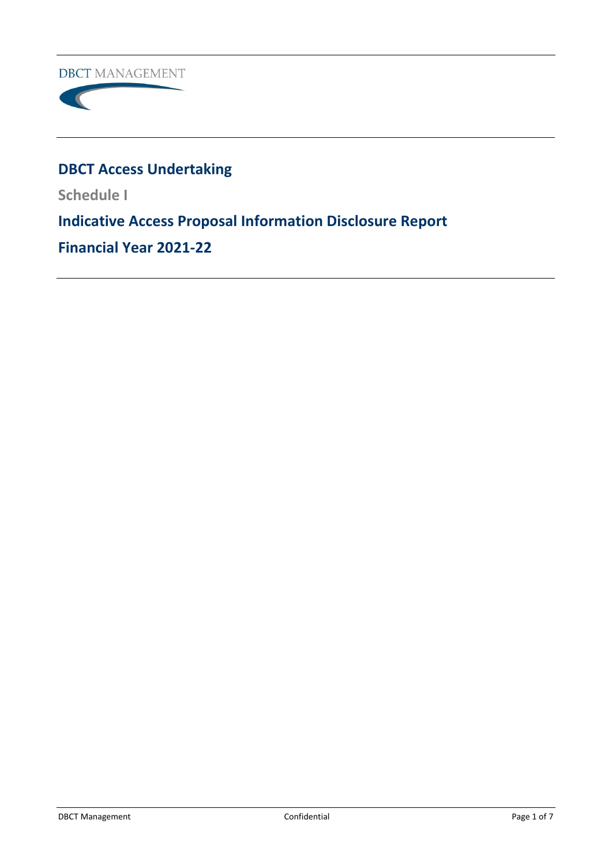**DBCT MANAGEMENT** 



# **DBCT Access Undertaking**

**Schedule I**

# **Indicative Access Proposal Information Disclosure Report**

**Financial Year 2021-22**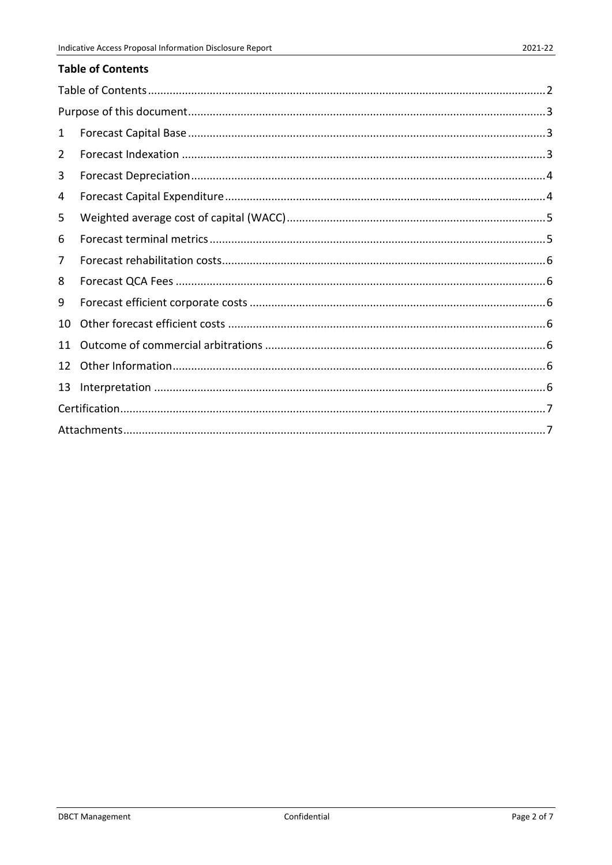<span id="page-59-0"></span>

| 1  |  |  |  |  |  |  |  |  |  |
|----|--|--|--|--|--|--|--|--|--|
| 2  |  |  |  |  |  |  |  |  |  |
| 3  |  |  |  |  |  |  |  |  |  |
| 4  |  |  |  |  |  |  |  |  |  |
| 5  |  |  |  |  |  |  |  |  |  |
| 6  |  |  |  |  |  |  |  |  |  |
| 7  |  |  |  |  |  |  |  |  |  |
| 8  |  |  |  |  |  |  |  |  |  |
| 9  |  |  |  |  |  |  |  |  |  |
| 10 |  |  |  |  |  |  |  |  |  |
| 11 |  |  |  |  |  |  |  |  |  |
| 12 |  |  |  |  |  |  |  |  |  |
| 13 |  |  |  |  |  |  |  |  |  |
|    |  |  |  |  |  |  |  |  |  |
|    |  |  |  |  |  |  |  |  |  |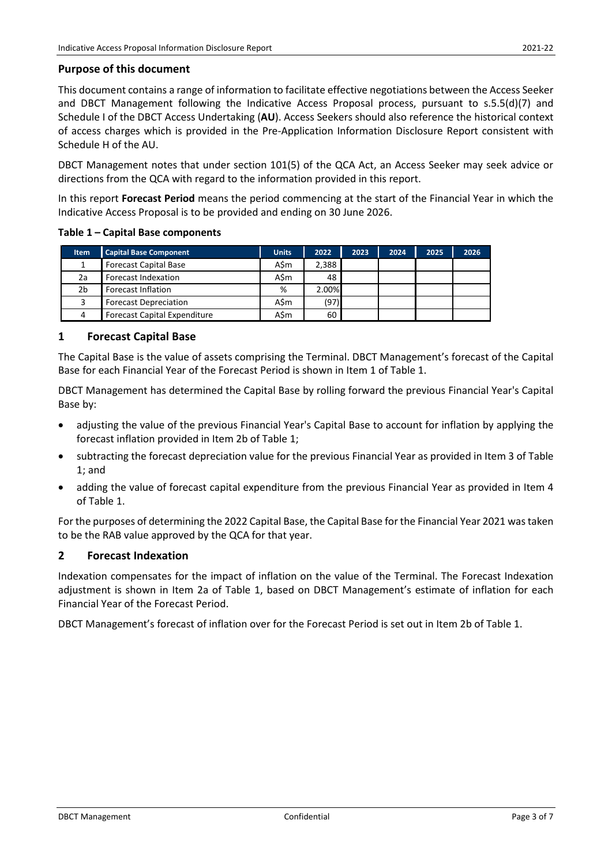#### <span id="page-60-0"></span>**Purpose of this document**

This document contains a range of information to facilitate effective negotiations between the Access Seeker and DBCT Management following the Indicative Access Proposal process, pursuant to s.5.5(d)(7) and Schedule I of the DBCT Access Undertaking (**AU**). Access Seekers should also reference the historical context of access charges which is provided in the Pre-Application Information Disclosure Report consistent with Schedule H of the AU.

DBCT Management notes that under section 101(5) of the QCA Act, an Access Seeker may seek advice or directions from the QCA with regard to the information provided in this report.

In this report **Forecast Period** means the period commencing at the start of the Financial Year in which the Indicative Access Proposal is to be provided and ending on 30 June 2026.

**Table 1 – Capital Base components**

| <b>Item</b> | <b>Capital Base Component</b>       | <b>Units</b> | 2022  | 2023 | 2024 | 2025 | 2026 |
|-------------|-------------------------------------|--------------|-------|------|------|------|------|
|             | <b>Forecast Capital Base</b>        | A\$m         | 2.388 |      |      |      |      |
| 2a          | Forecast Indexation                 | A\$m         | 48    |      |      |      |      |
| 2b          | Forecast Inflation                  | %            | 2.00% |      |      |      |      |
| 3           | <b>Forecast Depreciation</b>        | A\$m         | (97)  |      |      |      |      |
| 4           | <b>Forecast Capital Expenditure</b> | A\$m         | 60    |      |      |      |      |

#### <span id="page-60-1"></span>**1 Forecast Capital Base**

The Capital Base is the value of assets comprising the Terminal. DBCT Management's forecast of the Capital Base for each Financial Year of the Forecast Period is shown in Item 1 of Table 1.

DBCT Management has determined the Capital Base by rolling forward the previous Financial Year's Capital Base by:

- adjusting the value of the previous Financial Year's Capital Base to account for inflation by applying the forecast inflation provided in Item 2b of Table 1;
- subtracting the forecast depreciation value for the previous Financial Year as provided in Item 3 of Table 1; and
- adding the value of forecast capital expenditure from the previous Financial Year as provided in Item 4 of Table 1.

For the purposes of determining the 2022 Capital Base, the Capital Base for the Financial Year 2021 was taken to be the RAB value approved by the QCA for that year.

## <span id="page-60-2"></span>**2 Forecast Indexation**

Indexation compensates for the impact of inflation on the value of the Terminal. The Forecast Indexation adjustment is shown in Item 2a of Table 1, based on DBCT Management's estimate of inflation for each Financial Year of the Forecast Period.

DBCT Management's forecast of inflation over for the Forecast Period is set out in Item 2b of Table 1.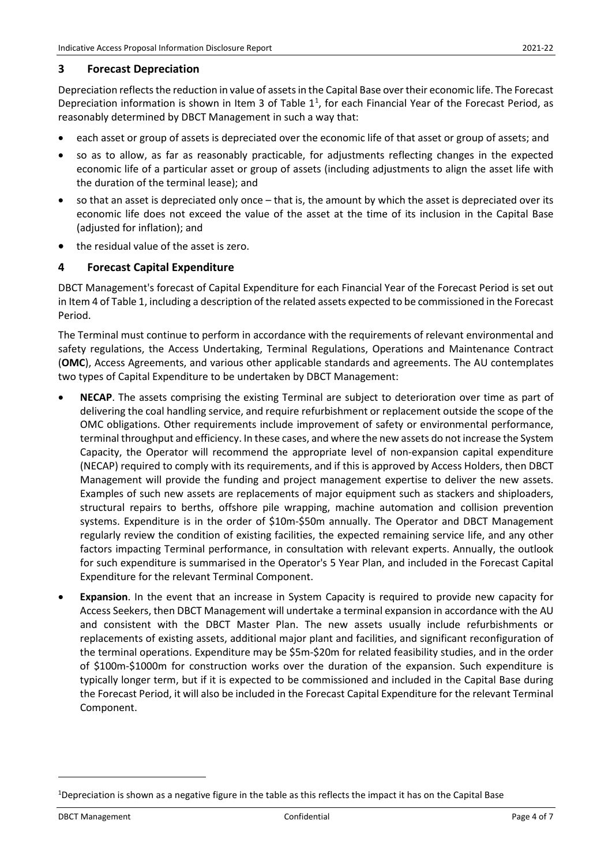#### <span id="page-61-0"></span>**3 Forecast Depreciation**

Depreciation reflects the reduction in value of assets in the Capital Base overtheir economic life. The Forecast Depreciation information is shown in Item 3 of Table  $1<sup>1</sup>$  $1<sup>1</sup>$ , for each Financial Year of the Forecast Period, as reasonably determined by DBCT Management in such a way that:

- each asset or group of assets is depreciated over the economic life of that asset or group of assets; and
- so as to allow, as far as reasonably practicable, for adjustments reflecting changes in the expected economic life of a particular asset or group of assets (including adjustments to align the asset life with the duration of the terminal lease); and
- so that an asset is depreciated only once that is, the amount by which the asset is depreciated over its economic life does not exceed the value of the asset at the time of its inclusion in the Capital Base (adjusted for inflation); and
- the residual value of the asset is zero.

## <span id="page-61-1"></span>**4 Forecast Capital Expenditure**

DBCT Management's forecast of Capital Expenditure for each Financial Year of the Forecast Period is set out in Item 4 of Table 1, including a description of the related assets expected to be commissioned in the Forecast Period.

The Terminal must continue to perform in accordance with the requirements of relevant environmental and safety regulations, the Access Undertaking, Terminal Regulations, Operations and Maintenance Contract (**OMC**), Access Agreements, and various other applicable standards and agreements. The AU contemplates two types of Capital Expenditure to be undertaken by DBCT Management:

- **NECAP**. The assets comprising the existing Terminal are subject to deterioration over time as part of delivering the coal handling service, and require refurbishment or replacement outside the scope of the OMC obligations. Other requirements include improvement of safety or environmental performance, terminal throughput and efficiency. In these cases, and where the new assets do not increase the System Capacity, the Operator will recommend the appropriate level of non-expansion capital expenditure (NECAP) required to comply with its requirements, and if this is approved by Access Holders, then DBCT Management will provide the funding and project management expertise to deliver the new assets. Examples of such new assets are replacements of major equipment such as stackers and shiploaders, structural repairs to berths, offshore pile wrapping, machine automation and collision prevention systems. Expenditure is in the order of \$10m-\$50m annually. The Operator and DBCT Management regularly review the condition of existing facilities, the expected remaining service life, and any other factors impacting Terminal performance, in consultation with relevant experts. Annually, the outlook for such expenditure is summarised in the Operator's 5 Year Plan, and included in the Forecast Capital Expenditure for the relevant Terminal Component.
- **Expansion**. In the event that an increase in System Capacity is required to provide new capacity for Access Seekers, then DBCT Management will undertake a terminal expansion in accordance with the AU and consistent with the DBCT Master Plan. The new assets usually include refurbishments or replacements of existing assets, additional major plant and facilities, and significant reconfiguration of the terminal operations. Expenditure may be \$5m-\$20m for related feasibility studies, and in the order of \$100m-\$1000m for construction works over the duration of the expansion. Such expenditure is typically longer term, but if it is expected to be commissioned and included in the Capital Base during the Forecast Period, it will also be included in the Forecast Capital Expenditure for the relevant Terminal Component.

<span id="page-61-2"></span><sup>&</sup>lt;sup>1</sup>Depreciation is shown as a negative figure in the table as this reflects the impact it has on the Capital Base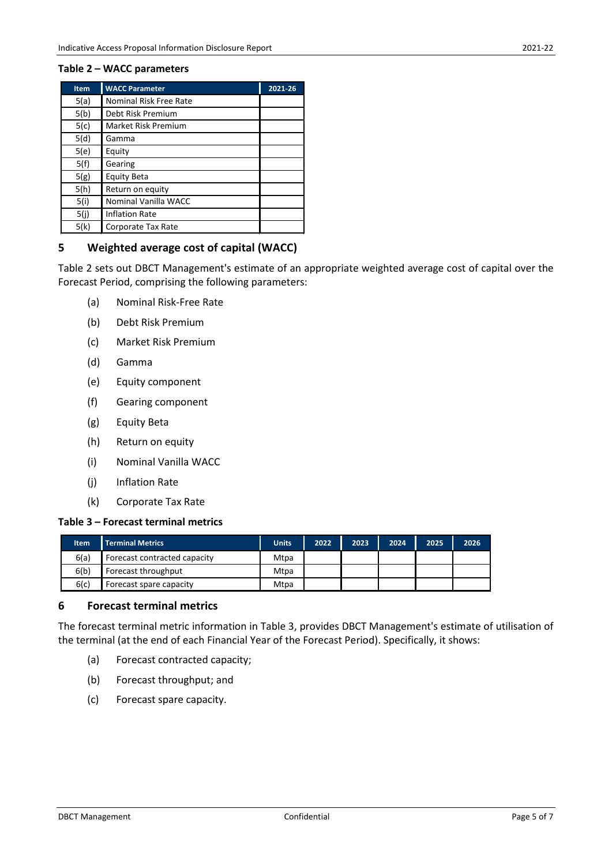#### **Table 2 – WACC parameters**

| <b>Item</b> | <b>WACC Parameter</b>      | 2021-26 |
|-------------|----------------------------|---------|
| 5(a)        | Nominal Risk Free Rate     |         |
| 5(b)        | Debt Risk Premium          |         |
| 5(c)        | <b>Market Risk Premium</b> |         |
| 5(d)        | Gamma                      |         |
| 5(e)        | Equity                     |         |
| 5(f)        | Gearing                    |         |
| 5(g)        | Equity Beta                |         |
| 5(h)        | Return on equity           |         |
| 5(i)        | Nominal Vanilla WACC       |         |
| 5(j)        | <b>Inflation Rate</b>      |         |
| 5(k)        | Corporate Tax Rate         |         |

## <span id="page-62-0"></span>**5 Weighted average cost of capital (WACC)**

Table 2 sets out DBCT Management's estimate of an appropriate weighted average cost of capital over the Forecast Period, comprising the following parameters:

- (a) Nominal Risk-Free Rate
- (b) Debt Risk Premium
- (c) Market Risk Premium
- (d) Gamma
- (e) Equity component
- (f) Gearing component
- (g) Equity Beta
- (h) Return on equity
- (i) Nominal Vanilla WACC
- (j) Inflation Rate
- (k) Corporate Tax Rate

## **Table 3 – Forecast terminal metrics**

| ltem | <b>Terminal Metrics</b>      | <b>Units</b> | 2022 | 2023 | 2024 | 2025 | 2026 |
|------|------------------------------|--------------|------|------|------|------|------|
| 6(a) | Forecast contracted capacity | Mtpa         |      |      |      |      |      |
| 6(b) | Forecast throughput          | Mtpa         |      |      |      |      |      |
| 6(c) | Forecast spare capacity      | Mtpa         |      |      |      |      |      |

## <span id="page-62-1"></span>**6 Forecast terminal metrics**

The forecast terminal metric information in Table 3, provides DBCT Management's estimate of utilisation of the terminal (at the end of each Financial Year of the Forecast Period). Specifically, it shows:

- (a) Forecast contracted capacity;
- (b) Forecast throughput; and
- (c) Forecast spare capacity.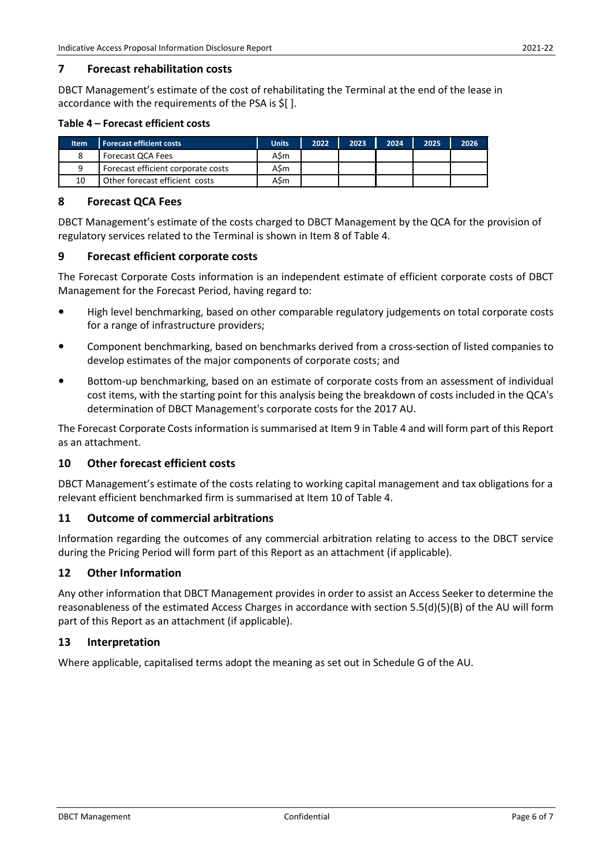## <span id="page-63-0"></span>**7 Forecast rehabilitation costs**

DBCT Management's estimate of the cost of rehabilitating the Terminal at the end of the lease in accordance with the requirements of the PSA is \$[ ].

#### **Table 4 – Forecast efficient costs**

| ltem | <b>Forecast efficient costs</b>    | <b>Units</b> | 2022 | 2023 | 2024 | 2025 | 2026 |
|------|------------------------------------|--------------|------|------|------|------|------|
|      | Forecast QCA Fees                  | ASm          |      |      |      |      |      |
| a    | Forecast efficient corporate costs | A\$m         |      |      |      |      |      |
| 10   | Other forecast efficient costs     | A\$m         |      |      |      |      |      |

## <span id="page-63-1"></span>**8 Forecast QCA Fees**

DBCT Management's estimate of the costs charged to DBCT Management by the QCA for the provision of regulatory services related to the Terminal is shown in Item 8 of Table 4.

## <span id="page-63-2"></span>**9 Forecast efficient corporate costs**

The Forecast Corporate Costs information is an independent estimate of efficient corporate costs of DBCT Management for the Forecast Period, having regard to:

- **•** High level benchmarking, based on other comparable regulatory judgements on total corporate costs for a range of infrastructure providers;
- **•** Component benchmarking, based on benchmarks derived from a cross-section of listed companies to develop estimates of the major components of corporate costs; and
- **•** Bottom-up benchmarking, based on an estimate of corporate costs from an assessment of individual cost items, with the starting point for this analysis being the breakdown of costs included in the QCA's determination of DBCT Management's corporate costs for the 2017 AU.

The Forecast Corporate Costs information is summarised at Item 9 in Table 4 and will form part of this Report as an attachment.

## <span id="page-63-3"></span>**10 Other forecast efficient costs**

DBCT Management's estimate of the costs relating to working capital management and tax obligations for a relevant efficient benchmarked firm is summarised at Item 10 of Table 4.

## <span id="page-63-4"></span>**11 Outcome of commercial arbitrations**

Information regarding the outcomes of any commercial arbitration relating to access to the DBCT service during the Pricing Period will form part of this Report as an attachment (if applicable).

## <span id="page-63-5"></span>**12 Other Information**

Any other information that DBCT Management provides in order to assist an Access Seeker to determine the reasonableness of the estimated Access Charges in accordance with section 5.5(d)(5)(B) of the AU will form part of this Report as an attachment (if applicable).

## <span id="page-63-6"></span>**13 Interpretation**

Where applicable, capitalised terms adopt the meaning as set out in Schedule G of the AU.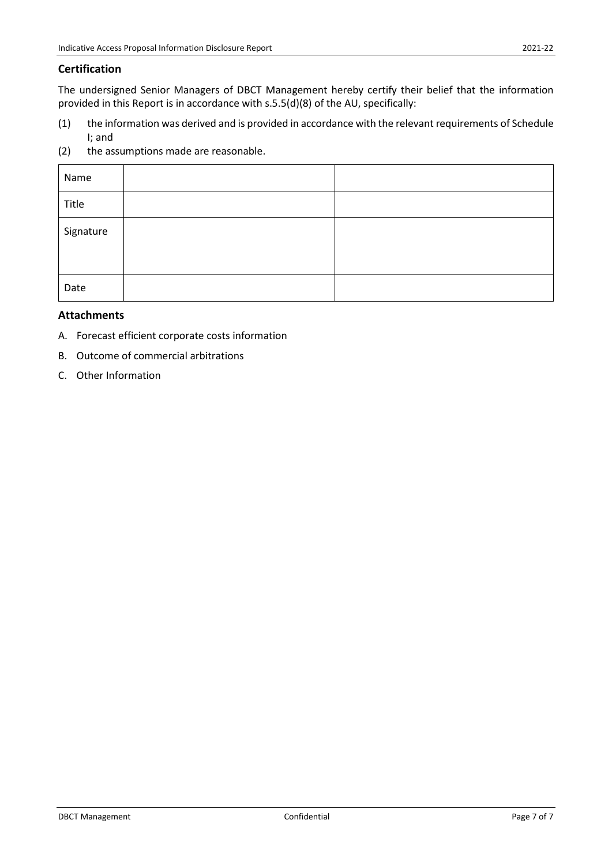#### <span id="page-64-0"></span>**Certification**

The undersigned Senior Managers of DBCT Management hereby certify their belief that the information provided in this Report is in accordance with s.5.5(d)(8) of the AU, specifically:

- (1) the information was derived and is provided in accordance with the relevant requirements of Schedule I; and
- (2) the assumptions made are reasonable.

| Name      |  |
|-----------|--|
| Title     |  |
| Signature |  |
| Date      |  |

## <span id="page-64-1"></span>**Attachments**

- A. Forecast efficient corporate costs information
- B. Outcome of commercial arbitrations
- C. Other Information